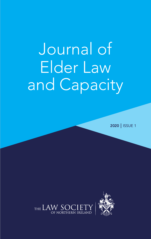# Journal of Elder Law and Capacity

2020 | ISSUE 1

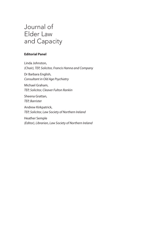# Journal of Elder Law and Capacity

#### **Editorial Panel**

Linda Johnston, *(Chair), TEP, Solicitor, Francis Hanna and Company* Dr Barbara English, *Consultant in Old Age Psychiatry* Michael Graham, *TEP, Solicitor, Cleaver Fulton Rankin* Sheena Grattan, *TEP, Barrister* Andrew Kirkpatrick, *TEP, Solicitor, Law Society of Northern Ireland* Heather Semple

*(Editor), Librarian, Law Society of Northern Ireland*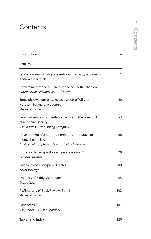# **Contents**

| <b>Information</b>                                                                                                       | ii  |
|--------------------------------------------------------------------------------------------------------------------------|-----|
| Articles                                                                                                                 |     |
| Estate planning for digital assets on incapacity and death<br>Andrew Kirkpatrick                                         | 1   |
| Determining capacity – are three heads better than one<br>Carina Schacherl and Alex Ruck Keene                           | 11  |
| Some observations on selected aspects of Wills for<br>Northern Ireland practitioners<br>Sheena Grattan                   | 20  |
| Personal autonomy, mental capacity and the construct<br>of a utopian society<br>Sam Karim QC and Aisling Campbell        | 53  |
| Development of a non-discriminatory alternative to<br>mental health law<br>Gavin Davidson, Tomas Adell and Aine Morrison | 68  |
| Cross border incapacity - where are we now?<br><b>Richard Frimston</b>                                                   | 79  |
| Incapacity of a company director<br>Kevin McVeigh                                                                        | 89  |
| Obituary of Biddy MacFarlane<br>Denzil Lush                                                                              | 95  |
| A Miscellany of Book Reviews Part 1<br>Sheena Grattan                                                                    | 102 |
| <b>Casenotes</b><br>Sam Jones (39 Essex Chambers)                                                                        | 107 |
| <b>Tables and Index</b>                                                                                                  | 120 |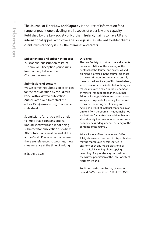<span id="page-3-0"></span>The **Journal of Elder Law and Capacity** is a source of information for a range of practitioners dealing in all aspects of elder law and capacity. Published by the Law Society of Northern Ireland, it aims to have UK and international appeal with coverage on legal issues relevant to elder clients, clients with capacity issues, their families and carers.

#### **Subscriptions and subscription cost**

2020 annual subscription costs £90. The annual subscription period runs from January to December (2 issues per annum.)

#### **Submissions of content**

We welcome the submission of articles for the consideration by the Editorial Panel with a view to publication. Authors are asked to contact the editor *JELC@lawsoc-ni.org* to obtain a style sheet.

Submission of an article will be held to imply that it contains original unpublished work and is not being submitted for publication elsewhere. All contributions must be sent at the author's risk. Please note that where there are references to websites, these sites were live at the time of writing.

ISSN 2632-3923

#### **Disclaimer**

The Law Society of Northern Ireland accepts no responsibility for the accuracy of the contents of the Journal and any views and opinions expressed in the Journal are those of the contributors and are not necessarily those of the Law Society of Northern Ireland, save where otherwise indicated. Although all reasonable care is taken in the preparation of material for publication in the Journal Editorial Panel, publishers and contributors accept no responsibility for any loss caused to any person acting or refraining from acting as a result of material contained in or omitted from the Journal. The Journal is not a substitute for professional advice. Readers should satisfy themselves as to the accuracy, completeness, adequacy and currency of the contents of the Journal.

© Law Society of Northern Ireland 2020. All rights reserved. No part of this publication may be reproduced or transmitted in any form or by any means electronic or mechanical, including photocopying, recording of any retrieval system, without the written permission of the Law Society of Northern Ireland.

Published by the Law Society of Northern Ireland, 96 Victoria Street, Belfast BT1 3GN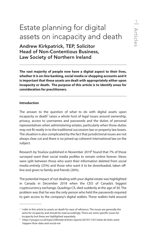# <span id="page-4-0"></span>Estate planning for digital assets on incapacity and death

Andrew Kirkpatrick, TEP, Solicitor Head of Non-Contentious Business, Law Society of Northern Ireland

**The vast majority of people now have a digital aspect to their lives, whether it is on-line banking, social media or shopping accounts and it is important that these assets are dealt with appropriately either upon incapacity or death. The purpose of this article is to identify areas for consideration for practitioners.**

#### **Introduction**

The answer to the question of what to do with digital assets upon incapacity or death<sup>1</sup> raises a whole host of legal issues around ownership, privacy, access to usernames and passwords and the duties of personal representatives when administering estates, particularly when those duties may not fit neatly in to the traditional succession law or property law boxes. The situation is also complicated by the fact that jurisdictional issues are not always clear cut and there is no joined up coherent international law on the subject.

Research by YouGov published in November 2019<sup>2</sup> found that 7% of those surveyed want their social media profiles to remain online forever. Views were split between those who want their information deleted from social media entirely (25%) and those who want it to be downloaded, taken offline and given to family and friends (26%).

The potential impact of not dealing with your digital estate was highlighted in Canada in December 2018 when the CEO of Canada's biggest cryptocurrency exchange, Quadriga CX, died suddenly at the age of 30. The problem was that he was the only person who held the passwords required to gain access to the company's digital wallets. These wallets held around

<sup>&</sup>lt;sup>1</sup> I refer in this article to assets on death for ease of reference. The issues are generally the same for incapacity and should be read accordingly. There are some specific issues for incapacity but these are highlighted separately.

<sup>2</sup> https://yougov.co.uk/topics/lifestyle/articles-reports/2019/11/01/what-do-brits-wanthappen-their-data-and-social-me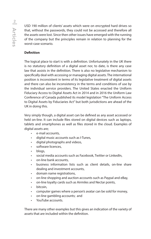USD 190 million of clients' assets which were on encrypted hard drives so that, without the passwords, they could not be accessed and therefore all the assets were lost. Since then other issues have emerged with the running of the company but the principles remain in relation to planning for the worst-case scenario.

## **Definition**

The logical place to start is with a definition. Unfortunately in the UK there is no statutory definition of a digital asset nor, to date, is there any case law that assists in the definition. There is also no legislative mechanism to specifically deal with accessing or managing digital assets. The international position is inconsistent in terms of its legislative treatment of digital assets and there can also be inconsistency in the terms and conditions of use by the individual service providers. The United States enacted the Uniform Fiduciary Access to Digital Assets Act in 2014 and in 2016 the Uniform Law Conference of Canada published its model legislation "The Uniform Access to Digital Assets by Fiduciaries Act" but both jurisdictions are ahead of the UK in doing this.

Very simply though, a digital asset can be defined as any asset accessed or held on-line. It can include files stored on digital devices such as laptops, tablets and smartphones as well as files stored in the cloud. Examples of digital assets are;

- e-mail accounts,
- digital music accounts such as I-Tunes,
- digital photographs and videos,
- software licences.
- blogs,
- social media accounts such as Facebook, Twitter or LinkedIn,
- on-line bank accounts,
- business information lists such as client details, on-line share dealing and investment accounts,
- domain name registrations,
- on-line shopping and auction accounts such as Paypal and eBay,
- on-line loyalty cards such as Airmiles and Nectar points,
- bitcoin,
- computer games where a person's avatar can be sold for money,
- on-line gambling accounts; and
- YouTube accounts.

There are many other examples but this gives an indication of the variety of assets that are included within the definition.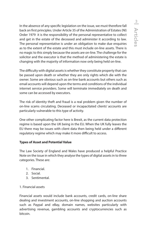In the absence of any specific legislation on the issue, we must therefore fall back on first principles. Under Article 35 of the Administration of Estates (NI) Order 1979 it is the responsibility of the personal representative to collect and get in the estate of the deceased and administer it according to law. The personal representative is under an obligation to make due enquiries as to the extent of the estate and this must include on-line assets. There is no magic to this simply because the assets are on-line. The challenge for the solicitor and the executor is that the method of administering the estate is changing with the majority of information now only being held on-line.

The difficulty with digital assets is whether they constitute property that can be passed upon death or whether they are only rights which die with the owner. Some are obvious such as on-line bank accounts but others such as email accounts will depend upon the terms and conditions of the individual internet service providers. Some will terminate immediately on death and some can be accessed by executors.

The risk of identity theft and fraud is a real problem given the number of on-line scams circulating. Deceased or incapacitated clients' accounts are particularly vulnerable to this type of activity.

One other complicating factor here is Brexit, as the current data protection regime is based upon the UK being in the EU. When the UK fully leaves the EU there may be issues with client data then being held under a different regulatory regime which may make it more difficult to access.

## **Types of Asset and Potential Value**

The Law Society of England and Wales have produced a helpful Practice Note on the issue in which they analyse the types of digital assets in to three categories. These are:

- 1. Financial.
- 2. Social.
- 3. Sentimental.

## 1. Financial assets

Financial assets would include bank accounts, credit cards, on-line share dealing and investment accounts, on-line shopping and auction accounts such as Paypal and eBay, domain names, websites particularly with advertising revenue, gambling accounts and cryptocurrencies such as bitcoin.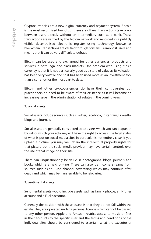Cryptocurrencies are a new digital currency and payment system. Bitcoin is the most recognised brand but there are others. Transactions take place between users directly without an intermediary such as a bank. These transactions are verified by the bitcoin network and recorded in a publicly visible decentralised electronic register using technology known as blockchain. Transactions are verified through consensus amongst users and means that it can be very difficult to defraud.

Bitcoin can be used and exchanged for other currencies, products and services in both legal and black markets. One problem with using it as a currency is that it is not particularly good as a store of value as its valuation has been very volatile and so it has been used more as an investment tool than a currency for the most part to date.

Bitcoin and other cryptocurrencies do have their controversies but practitioners do need to be aware of their existence as it will become an increasing issue in the administration of estates in the coming years.

#### 2. Social assets

Social assets include sources such as Twitter, Facebook, Instagram, LinkedIn, blogs and journals.

Social assets are generally considered to be assets which you can bequeath by will or which your attorney will have the right to access. The legal status of what is put on social media sites in particular is not entirely clear. If you upload a picture, you may well retain the intellectual property rights for that picture but the social media provider may have certain controls over the use of that image on their site.

There can unquestionably be value in photographs, blogs, journals and books which are held on-line. There can also be income streams from sources such as YouTube channel advertising which may continue after death and which may be transferrable to beneficiaries.

#### 3. Sentimental assets

Sentimental assets would include assets such as family photos, an I-Tunes account and a Flickr account.

Generally the position with these assets is that they do not fall within the estate. They are operated under a personal licence which cannot be passed to any other person. Apple and Amazon restrict access to music or files in their accounts to the specific user and the terms and conditions of the individual sites should be considered to ascertain what the executor or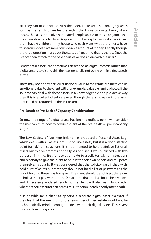attorney can or cannot do with the asset. There are also some grey areas such as the Family Share feature within the Apple products. Family Share means that a user can give nominated people access to music or games that they have downloaded from Apple without having to pay for it again. Given that I have 4 children in my house who each want what the other 3 have, this feature does save me a considerable amount of money! Legally though, there is a question mark over the status of anything that is shared. Does the licence then attach to the other parties or does it die with the user?

Sentimental assets are sometimes described as digital records rather than digital assets to distinguish them as generally not being within a deceased's estate.

There may not be any particular financial value to the estate but there can be emotional value to the client with, for example, valuable family photos. If the solicitor can deal with these assets in a knowledgeable and pro-active way then this is excellent client care even though there is no value in the asset that could be returned on the IHT return.

#### **Pre-Death or Pre-Lack of Capacity Considerations**

So now the range of digital assets has been identified, next I will consider the mechanics of how to advise a client at the pre-death or pre-incapacity stages.

The Law Society of Northern Ireland has produced a Personal Asset Log<sup>3</sup> which deals with all assets, not just on-line assets, but it is a good starting point for taking instructions. It is not intended to be a definitive list of all assets but to give prompts on the types of asset. It was published with two purposes in mind, first for use as an aide to a solicitor taking instructions and secondly to give the client to hold with their own papers and to update themselves regularly. It was considered that the solicitor can, if they wish, hold a list of assets but that they should not hold a list of passwords as the risk of holding these was too great. The client should be advised, therefore, to hold a list of passwords in a safe place and that the list should be reviewed and if necessary updated regularly. The client will also want to consider whether their executor can access this list before death or only after death.

It is possible for a client to appoint a separate digital asset executor if they feel that the executor for the remainder of their estate would not be technologically minded enough to deal with their digital assets. This is very much a developing area.

<sup>3</sup> https://www.lawsoc-ni.org/personal-asset-log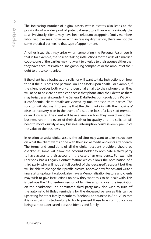The increasing number of digital assets within estates also leads to the possibility of a wider pool of potential executors than was previously the case. Previously, clients may have been reluctant to appoint family members who lived overseas, however with increasing digitisation, there are not the same practical barriers to that type of appointment.

Another issue that may arise when completing the Personal Asset Log is that if, for example, the solicitor taking instructions for the wills of a married couple, one of the parties may not want to divulge to their spouse either that they have accounts with on-line gambling companies or the amount of their debt to those companies.

If the client has a business, the solicitor will want to take instructions on how to split the business and personal on-line assets upon death. For example, if the client receives both work and personal emails to their phone then they will need to be clear on who can access that phone after their death as there may be issues arising under the General Data Protection Regulations ("GDPR)4 if confidential client details are viewed by unauthorised third parties. The solicitor will also want to ensure that the client links in with their business' disaster recovery plan in the event of a sudden loss of a key staff member or an IT disaster. The client will have a view on how they would want their business run in the event of their death or incapacity and the solicitor will need to move quickly as any business interruption could severely prejudice the value of the business.

In relation to social digital assets, the solicitor may want to take instructions on what the client wants done with their social media accounts after death. The terms and conditions of all the digital account providers should be checked as some will allow the account holder to nominate a third party to have access to their account in the case of an emergency. For example, Facebook has a Legacy Contact feature which allows the nomination of a third party who will not get full control of the deceased's account but they will be able to change their profile picture, approve new friends and write a final status update. Facebook also have a Memorialisation feature and clients may wish to give instructions on how they want this to be dealt with. This is perhaps the 21st century version of families arguing over the inscription on the headstone! The nominated third party may also wish to turn off the automatic birthday reminders for the deceased person as this can be upsetting for other family members. Facebook announced in April 2019 that it is now using its technology to try to prevent these types of notifications being sent to a deceased person's friends and family.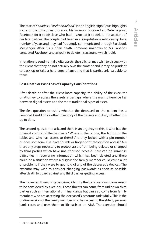The case of *Sabados v Facebook Ireland<sup>s</sup> i*n the English High Court highlights some of the difficulties this area. Ms Sabados obtained an Order against Facebook for it to disclose who had instructed it to delete the account of her late partner. The couple had been in a long-distance relationship for a number of years and they had frequently communicated through Facebook Messenger. After his sudden death, someone unknown to Ms Sabados contacted Facebook and asked it to delete his account, which it did.

In relation to sentimental digital assets, the solicitor may wish to discuss with the client that they do not actually own the content and it may be prudent to back up or take a hard copy of anything that is particularly valuable to them.

#### **Post-Death or Post-Loss of Capacity Considerations**

After death or after the client loses capacity, the ability of the executor or attorney to access the assets is perhaps where the main difference lies between digital assets and the more traditional types of asset.

The first question to ask is whether the deceased or the patient has a Personal Asset Log or other inventory of their assets and if so, whether it is up to date.

The second question to ask, and there is an urgency to this, is who has the physical control of the hardware? Where is the phone, the laptop or the tablet and who has access to them? Are they locked with a pin number or does someone else have thumb or finger-print recognition access? Are there any steps necessary to protect assets from being deleted or changed by third parties which have unauthorised access? There can be immense difficulties in recovering information which has been deleted and there could be a situation where a disgruntled family member could cause a lot of problems if they were to get hold of any of the deceased's devices. The executor may wish to consider changing passwords as soon as possible after death to guard against any third parties getting access.

The increased threat of cybercrime, identity theft and various scams needs to be considered by executor. These threats can come from unknown third parties such as international criminal gangs but can also come from family members who are accessing the deceased's accounts unlawfully. This is the on-line version of the family member who has access to the elderly person's bank cards and uses them to lift cash at an ATM. The executor should

<sup>5</sup> [2018] EWHC 2369 (QB)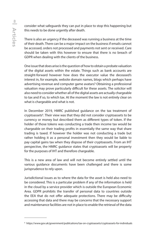consider what safeguards they can put in place to stop this happening but this needs to be done urgently after death.

There is also an urgency if the deceased was running a business at the time of their death. There can be a major impact on the business if emails cannot be accessed, orders not processed and payments not sent or received. Care should be taken with this however to ensure that there is no breach of GDPR when dealing with the clients of the business.

One issue that does arise is the question of how to obtain a probate valuation of the digital assets within the estate. Things such as bank accounts are straight-forward however how does the executor value the deceased's interest in, for example, website domain names, blogs which perhaps have advertising revenue and computer game avatars? Obtaining a professional valuation may prove particularly difficult for these assets. The solicitor will also need to consider whether all of the digital assets are actually chargeable to tax and if so, to which tax. At the moment the law is not entirely clear on what is chargeable and what is not.

In December 2019, HMRC published guidance on the tax treatment of cryptoassets<sup>6</sup>. Their view was that they did not consider cryptoassets to be currency or money but described them as different types of token. If the holder of those tokens was conducting a trade then income tax would be chargeable on their trading profits in essentially the same way that share trading is taxed. If however the holder was not conducting a trade but rather holding it as a personal investment then they would be liable to pay capital gains tax when they dispose of their cryptoassets. From an IHT perspective, the HMRC guidance states that cryptoassets will be property for the purposes of IHT and therefore chargeable.

This is a new area of law and will not become entirely settled until the various guidance documents have been challenged and there is some jurisprudence to rely upon.

Jurisdictional issues as to where the data for the asset is held also need to be considered. This is a particular problem if any of the information is held in the cloud by a service provider which is outside the European Economic Area. GDPR prohibits the transfer of personal data to countries outside the EEA that do not offer adequate protections. There may be difficulty accessing that data and there may be concerns that the necessary support and maintenance facilities are not in place to enable the retrieval of the data

<sup>6</sup> https://www.gov.uk/government/publications/tax-on-cryptoassets/cryptoassets-for-individuals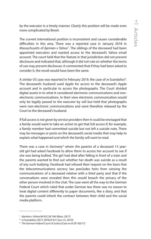by the executor in a timely manner. Clearly this position will be made even more complicated by Brexit.

The current international position is inconsistent and causes considerable difficulties in this area. There was a reported case in January 2018 in *Massachusetts of Ajemian v Yahoo*<sup>7</sup> . The siblings of the deceased had been appointed executors and wanted access to the deceased's Yahoo email account. The court held that the Statute in that jurisdiction did not prevent disclosure and indicated that, although it did not rule on whether the terms of use may prevent disclosure, it commented that if they had been asked to consider it, the result would have been the same.

A similar US case was reported in February 2019, the case of *re Scandalios* <sup>8</sup> . The deceased's husband sued Apple for access to the deceased's Apple account and in particular to access the photographs. The Court divided digital assets in to what it considered electronic communications and nonelectronic communications. In their view electronic communication would only be legally passed to the executor by will but held that photographs were non-electronic communications and were therefore released by the Court to the deceased's husband.

If full access is not given by service providers then it could be envisaged that a family would want to take an action to get that full access if, for example, a family member had committed suicide but not left a suicide note. There may be messages or posts on the deceased's social media that may help to explain what happened and which the family will want to read.

There was a case in Germany<sup>9</sup> where the parents of a deceased 15 yearold girl had asked Facebook to allow them to access her account to see if she was being bullied. The girl had died after falling in front of a train and the parents wanted to find out whether her death was suicide as a result of any such bullying. Facebook had refused their request on the basis that the telecommunications secrecy law precludes heirs from viewing the communications of a deceased relative with a third party and that if the conversations were revealed then this would breach the privacy of the other person involved in the chat. The case went all the way to the German Federal Court which ruled that under German law there was no reason to treat digital content differently to paper documents, like a diary, and that the parents could inherit the contract between their child and the social media platform.

<sup>7</sup>*Ajemian v Yahoo* 84 N.E.3d 766 (Mass. 2017)

<sup>8</sup> *re Scandalios* (2017-2976/A N.Y. Surr. Ct. 2019)

<sup>9</sup> *The German Federal Court of Justice (Case no III ZR 183/17)*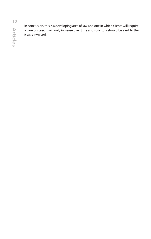In conclusion, this is a developing area of law and one in which clients will require a careful steer. It will only increase over time and solicitors should be alert to the issues involved.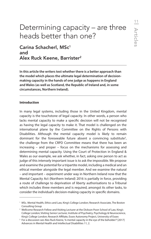# <span id="page-14-0"></span>Determining capacity – are three heads better than one?

## Carina Schacherl, MSc<sup>1</sup> and Alex Ruck Keene, Barrister2

**In this article the writers test whether there is a better approach than the model which places the ultimate legal determination of decisionmaking capacity in the hands of one judge as happens in England and Wales (as well as Scotland, the Republic of Ireland and, in some circumstances, Northern Ireland).**

#### **Introduction**

In many legal systems, including those in the United Kingdom, mental capacity is the touchstone of legal capacity. In other words, a person who lacks mental capacity to make a specific decision will not be recognised as having the legal capacity to make it. That model is challenged on the international plane by the Committee on the Rights of Persons with Disabilities. Although the mental capacity model is likely to remain dominant for the foreseeable future absent a convincing substitute<sup>3</sup>, the challenge from the CRPD Committee means that there has been an increasing – and proper – focus on the mechanisms for assessing and determining mental capacity. Using the Court of Protection in England & Wales as our example, we ask whether, in fact, asking one person to act as judge of this intensely important issue is to ask the impossible. We propose and examine the potential for a tripartite model, including a medical and an ethical member alongside the legal member. And we examine the natural – and important – experiment under way in Northern Ireland now that the Mental Capacity Act (Northern Ireland) 2016 is partially in force, providing a route of challenge to deprivation of liberty authorisations to a Tribunal which includes three members and is required, amongst its other tasks, to consider the individual's decision-making capacity in specific domains.

<sup>1</sup> MSc. Mental Health, Ethics and Law, King's College London; Research Associate, The Boston Consulting Group

<sup>2</sup> Wellcome Research Fellow and Visiting Lecturer at the Dickson Poon School of Law, King's College London; Visiting Senior Lecturer, Institute of Psychiatry, Psychology & Neuroscience, King's College London; Research Affiliate, Essex Autonomy Project, University of Essex

<sup>&</sup>lt;sup>3</sup> For a discussion see Alex Ruck Keene, 'Is mental capacity in the eye of the beholder?' [2017] Advances in Mental Health and Intellectual Disabilities 11, 2.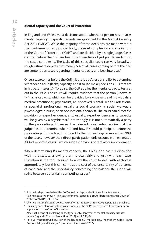#### **Mental capacity and the Court of Protection**

In England and Wales, most decisions about whether a person has or lacks mental capacity in specific regards are governed by the Mental Capacity Act 2005 ("MCA"). While the majority of these decisions are made without the involvement of any judicial body, the most complex cases come in front of the Court of Protection ("CoP") and are decided by a single judge. Cases coming before the CoP are heard by three tiers of judges, depending on the case's complexity. The tasks of this specialist court can vary broadly, a rough estimate depicts that merely 5% of all cases coming before the CoP are contentious cases regarding mental capacity and best interests.<sup>4</sup>

Once a case comes before the CoP, it is the judge's responsibility to determine 'whether an adult [lacks] capacity, and if so, [to make] decisions (…) that are in his best interests.'5 To do so, the CoP applies the mental capacity test set out in the MCA. The court will require evidence that the person (known as "P") lacks capacity, which can be provided by a wide range of individuals: a medical practitioner, psychiatrist; an Approved Mental Health Professional (a specialist professional, usually a social worker); a social worker; a psychologist; a nurse, or an occupational therapist. The court can direct the provision of expert evidence, and, usually, expert evidence as to capacity will be given by a psychiatrist.<sup>6</sup> Interestingly, P is not automatically a party to the proceedings. However, the relevant court rules require that the judge has to determine whether and how P should participate before the proceedings. In practice, P is joined to the proceedings in more than 90% of the cases, however their direct participation only occurrs in an estimated 33% of reported cases,<sup>7</sup> which suggest obvious potential for improvement.

When determining P's mental capacity, the CoP judge has full discretion within the statute, allowing them to deal fairly and justly with each case. Discretion is the tool required to allow the court to deal with each case appropriately, but this can come at the cost of the uncertainty of outcome of each case and the uncertainty concerning the balance the judge will strike between potentially competing values.<sup>8</sup>

<sup>4</sup> A more in-depth analysis of the CoP's caseload is provided in Alex Ruck Keene et al., 'Taking capacity seriously? Ten years of mental capacity disputes before England's Court of Protection' [2019] IntJ LP 56.

<sup>&</sup>lt;sup>5</sup> Cheshire West and Chester Council v P and M [2011] EWHC 1330 (COP) at para 52, per Baker J.<br><sup>6</sup> The categories of individuals who can complete the COP3 form required to accompany an

The categories of individuals who can complete the COP3 form required to accompany an application to the Court of Protection.

<sup>7</sup> Alex Ruck Keene et al., 'Taking capacity seriously? Ten years of mental capacity disputes before England's Court of Protection' [2019] IntJ LP 56, 64.

<sup>&</sup>lt;sup>8</sup> For a very thoughtful discussion of the issues, see Sir Mark Hedley, The Modern Judge: Power, Responsibility and Society's Expectations (LexisNexis 2016).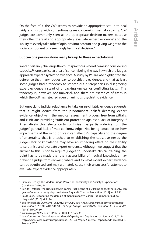On the face of it, the CoP seems to provide an appropriate set-up to deal fairly and justly with contentious cases concerning mental capacity. CoP judges are commonly seen as the appropriate decision-makers because they offer the 'skills to appropriately evaluate expert evidence' and the 'ability to evenly take others' opinions into account and giving weight to the social component of a seemingly technical decision.<sup>9</sup>

#### **But can one person alone really live up to these expectations?**

We can certainly challenge the court's practices when it comes to considering capacity, $10$  one particular area of concern being the way in which the judges approach expert psychiatric evidence. A study by Paula Case highlighted the deference that many judges pay to psychiatric evidence, and that at least some judges had a tendency to smooth out discrepancies in disagreeing expert evidence instead of unpacking unclear or conflicting facts.<sup>11</sup> This tendency is, however, not universal, and there are examples of cases in which the CoP has rejected even unanimous psychiatric evidence.<sup>12</sup>

But unpacking judicial reluctance to 'take on' psychiatric evidence suggests that it might derive from the predominant beliefs deeming expert evidence 'objective',<sup>13</sup> the medical assessment process free from pitfalls, and clinicians providing 'sufficient protection against a lack of integrity.<sup>14</sup> Alternatively, this reluctance to scrutinise may partially derive from the judges' general lack of medical knowledge. Not being educated on how impairments of the mind or brain can affect P's capacity and the degree of uncertainty that is attached to establishing the causative nexus, the judge's lack of knowledge may have an impeding effect on their ability to scrutinise and evaluate expert evidence. Although we suggest that the answer to this is not to require judges to undertake clinical training, the point has to be made that the inaccessibility of medical knowledge may prevent a judge from *knowing* where and to what extent expert evidence can be scrutinised and may ultimately cause their unsuccessful attempt to evaluate expert evidence appropriately.

<sup>9</sup> Sir Mark Hedley, The Modern Judge: Power, Responsibility and Society's Expectations (LexisNexis 2016), 14

<sup>&</sup>lt;sup>10</sup> See, for instance, the critical analysis in Alex Ruck Keene et al., 'Taking capacity seriously? Ten years of mental capacity disputes before England's Court of Protection' [2019] IntJ LP 56.

<sup>11</sup> Paula Case, 'Negotiating the domain of mental capacity: Clinical judgement or judicial diagnosis?' [2016] MLI 174

<sup>12</sup> See for example *CC v KK v STCC* [2012] EWCOP 2136; *Re SB (A Patient: Capacity to consent to Termination*) [2013] EWHC 1417 (COP); *King's College Hospital NHS Foundation Trust v C and V* [2015] EWCOP 80.

<sup>13</sup> *Winterwerp v Netherlands* [1997] 2 EHRR 387, para 39.

<sup>&</sup>lt;sup>14</sup> Law Commission Consultation on Mental Capacity and Deprivation of Liberty 2015, 7.174 http://www.lawcom.gov.uk/app/uploads/2015/07/cp222\_mental\_capacity.pdf, accessed 10 January 2020.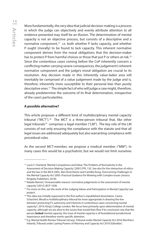More fundamentally, the very idea that judicial decision-making is a process in which the judge can objectively and evenly attribute attention to all evidence presented may itself be an illusion. The determination of mental capacity is not an objective process, but consists of a descriptive and a normative component,<sup>15</sup> i.e. both whether P lacks capacity, and whether P ought (morally) to be found to lack capacity. This inherent normative component derives from the moral obligations that the decision-maker has to protect P from harmful choices or those that put P or others at risk.16 Since the contentious cases coming before the CoP inherently concern a conflicting matter carrying severe consequences, the judgement's inherent normative component and the judge's moral obligation are crucial to its resolution. Any decision made in this inherently value-laden area will inevitably be comprised of a value judgement made by the judge and is, therefore, inherently more susceptible to their personal bias than purely descriptive ones.17 The simple fact of who will judge a case might, therefore, already predetermine the outcome of its final determination, irrespective of the case's particularities.

#### **A possible alternative?**

This article proposes a different kind of multidisciplinary mental capacity tribunal ("MCT").18 The MCT is a three-person tribunal that, like other legal tribunals<sup>19</sup> comprises a legal member ("LM"). The key role of the LM consists of not only ensuring the compliance with the statute and that all legal issues are addressed adequately but also warranting compliance with procedural rules.

As the second MCT-member, we propose a medical member ("MM"). In many cases this would be a psychiatrist, but we would not limit ourselves

<sup>&</sup>lt;sup>15</sup> Louis C Charland, 'Mental Competence and Value: The Problem of Normativity in the Assessment of Decision-Making Capacity' [2001] PPL 135. See also for the interaction of ethics and the law in the MCA 2005, Alex Ruck Keene and Camillia Kong, Overcoming Challenges in the Mental Capacity Act 2005: Practical Guidance for Working with Complex Issues (Jessica Kingsley Publishers, 2018).

<sup>&</sup>lt;sup>16</sup> Natalie Banner, 'Unreasonable reasons: normative judgements in the assessment of mental capacity' [2012] JECP 1038.

<sup>&</sup>lt;sup>17</sup> For more on this, see the work of the Judging Values and Participation in Mental Capacity Law project.

<sup>&</sup>lt;sup>18</sup> This idea was initially expressed in the first author's unpublished dissertation. Carina Schacherl, Would a multidisciplinary tribunal be more appropriate in drawing the line between protecting P's autonomy and interests in contentious cases concerning mental capacity?, 2019, King's College London. We focus here primarily upon determination of mental capacity; although we are alive to the issues that would then flow if its conclusion was that the person **lacked** mental capacity, the issue of mental capacity is of foundational jurisdictional importance and therefore merits specific attention.

<sup>19</sup> E.g. Mental Health Review Tribunal (Jersey), Tribunal under Mental Capacity Act 2016 (Northern Ireland), Tribunal under Lasting Powers of Attorney and Capacity Act 2018 (Gibraltar).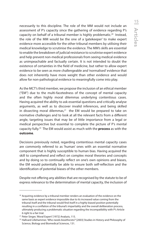necessarily to this discipline. The role of the MM would not include an assessment of P's capacity since the gathering of evidence regarding P's capacity on behalf of a tribunal member is highly problematic.20 Instead, the role of the MM would be the one of a 'gatekeeper' to make expert evidence more accessible for the other tribunal members by utilising their medical knowledge to scrutinise the evidence. The MM's skills are essential to enable the breakdown of judicial resistance to scrutinise expert evidence and help prevent non-medical professionals from seeing medical evidence as unimpeachable and factually certain. It is not intended to doubt the existence of certainties in the field of medicine, but rather to allow expert evidence to be seen as more challengeable and 'normalised' evidence that does not inherently have more weight than other evidence and would allow for non-pathological evidence to meaningfully come into play.

As the MCT's third member, we propose the inclusion of an ethical member ("EM") due to the multi-facetedness of the concept of mental capacity and the often highly moral dilemmas underlying contentious cases. Having acquired the ability to ask essential questions and critically analyse arguments, as well as to discover invalid inferences, and being skilled in dissecting moral dilemmas, $21$  the EM would be prepared to take on normative challenges and to look at all the relevant facts from a different angle, targeting issues that may be of little importance from a legal or medical perspective but essential to complete the picture of P's mental capacity fully.22 The EM would assist as much with the **process** as with the **outcome**.

Decisions previously noted, regarding contentious mental capacity cases are commonly referred to as 'human' ones with an essential normative component that is highly susceptible to human bias. Having acquired the skill to comprehend and reflect on complex moral theories and concepts and by doing so to continually reflect on one's own opinions and biases, the EM would potentially be able to ensure both self-reflection and the identification of potential biases of the other members.

Despite not offering any abilities that are recognised by the statute to be of express relevance to the determination of mental capacity, the inclusion of

 $20$  Acquiring evidence by a tribunal member renders an evaluation of the evidence on the same basis as expert evidence impossible due to its increased value coming from the tribunal itself and the tribunal would find itself in a highly biased position potentially resulting in a conflation of the tribunal's impartiality and the overall deliberation process, ultimately producing a problematic situation regarding the incompatibility with P's Article 6 right to a fair trial.

<sup>21</sup> Peter Singer, 'Moral Expert' [1972] Analysis, 115.

<sup>&</sup>lt;sup>22</sup> Hallvard Lillehammer, 'Who needs bioethicists?' [2003] Studies in History and Philosophy of Science, Biology and Biomedical Sciences, 131.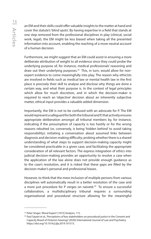an EM and their skills could offer valuable insights to the matter at hand and cover the statute's 'blind spots'. By having expertise in a field that stands at one step removed from the professional disciplines in play (clinical, social work, legal), the EM might be less biased when taking all the presented information into account, enabling the reaching of a more neutral account of a human decision.

Furthermore, we might suggest that an EM could assist in ensuring a more deliberate attribution of weight to all evidence since they could probe the underlying purpose of, for instance, medical professionals' reasoning and draw out their underlying purposes.<sup>23</sup> This, in turn, would allow for nonexpert evidence to come meaningfully into play. The reason why ethicists are involved in fields such as medical law or mental health law in the first place is precisely their skill to analyse and disclose why things are done a certain way, and what their purpose is. In the context of legal principles which allow for much discretion, and in which the decision-maker is required to reach an 'objective' decision about an inherently subjective matter, ethical input provides a valuable added dimension.

Importantly, the EM is not to be confused with an advocate for P. The EM would represent a safeguard for both the tribunal and P, that actively ensures appropriate deliberation amongst all tribunal members by, for instance, indicating if the presumption of capacity is too hastily or for the wrong reasons rebutted (or, conversely, is being 'hidden behind' to avoid taking responsibility); initiating a conversation about assumed links between diagnosis and decision-making difficulty; probing whether there is a shared understanding of what steps to support decision-making capacity might be considered practicable in a given case; and facilitating the appropriate consideration of all relevant factors. The express integration of ethics into judicial decision-making provides an opportunity to resolve a case when the application of the law alone does not provide enough guidance as to the case's resolution, and it is risked that these gaps are filled by the decision-maker's personal and professional biases.

However, to think that the mere inclusion of multiple persons from various disciplines will automatically result in a better resolution of the case and a more just procedure for P verges on naiveté.<sup>24</sup> To ensure a successful collaboration, a multidisciplinary tribunal requires a surrounding organisational and procedural structure allowing for the meaningful

<sup>23</sup> Peter Singer, 'Moral Expert' [1972] Analysis, 115.

<sup>&</sup>lt;sup>24</sup> Paul Sayani et al., 'Perceptions of key stakeholders on procedural justice in the Consent and Capacity Board of Ontario's hearings' [2020] International Journal of Law and Psychiatry, https://doi.org/10.1016/j.ijlp.2019.101515.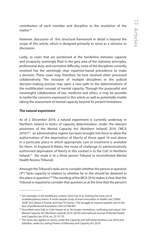contribution of each member and discipline to the resolution of the matter.<sup>25</sup>

However, discussion of this structural framework in detail is beyond the scope of this article, which is designed primarily to serve as a stimulus to discussion.

Lastly, as cases that are positioned at the borderline between capacity and incapacity seemingly float in the grey area of the statutory principles, professional duty, and normative difficulty, none of the disciplines currently involved has the seemingly clear expertise-based precedence to make a decision. These cases may, therefore, be best resolved when processed collaboratively. The inclusion of multiple disciplines in the judicial decision-making process may open a new path to the determinations of the multifaceted concept of mental capacity. Through the purposeful and meaningful collaboration of law, medicine and ethics, it may be possible to tackle the concerns expressed in this article as well as potentially enable taking the assessment of mental capacity beyond its present limitations.

#### **The natural experiment**

As of 2 December 2019, a natural experiment is currently underway in Northern Ireland in terms of capacity determination. Under the relevant provisions of the Mental Capacity Act (Northern Ireland) 2016 ('MCA  $2016'$ <sup>26</sup>, an administrative regime has been brought into force to allow the authorisation of the deprivation of liberty of those aged 16 and above in a particular place in which appropriate care or treatment is available for them. In England & Wales, the route of challenge to administratively authorised deprivation of liberty in this context is to the CoP; in Northern Ireland,<sup>27</sup> the route is to a three person Tribunal (a reconstituted Mental Health Review Tribunal).

Amongst the Tribunal's tasks are to consider whether the person in question ('P') "lacks capacity in relation to whether he or she should be detained in the place in question."28 The wording of the MCA 2016 makes it clear that the Tribunal is required to consider that question as at the time that the person's

 $25$  See examples in the healthcare context: Doris Fay et al, 'Getting the most out of multidisciplinary teams: A multi‐sample study of team innovation in health care' [2006] JOOP 553; Alison E Powell, and Huw TO Davies, 'The struggle to improve patient care in the face of professional boundaries' [2012] SSM 807.

<sup>&</sup>lt;sup>26</sup> Described more fully in Colin Harper et al, 'No longer 'anomalous, confusing and unjust': the Mental Capacity Act (Northern Ireland) 2016.' [2016] International Journal of Mental Health and Capacity Law 2016, no. 22: 57-70.

<sup>&</sup>lt;sup>27</sup> The same also applies in Jersey, under the Capacity and Self-Determination Law 2016 and Gibraltar, under its Lasting Powers of Attorney and Capacity Act 2018.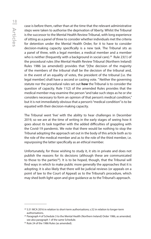Articles <u> 18</u>

case is before them, rather than at the time that the relevant administrative steps were taken to authorise the deprivation of liberty. Whilst the Tribunal is the successor to the Mental Health Review Tribunal, with long experience of sitting as a panel of three to consider whether individuals met the criteria for detention under the Mental Health Order, for it to have to consider decision-making capacity specifically is a new task. The Tribunal sits as a panel of three, with a legal member, a medical member and a member who is neither (frequently with a background in social care).<sup>29</sup> Rule 23(1) of the procedural rules (the Mental Health Review Tribunal (Northern Ireland) Rules 1986 (as amended)) provides that "[t]he decision of the majority of the members of the tribunal shall be the decision of the tribunal and, in the event of an equality of votes, the president of the tribunal [i.e. the legal member] shall have a second or casting vote. " Neither the governing statute nor the procedural rules set out **how** the Tribunal is to consider the question of capacity. Rule 11(2) of the amended Rules provides that the medical member may examine the person "and take such steps as he or she considers necessary to form an opinion of that person's medical condition," but it is not immediately obvious that a person's "medical condition" is to be equated with their decision-making capacity.

The Tribunal went 'live' with the ability to hear challenges in December 2019, so we are at the time of writing in the early stages of seeing how it goes about its task together with the added difficulties of grappling with the Covid-19 pandemic. We note that there would be nothing to stop the Tribunal adopting the approach set out in the body of this article both as to the role of the medical member and as to the role of the third member, i.e. repurposing the latter specifically as an ethical member.

Unfortunately, for those wishing to study it, it sits in private and does not publish the reasons for its decisions (although these are communicated to those to the parties<sup>30</sup>). It is to be hoped, though, that the Tribunal will find ways in which to make public more generally the approaches that it is adopting; it is also likely that there will be judicial reviews (or appeals on a point of law to the Court of Appeal) as to the Tribunal's procedure, which may shed both light upon and give guidance as to the Tribunal's approach.

<sup>&</sup>lt;sup>28</sup> S.51 MCA 2016 in relation to short-term authorisations; s.52 in relation to longer-term authorisations.

 $29$  Paragraph 4 of Schedule 3 to the Mental Health (Northern Ireland) Order 1986, as amended; see also paragraph 1 of the same Schedule.

<sup>&</sup>lt;sup>30</sup> Rule 24 of the 1986 Rules (as amended).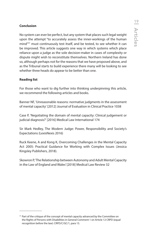No system can ever be perfect, but any system that places such legal weight upon the attempt "to accurately assess the inner-workings of the human mind<sup>"31</sup> must continuously test itself, and be tested, to see whether it can be improved. This article suggests one way in which systems which place reliance upon a judge as the sole decision-maker in cases of complexity or dispute might wish to reconstitute themselves. Northern Ireland has done so, although perhaps not for the reasons that we have proposed above, and as the Tribunal starts to build experience there many will be looking to see whether three heads do appear to be better than one.

#### **Reading list**

For those who want to dig further into thinking underpinning this article, we recommend the following articles and books.

Banner NF, 'Unreasonable reasons: normative judgments in the assessment of mental capacity' [2012] Journal of Evaluation in Clinical Practice 1038

Case P, 'Negotiating the domain of mental capacity: Clinical judgement or judicial diagnosis?' [2016] Medical Law International 174

Sir Mark Hedley, The Modern Judge: Power, Responsibility and Society's Expectations (LexisNexis 2016)

Ruck Keene, A and Kong K, Overcoming Challenges in the Mental Capacity Act 2005: Practical Guidance for Working with Complex Issues (Jessica Kingsley Publishers, 2018).

Skowron P, 'The Relationship between Autonomy and Adult Mental Capacity in the Law of England and Wales' [2018] Medical Law Review 32

<sup>&</sup>lt;sup>31</sup> Part of the critique of the concept of mental capacity advanced by the Committee on the Rights of Persons with Disabilities in General Comment 1 on Article 12 CRPD (equal recognition before the law): CRPD/C/GC/1, para 15.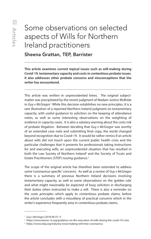# <span id="page-23-0"></span>Some observations on selected aspects of Wills for Northern Ireland practitioners

## Sheena Grattan, TEP, Barrister

**This article examines current topical issues such as will-making during Covid-19, testamentary capacity and costs in contentious probate issues. It also addresses other probate concerns and misconceptions that the writer has encountered.**

This article was written in unprecedented times. The original subjectmatter was precipitated by the recent judgment of Madam Justice McBride in *Guy v McGregor*.1 While this decision establishes no new principles, it is a rare illustration of a reported Northern Ireland judgment on testamentary capacity, with useful guidance to solicitors on the keeping of attendance notes, as well as some interesting observations on the weighting of evidence in capacity cases. It is also a salutary warning about the costs risk of probate litigation. Between deciding that *Guy v McGregor* was worthy of an extended case note and submitting final copy, the world changed beyond recognition due to Covid-19. It would be rather remiss if an article about wills did not touch upon the current public health crisis and the particular challenges that it presents for professionals taking instructions for and executing wills, an unprecedented situation that has resulted in both the Law Society of Northern Ireland<sup>2</sup> and the Society of Trusts and Estate Practitioners (STEP) issuing guidance.3

The scope of the original article has therefore been extended to address some 'coronavirus-specific' concerns. As well as a review of *Guy v McGregor*  there is a summary of previous Northern Ireland decisions involving testamentary capacity, as well as some observations on the 'golden rule' and what might reasonably be expected of busy solicitors in discharging their duties when instructed to make a will. There is also a reminder on the costs principles which apply to contentious probate claims, before the article concludes with a miscellany of practical concerns which in the writer's experience frequently arise in contentious probate claims.

<sup>1</sup> *Guy v McGregor [2019] NI Ch 17.*

<sup>2</sup> https://www.lawsoc-ni.org/guidance-on-the-execution-of-wills-during-the-covid-19-crisis

<sup>3</sup> https://www.step.org/industry-news/making-will-time-coronavirus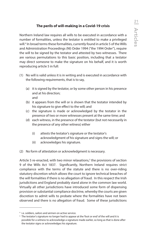## **The perils of will-making in a Covid-19 crisis**

Northern Ireland law requires all wills to be executed in accordance with a number of formalities, unless the testator is entitled to make a privileged will.4 In broad terms these formalities, currently found in article 5 of the Wills and Administration Proceedings (NI) Order 1994 ("the 1994 Order"), require the will to be signed by the testator and attested by two witnesses. There are various permutations to this basic position, including that a testator may direct someone to make the signature on his behalf, and it is worth reproducing article 5 in full:

- (1) No will is valid unless it is in writing and is executed in accordance with the following requirements, that is to say,
	- (a) it is signed by the testator, or by some other person in his presence and at his direction; and
	- (b) it appears from the will or is shown that the testator intended by his signature to give effect to the will; and
	- (c) the signature is made or acknowledged by the testator in the presence of two or more witnesses present at the same time; and
	- (d) each witness, in the presence of the testator (but not necessarily in the presence of any other witness) either
		- (i) attests the testator's signature or the testator's acknowledgment of his signature and signs the will; or
		- (ii) acknowledges his signature.
- (2) No form of attestation or acknowledgment is necessary.

Article 5 re-enacted, with two minor relaxations,<sup>5</sup> the provisions of section 9 of the Wills Act 1837. Significantly, Northern Ireland requires strict compliance with the terms of the statute and there is no over-riding statutory discretion which allows the court to ignore technical breaches of the will formalities if there is no allegation of fraud. In this respect the Irish jurisdictions and England probably stand alone in the common law world. Virtually all other jurisdictions have introduced some form of dispensing provision or substantial compliance doctrine, whereby the courts are given discretion to admit wills to probate where the formalities have not been observed and there is no allegation of fraud. Some of these jurisdictions

<sup>4</sup> i.e. soldiers, sailors and airmen on active service.

<sup>&</sup>lt;sup>5</sup> The testator's signature no longer had to appear at the 'foot or end' of the will and it is possible for a witness to acknowledge a signature made earlier, so long as that is done after the testator signs or acknowledges his signature.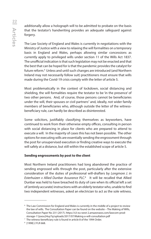additionally allow a holograph will to be admitted to probate on the basis that the testator's handwriting provides an adequate safeguard against forgery.

The Law Society of England and Wales is currently in negotiations with the Ministry of Justice with a view to relaxing the will formalities on a temporary basis in England and Wales, perhaps allowing similar concessions as currently apply to privileged wills under section 11 of the Wills Act 1837. The unofficial indication is that such legislation may not be enacted and that the best that can be hoped for is that the pandemic provides the catalyst for future reform.<sup>6</sup> Unless and until such changes are introduced (and Northern Ireland may not necessarily follow suit) practitioners must ensure that wills made during the Covid-19 crisis comply with the letter of article 5.

Most problematically in the context of lockdown, social distancing and shielding, the will formalities require the testator to be 'in the presence' of two other persons. And, of course, those persons cannot be beneficiaries under the will, their spouses or civil partners<sup>7</sup> and, ideally, not wider family members of beneficiaries who, although outside the letter of the witnessbeneficiary rule, can hardly be described as disinterested.

Some solicitors, justifiably classifying themselves as keyworkers, have continued to work from their otherwise empty offices, consulting in person with social distancing in place for clients who are prepared to attend to execute a will. In the majority of cases this has not been possible. The other options for executing wills are essentially sending the engrossment through the post for unsupervised execution or finding creative ways to execute the will safely at a distance, but still within the established scope of article 5.

#### **Sending engrossments by post to the client**

Most Northern Ireland practitioners had long abandoned the practice of sending engrossed wills through the post, particularly after the extensive consideration of the duties of professional will-drafters by *Longmore J. in Esterhuizen v Allied Dunbar Assurance PLC*. 8 It will be recalled that Allied Dunbar was held to have breached its duty of care when its official left a set of (entirely accurate) instructions with an elderly testator who, unable to find two independent witnesses, asked an electrician to act as the sole witness.

<sup>&</sup>lt;sup>6</sup> The Law Commission for England and Wales is currently in the middle of a project to review the law of wills. The Consultation Paper can be found on the website – The Making of Wills, Consultation Paper No 231 (2017). https://s3-eu-west-2.amazonaws.com/lawcom-prodstorage-11jsxou24uy7q/uploads/2017/07/Making-a-will-consultation.pdf

<sup>&</sup>lt;sup>7</sup> The witness-beneficiary rule is found in article 8 of the 1994 Order.

<sup>8</sup> [1998] 2 FLR 668.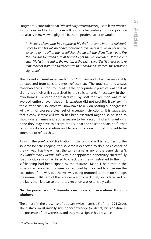Longmore J. concluded that *"[i]n ordinary circumstances* just to leave written instructions and to do no more will not only be contrary to good practice but also is in my view negligent." Rather, a prudent solicitor would:

 *"…invite a client who has approved his draft to come into the solicitor's office to sign his will and have it attested. If a client is unwilling or unable to come to the office then a solicitor should ask the client if he would like the solicitor to attend him at home to get the will executed. If the client says "No" it is the end of the matter. If the client says "Yes" it is easy to take a member of staff who together with the solicitor can witness the testator's signature."*

The current circumstances are far from 'ordinary' and what can reasonably be expected from solicitors must reflect that. The touchstone is always reasonableness. Prior to Covid-19 the only prudent practice was that all clients had their wills supervised by the solicitor and, if necessary, in their own homes. Sending engrossed wills by post for execution was to be avoided entirely (even though *Esterhuizan* did not prohibit it *per se*). In the current crisis solicitors will now have to rely on posting out engrossed wills with, of course, a clear set of accurate instructions. It is suggested that a copy sample will which has been executed might also be sent, to show where names and addresses are to be placed. If clients want wills done they may have to accept the risk that the solicitor bears no further responsibility for execution and letters of retainer should if possible be amended to reflect this.

As with the pre-Covid-19 situation, if the original will is returned to the solicitor for safe-keeping, the solicitor is expected to do a basic check of the will (e.g. has the witness the same name as any of the beneficiaries?). In *Humblestone v Martin Tolhurst*9 a disappointed beneficiary successfully sued solicitors who had failed to check that the will returned to them for safekeeping had been signed by the testator. Mann J. held that in the situation where solicitors were not required by the client to supervise the execution of the will, but the will was being returned to them for storage, the normal fulfilment of the retainer was to check that, on its face, and on the facts then known to them, its execution was ostensibly valid.

#### **"In the presence of…": Remote executions and executions through windows**

The phrase 'in the presence of' appears twice in article 5 of the 1994 Order. The testator must initially sign or acknowledge (or direct) his signature in the presence of the witnesses and they must sign in his presence.

<sup>9</sup> The Times, February 29th, 2004.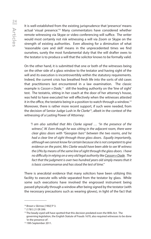It is well-established from the existing jurisprudence that 'presence' means actual 'visual presence.'10 Many commentators have considered whether remote witnessing via Skype or video conferencing will suffice. The writer would most certainly not risk witnessing a will via Zoom or Skype on the strength of existing authorities. Even allowing for a diminution of what 'reasonable care and skill' means in the unprecedented times we find ourselves, surely the most fundamental duty that the will drafter owes to the testator is to produce a will that the solicitor knows to be formally valid.

On the other hand, it is submitted that one or both of the witnesses being on the other side of a glass window to the testator and having sight of the will and its execution is incontrovertibly within the statutory requirements. Indeed, the current crisis has breathed fresh life into the sorts of old cases that practitioners last encountered in a law examination. The classic example is *Casson v Dade*,<sup>11</sup> still the leading authority on the 'line of sight' test. The testatrix, sitting in her coach at the door of her attorney's house, was held to have executed her will effectively when the witnesses attested it in the office, the testatrix being in a position to watch through a window.<sup>12</sup> Moreover, there is rather more recent support, if such were needed, from the decision of Senior Judge Lush in *Re Clarke*13, albeit in the context of the witnessing of a Lasting Power of Attorney:

*"I am also satisfied that Mrs Clarke signed … "in the presence of the witness", W. Even though he was sitting in the adjacent room, there were clear glass doors with "Georgian bars" between the two rooms, and he had a clear line of sight through those glass doors. Equally importantly, although we cannot know for certain because she is not competent to give evidence on the point, Mrs Clarke would have been able to see W witness the LPAs by means of the same line of sight through the glass doors. I have no difficulty in relying on a very old legal authority like Casson v Dade. The*  fact that the judgment is over two hundred years old simply means that it *is basic commonsense and has stood the test of time."*

There is anecdotal evidence that many solicitors have been utilizing this facility to execute wills while separated from the testator by glass. While some such executions have involved the engrossed instrument being passed physically through a window after being signed by the testator (with the necessary precautions such as wearing gloves), in light of the fact that

<sup>10</sup> *Brown v Skirrow [1902]* P 3.

<sup>11</sup> (1781) 21 ER 399.

<sup>&</sup>lt;sup>12</sup> The beady-eyed will have spotted that this decision predated even the Wills Act. The governing legislation, the English Statute of Frauds 1670, also required witnesses to be done 'in the presence of'.

<sup>13</sup> 19th September 2011.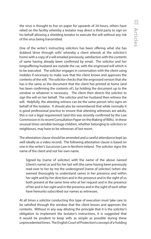the virus is thought to live on paper for upwards of 24 hours, others have relied on the facility whereby a testator may direct a third party to sign on his behalf allowing a shielding testator to execute the will without any risk of the virus being transmitted.

One of the writer's instructing solicitors has been offering what she has dubbed 'drive through wills' whereby a client attends at the solicitor's home with a copy of a will emailed previously, satisfaction with the contents of same having already been confirmed by email. The solicitor and her longsuffering husband are outside the car, with the engrossed will which is to be executed. The solicitor engages in conversation with the client using mobiles if necessary to make sure that the client knows and approves the contents of the will. The solicitor checks that the engrossed version that she has is the same as the document that the client has printed at home (and has been confirming the contents of), by holding the document up to the window or whatever is necessary. The client then directs the solicitor to sign the will on her behalf. The solicitor and her husband then witness the will. Helpfully, the attesting witness can be the same person who signs on behalf of the testator. It should also be remembered that while normally it is good professional practice to ensure that attesting witnesses are adults, this is not a legal requirement (and this was recently confirmed by the Law Commission in its recent Consultation Paper on the Making of Wills). In these unusual times sensible teenage children, whether belonging to solicitors or neighbours, may have to be witnesses of last resort.

The attestation clause should be amended and a careful attendance kept (as well ideally as a video record). The following attestation clause is based on one in the writer's *Succession Law in Northern Ireland*. The solicitor signs the name of the client and not her own name.

 Signed by [name of solicitor] with the name of the above named [client's name] as and for her last will (the same having been previously read over to her by me the undersigned [name of solicitor] (when she seemed thoroughly to understand same) in her presence and within her sight and by her direction and in the presence and in the sight of us both present at the same time who at her request and in the presence of her and in her sight and in the presence and in the sight of each other have hereunto subscribed our names as witnesses.

At all times a solicitor conducting this type of execution must take care to be satisfied through the window that the client knows and approves the contents. Without in any way diluting the principle that it is the solicitor's obligation to implement the testator's instructions, it is suggested that it would be prudent to keep wills as simple as possible during these unprecedented times. The English Court of Protection's concept of a 'holding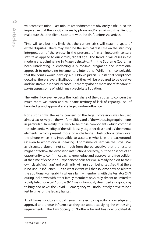will' comes to mind. Last minute amendments are obviously difficult, so it is imperative that the solicitor liaises by phone and/or email with the client to make sure that the client is content with the draft before she arrives.

Time will tell, but it is likely that the current crisis will spawn a spate of estate disputes. There may even be the seminal test case on the statutory interpretation of the phrase 'in the presence of' in a nineteenth century statute as applied to our virtual, digital age. The trend in will cases in the modern era, culminating in *Marley v Rawlings*14 in the Supreme Court, has been unrelenting in endorsing a purposive, pragmatic and intentional approach to upholding testamentary intentions. While it is inconceivable that the courts would develop a full-blown judicial substantial compliance doctrine, there is every likelihood that they will be prepared to be creative and facilitative in individual cases. There may also be more use of *donationes mortis causa*, some of which may precipitate litigation.

The writer, however, expects the lion's share of the disputes to concern the much more well-worn and mundane territory of lack of capacity, lack of knowledge and approval and alleged undue influence.

Not surprisingly, the early concern of the legal profession was focused almost exclusively on the will formalities and of the witnessing requirements in particular. In reality it is likely to be those components which comprise the substantial validity of the will, loosely together described as 'the mental elements', which present more of a challenge. Instructions taken over the phone when it is impossible to ascertain who is in the background. Or even to whom one is speaking. Engrossments sent via the Royal Mail as discussed above – not so much from the perspective that the testator might not follow the execution instructions correctly, but the absence of an opportunity to confirm capacity, knowledge and approval and free volition at the time of execution. Experienced solicitors will already be alert to their own classic 'red flags' and ordinarily will insist on being satisfied that there is no undue influence. But to what extent will that solicitor now be alert to the additional vulnerability when a family member is with the testator 24/7 during lockdown with other family members physically absent or limited to a daily telephone call? Just as 9/11 was infamously described as a 'good day to bury bad news', the Covid-19 emergency will undoubtedly prove to be a fertile time for the legacy hunter.

At all times solicitors should remain as alert to capacity, knowledge and approval and undue influence as they are about satisfying the witnessing requirements. The Law Society of Northern Ireland has now updated its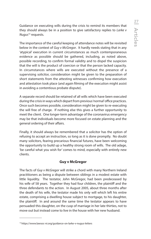Guidance on executing wills during the crisis to remind its members that they should always be in a position to give satisfactory replies to *Larke v Nugus*15 requests.

The importance of the careful keeping of attendance notes will be revisited below in the context of *Guy v McGregor*. It hardly needs stating that in any 'atypical' execution in current circumstances as much contemporaneous evidence as possible should be gathered, including, as noted above, possible recording, to confirm formal validity and to dispel the suspicion that the will is the product of coercion or that the person lacked capacity. In circumstances where wills are executed without the presence of a supervising solicitor, consideration might be given to the preparation of short statements from the attesting witnesses confirming how execution and attestation took place (and again filming of the execution might assist in avoiding a contentious probate dispute).

A separate record should be retained of all wills which have been executed during the crisis in ways which depart from previous 'normal' office practices. Once such becomes possible, consideration might be given to re-executing the will free of charge. If nothing else this gives a further opportunity to meet the client. One longer-term advantage of the coronavirus emergency may be that individuals become more focused on estate planning and the general ordering of their affairs.

Finally, it should always be remembered that a solicitor has the option of refusing to accept an instruction, so long as it is done promptly. No doubt many solicitors, fearing precarious financial futures, have been welcoming the opportunity to build up a healthy strong room of wills. The old adage, 'be careful what you wish for' comes to mind, especially with entirely new clients.

#### **Guy v McGregor**

The facts of *Guy v McGregor* will strike a chord with many Northern Ireland practitioners as being a dispute between siblings in a modest estate with little liquidity. The testator, John McGregor, had been predeceased by his wife of 58 years. Together they had four children, the plaintiff and the three defendants to the action. In August 2005, about three months after the death of his wife, the testator made his only will which left his entire estate, comprising a dwelling house subject to mortgage, to his daughter, the plaintiff. In and around the same time the testator appears to have persuaded this daughter, on the cusp of marriage in her late thirties, not to move out but instead come to live in the house with her new husband.

<sup>15</sup> https://www.lawsoc-ni.org/guidance-on-larke-v-nugus-letters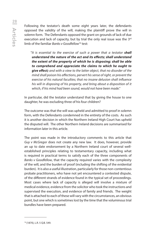Following the testator's death some eight years later, the defendants opposed the validity of the will, making the plaintiff prove the will in solemn form. The Defendants opposed the grant on grounds of lack of due execution and lack of capacity, but by trial the only real issue was the 3<sup>rd</sup> limb of the familiar *Banks v Goodfellow*16 test:

"It is essential to the exercise of such a power that a testator **shall** *understand the nature of the act and its effects; shall understand the extent of the property of which he is disposing; shall be able to comprehend and appreciate the claims to which he ought to give effect; and with a view to the latter object, that no disorder of the mind shall poison his affections, pervert his sense of right, or prevent the exercise of his natural faculties; that no insane delusion shall influence his will in disposing of his property, and bring about a disposition of it which, if his mind had been sound, would not have been made."*

In particular, did the testator understand that by giving the house to one daughter, he was excluding three of his four children?

The outcome was that the will was upheld and admitted to proof in solemn form, with the Defendants condemned in the entirety of the costs. As such it is another decision in which the Northern Ireland High Court has upheld the disputed will. The other Northern Ireland decisions are summarised for information later in this article.

The point was made in the introductory comments to this article that *Guy v McGregor* does not create any new law. It does, however, provide an up to date endorsement by a Northern Ireland court of several wellestablished principles relating to testamentary capacity, including what is required in practical terms to satisfy each of the three components of *Banks v Goodfellow*, that the capacity required varies with the complexity of the will, and the burden of proof (including the shifting of the evidential burden). It is also a useful illustration, particularly for those non-contentious probate practitioners, who have not yet encountered a contested dispute, of the different strands of evidence found in the typical set of proceedings. Most cases where lack of capacity is alleged will involve a mixture of medical evidence, evidence from the solicitor who took the instructions and supervised the execution, and evidence of family and friends. The weight that is attached to each of these will vary with the circumstances, an obvious point, but one which is sometimes lost by the time that the voluminous trial bundles have been prepared.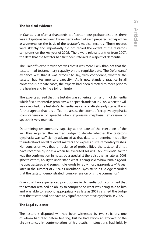#### **The Medical evidence**

In *Guy*, as is so often a characteristic of contentious probate disputes, there was a dispute as between two experts who had each prepared retrospective assessments on the basis of the testator's medical records. Those records were sketchy and importantly did not record the extent of the testator's symptoms on the key year of 2005. There were relevant entries from 2007, the date that the testator had first been referred in respect of dementia.

The Plaintiff's expert evidence was that it was more likely than not that the testator had testamentary capacity on the requisite date. The Defendants' evidence was that it was difficult to say, with confidence, whether the testator had testamentary capacity. As is now standard practice in all contentious probate cases, the experts had been directed to meet prior to the hearing and to file a joint minute.

The experts agreed that the testator was suffering from a form of dementia which first presented as problems with speech and that in 2005, when the will was executed, the testator's dementia was at a relatively early stage. It was further agreed that it is difficult to assess the extent of receptive dysphasia (comprehension of speech) when expressive dysphasia (expression of speech) is very marked.

Determining testamentary capacity at the date of the execution of the will thus required the learned Judge to decide whether the testator's dysphasia was sufficiently advanced at that date to undermine his ability to understand, recall relevant matters and express his testamentary wishes. Her conclusion was that, on balance of probabilities, the testator did not have receptive dysphasia when he executed his will. An influential factor was the confirmation in notes by a specialist therapist that as late as 2008 '[the testator's] ability to understand what is being said to him remains good, he uses gestures and some single words to reply most appropriately.' A year later, in the summer of 2009, a Consultant Psychiatrist in Old Age recorded that the testator demonstrated "comprehension of single commands."

Given that two experienced practitioners in dementia both confirmed that the testator retained an ability to comprehend what was being said to him and was able to respond appropriately as late as 2009 satisfied the Judge that the testator did not have any significant receptive dysphasia in 2005.

#### **The Legal evidence**

The testator's disputed will had been witnessed by two solicitors, one of whom had died before hearing, but he had sworn an affidavit of the circumstances in contemplation of his death. Instructions had initially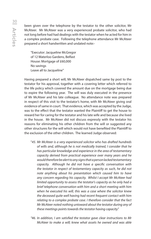been given over the telephone by the testator to the other solicitor, Mr McAteer. Mr McAteer was a very experienced probate solicitor, who had not long before had had dealings with the testator when he acted for him in a complex probate case. Following the telephone attendance Mr McAteer prepared a short handwritten and undated note:-

 "Executor: Jacqueline McGregor of 12 Waterloo Gardens, Belfast House: Mortgage of £60,000 No savings Leave all to Jacqueline"

Having prepared a short will, Mr McAteer dispatched same by post to the testator for his approval, together with a covering letter which referred to the life policy which covered the amount due on the mortgage being due to expire the following year. The will was duly executed in the presence of Mr McAteer and his late colleague. No attendance note was prepared in respect of this visit to the testator's home, with Mr McAteer giving oral evidence of same in court. That evidence, which was accepted by the Judge, was to the effect that the testator wanted the Plaintiff to get the house to reward her for caring for the testator and his late wife and because she lived in the house. Mr McAteer did not discuss expressly with the testator his reasons for eliminating his other children from the will or suggested any other structures for the will which would not have benefited the Plaintiff to the exclusion of the other children. The learned Judge observed:

- "*45. Mr McAteer is a very experienced solicitor who has drafted hundreds of wills and, although he is not medically trained, I consider that he has particular knowledge and experience in the area of testamentary capacity derived from practical experience over many years and he would therefore be alert to any signs that a person lacked testamentary capacity. Although he did not have a specific conversation with the testator in respect of testamentary capacity as such, he did not note anything about his presentation which caused him to have any concern regarding his capacity. Whilst I accept Mr McAteer had limited opportunity to assess the testator's capacity as he only had a brief telephone conversation with him and a short meeting with him when he executed his will, this was a case where the solicitor knew the deceased quite well having had recent frequent contact with him relating to a complex probate case. I therefore consider that the fact Mr McAteer noted nothing untoward about the testator during any of these meetings points towards the testator having capacity."*
- *"46. In addition, I am satisfied the testator gave clear instructions to Mr McAteer to make a will; knew what assets he owned and was able*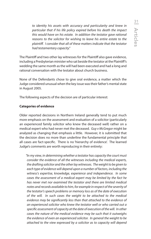*to identity his assets with accuracy and particularity and knew in particular that if his life policy expired before his death the impact this would have on his estate. In addition the testator gave rational reasons to the solicitor for wishing to leave his entire estate to the plaintiff. I consider that all of these matters indicate that the testator had testamentary capacity."*

The Plaintiff and two other lay witnesses for the Plaintiff also gave evidence, including a Presbyterian minister who sat beside the testator at the Plaintiff's wedding the same month as the will had been executed and had a long and rational conversation with the testator about church business.

None of the Defendants chose to give oral evidence, a matter which the Judge considered unusual when the key issue was their father's mental state in August 2005.

The following aspects of the decision are of particular interest:

#### **Categories of evidence**

Older reported decisions in Northern Ireland generally tend to put much more emphasis on the assessment and evaluation of a solicitor (particularly an experienced family solicitor who knew the deceased well) rather on a medical expert who had never met the deceased. *Guy v McGregor* might be analyzed as changing that emphasis a little. However, it is submitted that the decision does no more than underline the fundamental principle that all cases are fact-specific. There is no 'hierarchy of evidence'. The learned Judge's comments are worth reproducing in their entirety:

*"In my view, in determining whether a testator has capacity the court must consider the evidence of all the witnesses including the medical experts, the drafting solicitor and the other lay witnesses. The weight to be given to each type of evidence will depend upon a number of factors, including the witness's expertise, knowledge, experience and independence. In some cases the assessment of a medical expert may be limited by the fact he has never met nor examined the testator and there are limited medical notes and records available to him, for example in respect of the severity of the testator's speech problems or memory loss as of the date of execution of the will. In such cases the weight to be attached to the medical evidence may be significantly less than that attached to the evidence of an experienced solicitor who knew the testator well or who carried out a specific assessment of capacity at the date of execution of the will. In other cases the nature of the medical evidence may be such that it outweighs the evidence of even an experienced solicitor. In general the weight to be attached to the view expressed by a solicitor as to capacity will depend*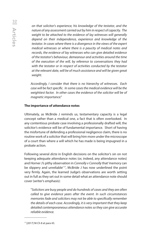*on that solicitor's experience, his knowledge of the testator, and the nature of any assessment carried out by him in respect of capacity. The weight to be attached to the evidence of lay witnesses will generally depend on their independence, experience and knowledge of the testator. In cases where there is a divergence in the views of the expert medical witnesses or where there is a paucity of medical notes and records, the evidence of lay witnesses who can give detailed evidence of the testator's behaviour, demeanour and activities around the time of the execution of the will, by reference to conversations they had with the testator or in respect of activities conducted by the testator at the relevant date, will be of much assistance and will be given great weight.*

 *Accordingly, I consider that there is no hierarchy of witnesses. Each case will be fact specific. In some cases the medical evidence will be the weightiest factor. In other cases the evidence of the solicitor will be of magnetic importance."* 

#### **The importance of attendance notes**

Ultimately, as McBride J reminds us, testamentary capacity is a legal concept rather than a medical one, a fact that is often overlooked. In any contentious probate case involving a professionally drafted will, the solicitor's evidence will be of fundamental importance. Short of having the misfortune of defending a professional negligence claim, there is no routine work of a solicitor that will bring him more under the microscope of a court than where a will which he has made is being impugned in a probate action.

Following several *dicta* in English decisions on the solicitor's sin on not keeping adequate attendance notes (or, indeed, any attendance notes) and Horner J's pithy observation in *Connolly v Connolly* that 'memory can be slippery and unreliable<sup>'17</sup>, McBride J has now underlined the point very firmly. Again, the learned Judge's observations are worth setting out in full as they set out in some detail what an attendance note should cover (writer's emphasis):

 "*Solicitors are busy people and do hundreds of cases and they are often called to give evidence years after the event. In such circumstances memories fade and solicitors may not be able to specifically remember the details of each case. Accordingly, it is very important that they keep detailed contemporaneous attendance notes so they can give accurate reliable evidence.* 

<sup>17 [2017]</sup> NI Ch 8 at para 43.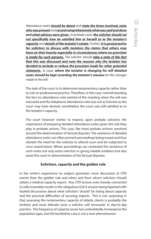*Attendance notes should be dated and state the times involved, state who was present and record comprehensively what was said and done and what advices were given. In probate cases the solicitor should set out specifically how he satisfied him or herself as to the testator's capacity and details of the testator's estate. Further, it is good practice for solicitors to discuss with testators the claims that others may have on their bounty especially in circumstances where no provision is made for such persons. The solicitor should take a note of the fact that this was discussed and note the reasons why the testator has decided to exclude or reduce the provision made for other potential claimants. In cases where the testator is changing his will detailed notes should be kept recording the testator's reasons for the changes made in the will.* 

 The task of the court is to determine testamentary capacity rather than to rule on professional practice. Therefore, in this case, notwithstanding the fact no attendance note existed of the meeting when the will was executed and the telephone attendance note was not as fulsome as the court may have desired, nonetheless the court was still satisfied as to the testator's capacity.

 The court however wishes to impress upon probate solicitors the importance of preparing detailed attendance notes given the role they play in probate actions. This case, like most probate actions, revolved around the determination of factual disputes. The existence of detailed attendance notes can often prevent proceedings being issued and thus obviate the need for the solicitor to attend court and be subjected to cross examination. Where proceedings are contested the existence of such notes not only assist solicitors in giving reliable evidence but also assist the court in determination of the factual disputes.

# **Solicitors, capacity and the golden rule**

In the writer's experience no subject generates more discussion at CPD events than the golden rule and when and from whom solicitors should obtain a medical capacity report. Any CPD lecture even loosely connected to wills invariably results in the ubiquitous Q & A session being hijacked with heated discussions about what solicitors 'should' be doing about capacity and the practical difficulties of securing experts. This is not surprising in that assessing the testamentary capacity of elderly clients is probably the trickiest and most delicate issue a solicitor will encounter in day-to-day practice. The frequency of capacity issues has undoubtedly increased as the population ages, but the borderline case is not a new phenomenon: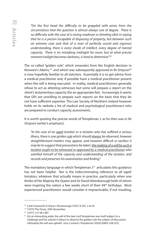*"On the first head the difficulty to be grappled with arises from the circumstance that the question is almost always one of degree. There is no difficulty with the case of a raving madman or driveling idiot in saying that he is a person incapable of disposing of property; but between such an extreme case and that of a man of perfectly sound and vigorous understanding, there is every shade of intellect, every degree of mental capacity. There is no mistaking midnight for noon, but at what precise moment twilight becomes darkness, is hard to determine."*<sup>18</sup>

The so-called "golden rule", which emanates from the English decision in *Kenward v Adams,*19 and which was subsequently approved in *Re Simpson*<sup>20</sup> is now hopefully familiar to all solicitors. Essentially it is to get advice from a medical practitioner and, if possible have a medical practitioner present when the will is being executed. In reality, medical practitioners generally refuse to act as attesting witnesses but some will prepare a report on the client's testamentary capacity (for an appropriate fee). Increasingly it seems that GPs are unwilling to prepare such reports on the basis that they do not have sufficient expertise. The Law Society of Northern Ireland however holds on its website a list of medical and psychological practitioners who are prepared to conduct capacity assessments.

It is worth quoting the precise words of Templeman J, as he then was in *Re Simpson* (writer's emphasis):

 *"In the case of an aged testator or a testator who has suffered a serious illness, there is one golden rule which should always be observed, however straightforward matters may appear, and however difficult or tactless it may be to suggest that precautions be taken: the making of a will by such a testator ought to be witnessed or approved by a medical practitioner who satisfied himself of the capacity and understanding of the testator, and records and preserves his examination and finding."*

The mandatory language in which Templeman  $J^{21}$  articulates this guidance has not been helpful. Nor is the indiscriminating reference to all 'aged' testators, whatever that actually means in practice, particularly when one thinks of Her Majesty the Queen and Sir David Attenborough both of whom were inspiring the nation a few weeks short of their 94<sup>th</sup> birthdays. Most experienced practitioners would consider it impracticable, if not insulting,

<sup>18</sup> Lord Cranworth in *Royse v Rossborough* (1857) 6 HLC 2 at 45.

<sup>&</sup>lt;sup>19</sup> [1975] The Times, 29th November.

<sup>20</sup> (1977) 127 NLJ 487.

<sup>&</sup>lt;sup>21</sup> (As an interesting aside, the will of the late Lord Templeman was itself subject to a challenge and his solicitor's failure to observe the golden rule the subject of discussion. Ultimately the will was upheld. *Goss-Custard v Templeman* (2020) EWHC 636 (Ch).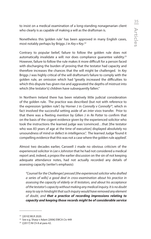to insist on a medical examination of a long-standing nonagenarian client who clearly is as capable of making a will as the draftsman is.

Nonetheless this 'golden rule*'* has been approved in many English cases, most notably perhaps by Briggs J in *Key v Key*. 22

Contrary to popular belief, failure to follow the golden rule does not automatically invalidate a will: nor does compliance quarantee validity. $2^3$ However, failure to follow the rule makes it more difficult for a person faced with discharging the burden of proving that the testator had capacity and therefore increases the chances that the will might be challenged. In *Key* Briggs J was highly critical of the will draftsman's failure to comply with the golden rule, an omission which had "greatly increased the difficulties to which this dispute has given rise and aggravated the depths of mistrust into which [the testator's] children have subsequently fallen."

In Northern Ireland there has been relatively little judicial consideration of the golden rule. The practice was described (but not with reference to the expression 'golden rule') by Horner J in *Connolly v Connolly<sup>24</sup>*, which in fact involved the successful setting aside of an *inter vivos* transfer. Prior to that there was a fleeting mention by Gillen J in *Re Potter* to confirm that on the basis of the cogent evidence given by the experienced solicitor who took the instructions the learned judge was 'convinced…that [the testator who was 83 years of age at the time of execution] displayed absolutely no unsoundness of mind or defect in intelligence.". The learned Judge 'found it compelling evidence that this was not a case where the golden rule applied'.

Almost two decades earlier, Carswell J made no obvious criticism of the experienced solicitor in *Lee v Johnston* that he had not considered a medical report and, indeed, *a propos* the earlier discussion on the sin of not keeping adequate attendance notes, had not actually recorded any details of assessing capacity (writer's emphasis):

 *"Counsel for the Challenger] pressed [the experienced solicitor who drafted a series of wills] a good deal in cross-examination about his practice in assessing the capacity of elderly or ill testators, and about his acceptance of the testator's capacity without making any medical inquiry. It is no doubt easy to say in hindsight that such inquiry would have removed any element of doubt, and that a practice of recording impressions relating to capacity and keeping those records might be of considerable service* 

 $22$  [2010] WLR 2020.<br> $23$  See e.g. Sharp v Adam [2006] EWCA Civ 449

<sup>24</sup> ([2017] NI Ch 8 at para 42.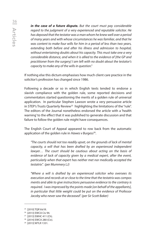*in the case of a future dispute. But the court must pay considerable regard to the judgment of a very experienced and reputable solicitor. He has deposed that the testator was a man whom he knew well over a period of many years and with whose circumstances he was familiar, and that he was content to make four wills for him in a period of less than two years, extending both before and after his illness and admission to hospital, without entertaining doubts about his capacity. This must take one a very considerable distance, and when it is allied to the evidence of [the GP and practitioner from the surgery] I am left with no doubt about the testator's capacity to make any of the wills in question."* 

If nothing else this dictum emphasises how much client care practice in the solicitor's profession has changed since 1986.

Following a decade or so in which English texts tended to endorse a slavish compliance with the golden rule, some reported decisions and commentators started questioning the merits of a golden rule of universal application. In particular Stephen Lawson wrote a very persuasive article in STEP's Trusts Quarterly Review<sup>25</sup> highlighting the limitations of the "rule". The editors of the Journal nonetheless endorsed the article with a 'health warning' to the effect that it was published to generate discussion and that failure to follow the golden rule might have consequences.

The English Court of Appeal appeared to row back from the automatic application of the golden rule in *Hawes v Burgess*26.

 *"The courts should not too readily upset, on the grounds of lack of mental capacity, a will that has been drafted by an experienced independent lawyer… The court should be cautious about acting on the basis of evidence of lack of capacity given by a medical expert, after the event, particularly when that expert has neither met nor medically accepted the testatrix". (per Mummery LJ)*

 *"Where a will is drafted by an experienced solicitor who oversees its execution and records at or close to the time that the testatrix was compos mentis and able to give instructions persuasive evidence to the contrary is required. I was impressed by the points made [on behalf of the appellants], in particular that little weight could be put on the evidence of Professor Jacoby who never saw the deceased". (per Sir Scott Baker)*

<sup>25</sup> [2010] TQR Vol III.

<sup>26 [2013]</sup> EWCA Civ 94.

<sup>27 [2013]</sup> EWHC 411 (Ch).

<sup>&</sup>lt;sup>28</sup> [2014] EWCA 280 (Civ).

<sup>29 [2013]</sup> WTLR 1331.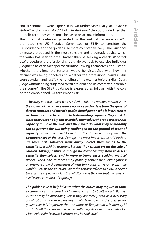Similar sentiments were expressed in two further cases that year, *Greaves v Stolkin*27 and *Simon v Byford*28, but in *Re Ashkettle*29 the court underlined that the solicitor's assessment must be based on accurate information.

The potential confusion generated by this rash of decisions in 2013 prompted the UK Practice Committee of STEP to consider the jurisprudence and the golden rule more comprehensively. The Guidance ultimately produced is the most sensible and pragmatic advice which the writer has seen to date. Rather than be seeking a 'checklist' or 'tick box' procedure, a professional should always seek to exercise individual judgment to each fact-specific situation, asking themselves at all stages whether the client (the testator) would be dissatisfied with how this retainer was being handled and whether the professional could in due course explain and justify the handling of the retainer before a High Court judge without being subjected to fair criticism and be comfortable to 'hold their corner'. The STEP guidance is expressed as follows, with the core portion emboldened (writer's emphasis):

*"The duty of a will maker who is asked to take instructions for and see to the making of a will is in essence no more and no less than the general duty in contract and tort of a professional person who is instructed to perform a service. In relation to testamentary capacity, they must do what they reasonably can to satisfy themselves that the testator has capacity to make the will; and they must do what they reasonably can to prevent the will being challenged on the ground of want of capacity. What is required to perform the duties will vary with the circumstances of the case. Perhaps the most important considerations are three: first, solicitors must always direct their minds to the capacity of would-be testators. Second, they should err on the side of caution, taking positive (although no doubt tactful) steps to assess capacity themselves, and in more extreme cases seeking medical advice. Third, circumstances may properly restrict such investigations; an example is the circumstances of Wharton v Bancroft. Another example would surely be the situation where the testator refuses to allow a doctor to assess his capacity (unless the solicitor forms the view that the refusal is itself evidence of lack of capacity).*

*The golden rule is helpful as to what the duties may require in some circumstances. The remarks of Mummery LJ and Sir Scott Baker in Burgess v Hawes may be misleading unless they are merely read as a necessary qualification to the sweeping way in which Templeman J expressed the golden rule. It is important that the words of Templeman J, Mummery LJ and Sir Scott Baker are read together with the judicial remarks in Wharton v Bancroft, Hill v Fellowes Solicitors and Re Ashkettle."*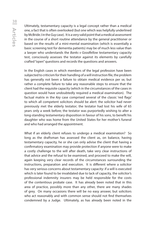Ultimately, testamentary capacity is a legal concept rather than a medical one, a fact that is often overlooked (but one which was helpfully underlined by McBride J in the *Guy* case). It is a very valid point that a medical assessment in the course of a short routine attendance by the general practitioner or based on the results of a mini-mental examination (which is essentially a basic screening test for dementia patients) may be of much less value than a lawyer who understands the *Banks v Goodfellow* testamentary capacity test, consciously assesses the testator against its elements by carefully crafted "open" questions and records the questions and answers.

In the English cases in which members of the legal profession have been subjected to criticism for their handling of a will instruction file, the problem has generally not been a failure to obtain medical evidence per se, but rather a complete failure to take any reasonable steps to ensure that the client had the requisite capacity (which in the circumstances of the cases in question would have undoubtedly required a medical examination). The factual matrix in the *Key* case comprised several of the classic 'red flags' to which all competent solicitors should be alert: the solicitor had never previously met the elderly testator; the testator had lost his wife of 65 years only a week before; the testator was purportedly wishing to alter a long-standing testamentary disposition in favour of his sons, to benefit his daughter who was home from the United States for her mother's funeral and who had arranged the appointment.

What if an elderly client refuses to undergo a medical examination? So long as the draftsman has assessed the client as, on balance, having testamentary capacity, he or she can only advise the client that having a confirmatory examination may provide protection if anyone were to make a costly challenge to the will after death, take very clear instructions of that advice and the refusal to be examined, and proceed to make the will, again keeping very clear records of the circumstances surrounding the instructions, preparation and execution. It is different where a solicitor has very serious concerns about testamentary capacity: if a will is executed which is later found to be invalidated due to lack of capacity, the solicitor's professional indemnity insurers may be held responsible for the costs of the contentious probate case. It has already been noted that in this area of practice, possibly more than any other, there are many shades of grey. On many occasions there will be no easy answer, but solicitors who act reasonably and with common sense should not find themselves condemned by a Judge. Ultimately, as has already been noted in the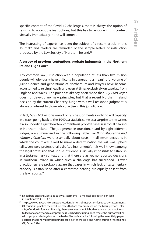specific content of the Covid-19 challenges, there is always the option of refusing to accept the instructions, but this has to be done in this context virtually immediately in the will context.

The instructing of experts has been the subject of a recent article in this Journal<sup>29</sup> and readers are reminded of the sample letters of instruction produced by the Law Society of Northern Ireland.30

# **A survey of previous contentious probate judgments in the Northern Ireland High Court**

Any common law jurisdiction with a population of less than two million people will obviously have difficulty in generating a meaningful volume of jurisprudence and generations of Northern Ireland lawyers have become accustomed to relying heavily and even at times exclusively on case law from England and Wales. The point has already been made that *Guy v McGregor*  does not develop any new principles, but that a recent Northern Ireland decision by the current Chancery Judge with a well-reasoned judgment is always of interest to those who practise in this jurisdiction.

In fact, *Guy v McGregor* is one of only nine judgments involving will capacity in a trawl going back to the 1940s, a statistic came as a surprise to the writer. It also underlines just how few contentious probate cases run to full hearing in Northern Ireland. The judgments in question, heard by eight different judges, are summarized in the following Table. *Re Brian Mackenzie and Watton v Crawford* were essentially about costs. In all seven decisions in which the court was asked to make a determination the will was upheld (all seven were professionally drafted instruments). It is well known among the legal profession that undue influence is virtually impossible to establish in a testamentary context and that there are as yet no reported decisions in Northern Ireland in which such a challenge has succeeded. Fewer practitioners are probably aware that cases in which lack of testamentary capacity is established after a contested hearing are equally absent from the law reports.<sup>32</sup>

<sup>30</sup> Dr Barbara English: Mental capacity assessments – a medical perspective on legal instruction 2019 1 JELC 16

<sup>&</sup>lt;sup>31</sup> https://www.lawsoc-ni.org/new-precedent-letters-of-instruction-for-capacity-assessments <sup>32</sup> Of course, in practice there will be cases that are compromised on the basis, perhaps inter alia, of undue influence. Similarly, there are cases in which both medical experts opine as to lack of capacity and a compromise is reached (including ones where the purported final will is propounded against on the basis of lack of capacity, following the essentially paper exercise that is now permitted under article 34 of the Wills and Administration Proceedings (NI) Order 1994.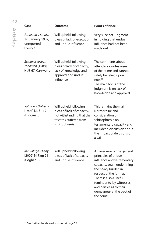| Case                                                             | Outcome                                                                                                                      | <b>Points of Note</b>                                                                                                                                                                                                                                                                       |
|------------------------------------------------------------------|------------------------------------------------------------------------------------------------------------------------------|---------------------------------------------------------------------------------------------------------------------------------------------------------------------------------------------------------------------------------------------------------------------------------------------|
| Johnston v Smart,<br>1st January 1987,<br>unreported<br>Lowry CJ | Will upheld, following<br>pleas of lack of execution<br>and undue influence                                                  | Very succinct judgment<br>in holding that undue<br>influence had not been<br>made out                                                                                                                                                                                                       |
| Estate of Joseph<br>Johnston [1988]<br>NIJB 67, Carswell J       | Will upheld, following<br>pleas of lack of capacity,<br>lack of knowledge and<br>approval and undue<br>influence.            | The comments about<br>attendance notes were<br>of their time and cannot<br>safely be relied upon<br>now. <sup>33</sup><br>The main focus of the<br>judgment is on lack of<br>knowledge and approval.                                                                                        |
| Salmon v Doherty<br>[1997] NIJB 119<br>(Higgins J)               | Will upheld following<br>pleas of lack of capacity,<br>notwithstanding that the<br>testatrix suffered from<br>schizophrenia. | This remains the main<br>Northern Ireland<br>consideration of<br>schizophrenia on<br>testamentary capacity and<br>includes a discussion about<br>the impact of delusions on<br>a will.                                                                                                      |
| McCullagh v Fahy<br>[2002] NI Fam 21<br>(Coghlin J)              | Will upheld following<br>pleas of lack of capacity<br>and undue influence.                                                   | An overview of the general<br>principles of undue<br>influence and testamentary<br>capacity, again underlining<br>the heavy burden in<br>respect of the former.<br>There is also a useful<br>reminder to lay witnesses<br>and parties as to their<br>demeanour at the back of<br>the court! |

<sup>&</sup>lt;sup>33</sup> See further the above discussion at page 32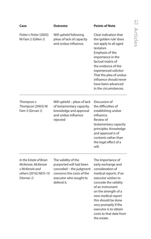| Case                                                                                                  | <b>Outcome</b>                                                                                                                                 | <b>Points of Note</b>                                                                                                                                                                                                                                                                                 |
|-------------------------------------------------------------------------------------------------------|------------------------------------------------------------------------------------------------------------------------------------------------|-------------------------------------------------------------------------------------------------------------------------------------------------------------------------------------------------------------------------------------------------------------------------------------------------------|
| Potter v Potter [2003]<br>NI Fam 2 (Gillen J)                                                         | Will upheld following<br>pleas of lack of capacity<br>and undue influence.                                                                     | Clear indication that<br>the 'golden rule' does<br>not apply to all aged<br>testators<br>Emphasis of the<br>importance in the<br>factual matrix of<br>the evidence of the<br>experienced solicitor<br>That the plea of undue<br>influence should never<br>have been advanced<br>in the circumstances. |
| Thompson v<br>Thompson [2003] NI<br>Fam 3 (Girvan J)                                                  | Will upheld - pleas of lack<br>of testamentary capacity,<br>knowledge and approval<br>and undue influence<br>rejected                          | Discussion of<br>the difficulties of<br>establishing undue<br>influence.<br>Review of<br>testamentary capacity<br>principles. Knowledge<br>and approval is of<br>contents rather than<br>the legal effect of a<br>will.                                                                               |
| In the Estate of Brian<br>McKenzie, McKenzie<br>v McKenzie and<br>others [2016] NICh 10<br>(Horner J) | The validity of the<br>purported will had been<br>conceded - the judgment<br>concerns the costs of the<br>executor who sought to<br>defend it. | The importance of<br>early exchange and<br>consideration of<br>medical reports. If an<br>executor wishes to<br>concede the validity<br>of an instrument<br>on the strength of a<br>new medical report<br>this should be done<br>very promptly if the<br>executor is to obtain                         |

costs to that date from

the estate.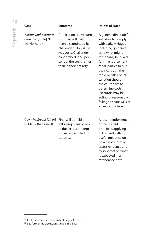| Case                                                         | <b>Outcome</b>                                                                                                                                                                                        | <b>Points of Note</b>                                                                                                                                                                                                                                                                                                                                                                                                             |
|--------------------------------------------------------------|-------------------------------------------------------------------------------------------------------------------------------------------------------------------------------------------------------|-----------------------------------------------------------------------------------------------------------------------------------------------------------------------------------------------------------------------------------------------------------------------------------------------------------------------------------------------------------------------------------------------------------------------------------|
| Watton and Watton y<br>Crawford [2016] NICh<br>14 (Horner J) | Application to overturn<br>disputed will had<br>been discontinued by<br>challenger. Only issue<br>was costs. Challenger<br>condemned in 50 per<br>cent of the costs rather<br>than in their entirety. | A general direction for<br>solicitors to comply<br>with Larke v Nugus<br>including guidance<br>as to what might<br>reasonably be asked.<br>A firm endorsement<br>for all parties to put<br>their 'cards on the<br>table' or risk a costs<br>sanction should<br>the court have to<br>determine costs. <sup>34</sup><br>Executors may be<br>acting unreasonably in<br>failing to share wills at<br>an early juncture. <sup>35</sup> |
| Guy v McGregor [2019]<br>NI Ch 17 (McBride J)                | Final will upheld,<br>following pleas of lack<br>of due execution (not<br>discussed) and lack of<br>capacity.                                                                                         | A recent endorsement<br>of the current<br>principles applying<br>in England with<br>useful guidance on<br>how the court may                                                                                                                                                                                                                                                                                                       |

assess evidence and to solicitors on what is expected in an attendance note.

<sup>&</sup>lt;sup>34</sup> Costs are discussed more fully at page 43 below

<sup>&</sup>lt;sup>35</sup> See further the discussion at page 45 below.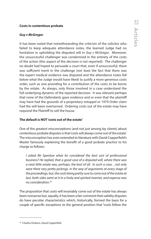### **Costs in contentious probate**

### *Guy v McGregor*

It has been noted that notwithstanding the criticism of the solicitor who failed to keep adequate attendance notes, the learned Judge had no hesitation in upholding the disputed will in *Guy v McGregor*. Moreover, the unsuccessful challenger was condemned in the entirety of the costs of the action (this aspect of the decision is not reported). The challenger no doubt had hoped to persuade a court that, even if unsuccessful, there was sufficient merit in the challenge (not least the fact that there was the expert medical evidence was disputed and the attendance notes fell below what the Judge would have liked) to justify a more generous costs order, such as one providing for a contribution of the costs to be borne by the estate. As always, only those involved in a case understand the full underlying dynamic of the reported decision. It was relevant perhaps that none of the Defendants gave evidence and or even that the plaintiff may have had the grounds of a proprietary estoppel or 1979 Order claim had the will been overturned. Ordering costs out of the estate may have required the Plaintiff to sell the house.

### **The default is NOT 'costs out of the estate'**

One of the greatest misconceptions (and not just among lay clients) about contentious probate disputes is that 'costs will always come out of the estate'. The misconception has even extended to literature with David Copperfield's Master famously explaining the benefit of a good probate practice to his charge as follows:

 *I asked Mr Spenlow what he considered the best sort of professional business? He replied, that a good case of a disputed will, where there was a neat little estate was, perhaps, the best of all. In such a case…not only were there very pretty pickings, in the way of arguments at every stage of the proceedings, but, the costs being pretty sure to come out of the estate at last, both sides went at it in a lively and spirited manner, and expense was no consideration.*<sup>36</sup>

The proposition that costs will invariably come out of the estate has always been nonsense but, equally, it has been a fair comment that validity disputes do have peculiar characteristics which, historically, formed the basis for a couple of specific exceptions to the general position that "costs follow the

<sup>36</sup> Charles Dickens, *David Copperfield.*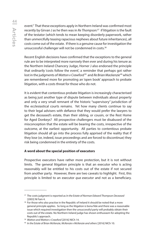event." That these exceptions apply in Northern Ireland was confirmed most recently by Girvan J as he then was in *Re Thompson:*37 if litigation is the fault of the testator (which tends to mean keeping disorderly paperwork, rather than unmercifully teasing rapacious nephews about future inheritances), all costs come out of the estate. If there is a genuine cause for investigation the unsuccessful challenger will not be condemned in costs.<sup>38</sup>

Recent English decisions have confirmed that the exceptions to the general rule are to be interpreted more narrowly then ever and during his tenure as the Northern Ireland Chancery Judge, Horner J also endorsed the principle that ordinarily 'costs follow the event', a reminder that perhaps got rather lost in the judgments of *Watton v Crawford*39 and *Re Brian Mackenzie*40 which are remembered more for promoting an 'open book' approach to probate litigation, with a costs threat for those who do not.

It is evident that contentious probate litigation is increasingly characterised as being just another type of dispute between individuals about property and only a very small remnant of the historic "supervisory" jurisdiction of the ecclesiastical courts remains. Yet how many clients continue to say to their legal advisers with defiance that they would prefer the lawyers to get the deceased's estate, than their sibling, or cousin, or the Rest Home for Aged Donkeys? All prospective challengers must be disabused of the misconception that the estate will be bearing the costs, irrespective of the outcome, at the earliest opportunity. All parties to contentious probate litigation should all go into the process fully apprised of the reality that if they lose (or, indeed, issue proceedings and are forced to discontinue) they risk being condemned in the entirety of the costs.

# **A word about the special position of executors**

Prospective executors have rather more protection, but it is not without limits. The general litigation principle is that an executor who is acting reasonably will be entitled to his costs out of the estate if not secured from another party. However, there are two caveats to highlight. First, this principle is limited to an executor *qua executor* and not as a beneficiary.

<sup>37</sup> The costs judgment is reported as *In the Estate of Norman Edward Thompson Deceased*  [2003] NI Fam 4.

<sup>&</sup>lt;sup>38</sup> For those who also practise in the Republic of Ireland it should be noted that a more general principle applies. So long as the litigation is bona fide and there was a reasonable issue which required investigation then the unsuccessful party will probably obtain their costs out of the estate. No Northern Ireland judge has shown enthusiasm for adopting the Republic's approach.

<sup>39</sup> *Watton and Watton v Crawford* [2016] NICh 14.

<sup>40</sup> *In the Estate of Brian McKenzie, McKenzie v McKenzie and others* [2016] NICh 10.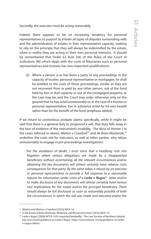Secondly, the executor must be acting reasonably.

Indeed, there appears to be an increasing tendency for personal representatives to purport to initiate all types of disputes surrounding wills and the administration of estates in their representative capacity, seeking to rely on the principle that they will always be indemnified by the estate, when in reality they are acting in their own personal interests. It should be remembered that Order 62 Rule 2(6) of the Rules of the Court of Judicature (NI) which deals with the costs of fiduciaries such as personal representatives and trustees has two important qualifications:

(2) Where a person is or has been a party to any proceedings in the capacity of trustee, personal representative or mortgagee, he shall be entitled to the costs of those proceedings, insofar as they are not recovered from or paid by any other person, out of the fund held by him in that capacity or out of the mortgaged property, as the case may be, and the Court may order otherwise only on the ground that he has *acted unreasonabl*y or, in the case of a trustee or personal representative, has *in substance acted for his own benefit*  rather than for the benefit of the fund [emphasis added].

If we return to contentious probate claims specifically, while it might be said that there is a general duty to propound a will, that duty falls away in the face of evidence of the instrument's invalidity. The dicta of Horner J in the cases referred to above, *Watton v Crawford<sup>41</sup> and Re Brian Mackenzie*,<sup>42</sup> underline the costs risk for executors, as well as other parties, who refuse unreasonably to engage in pre-proceedings investigations:

"*For the avoidance of doubt, I must stress that a headlong rush into litigation where serious allegations are made by a disappointed beneficiary without ascertaining all the relevant circumstances and/or obtaining the key documents will almost certainly have adverse costs consequences for that party. By the same token a refusal by an executor or personal representative to provide a full response to a reasonable request for information under cover of a Larke v Nugus43 letter and/or to make disclosure of key documents will almost certainly have serious cost implications for the estate and/or the principal beneficiary. There should always be full disclosure as soon as reasonably possible of both the circumstances in which the will was made and executed and/or the* 

<sup>41</sup> *Watton and Watton v Crawford* [2016] NICh 14.

<sup>&</sup>lt;sup>42</sup> In the Estate of Brian McKenzie, McKenzie v McKenzie and others [2016] NICh 10.

<sup>43</sup> *Larke v Nugus* [2000] WTLR 1033 (reported belatedly). The Law Society of Northern Ireland has now issued guidance on *Larke v Nugus.* https://www.lawsoc-ni.org/guidance-on-larkev-nugus-letters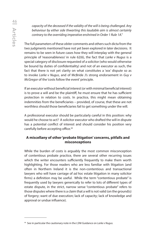*capacity of the deceased if the validity of the will is being challenged. Any behaviour by either side thwarting this laudable aim is almost certainly contrary to the overriding imperative enshrined in Order 1 Rule 1A."*

The full parameters of these *obiter* comments and others such dicta from the two judgments mentioned have not yet been explored in later decisions. It remains to be seen in future cases how they will interplay with the general principle of 'reasonableness' in rule 62(6), the fact that *Larke v Nugus* is a special category of disclosure requested of a solicitor (who would otherwise be bound by duties of confidentiality) and not of an executor as such, the fact that there is not yet clarity on what constitutes a 'xxx' dispute so as to invoke *Larke v Nugus*, and of McBride J's strong endorsement in *Guy v McGregor* of the 'costs follow the event' principle.

If an executor without beneficial interest (or with minimal beneficial interest) is to prove a will and be the plaintiff, he must ensure that he has sufficient protection in relation to costs. In practice, this might mean obtaining indemnities from the beneficiaries – provided, of course, that these are not worthless should those beneficiaries fail to get something under the will.

A professional executor should be particularly careful in this position: why would he choose to act? A solicitor executor who drafted the will in dispute has a potential conflict of interest and should consider his position very carefully before accepting office.<sup>44</sup>

# **A miscellany of other 'probate litigation' concerns, pitfalls and misconceptions**

While the burden of costs is arguably the most common misconception of contentious probate practice, there are several other recurring issues which the writer encounters sufficiently frequently to make them worth highlighting. For those readers who are less familiar with litigation (and often in Northern Ireland it is the non-contentious and transactional lawyers who will have carriage of *ad hoc* estate litigation in many solicitor firms) a definition may be useful. While the term "contentious probate" is frequently used by lawyers generically to refer to lots of different types of estate dispute, in the strict, narrow sense "contentious probate" refers to those disputes where there is a claim that a will is not valid (on the ground(s) of forgery; want of due execution; lack of capacity; lack of knowledge and approval or undue influence).

<sup>44</sup> See in particular the cautionary note in the LSNI Guidance on *Larke v Nugus.*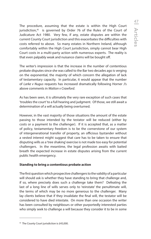The procedure, assuming that the estate is within the High Court jurisdiction,<sup>45</sup> is governed by Order 76 of the Rules of the Court of Judicature Act 1980. Very few, if any, estate disputes are within the current County Court jurisdiction and this exacerbates the difficulties with costs referred to above. So many estates in Northern Ireland, although comfortably within the High Court jurisdiction, simply cannot bear High Court costs in a multi-party action with numerous experts. The reality is that even palpably weak and nuisance claims will be bought off.

The writer's impression is that the increase in the number of contentious probate disputes since she was called to the Bar two decades ago is verging on the exponential, the majority of which concern the allegation of lack of testamentary capacity. In particular, it would appear that the number of *Larke v Nugus* requests has increased dramatically following Horner J's above comments in *Watton v Crawford*.

As has been seen, it is ultimately the very rare exception of such cases that 'troubles the court' to a full hearing and judgment. Of those, we still await a determination of a will actually being overturned.

However, in the vast majority of those situations the amount of the estate passing to those intended by the testator will be reduced (either by costs or a payment to the challenger). If it is accepted that, as a matter of policy, testamentary freedom is to be the cornerstone of our system of intergenerational transfer of property, an officious bystander without a vested interest might suggest that care has to be taken to ensure that disputing wills as a 'tree shaking' exercise is not made too easy for potential challengers. In the meantime, the legal profession awaits with baited breath the expected increase in estate disputes arising from the current public health emergency.

### **Standing to bring a contentious probate action**

The first question which prospective challengers to the validity of a particular will should ask is whether they have standing to bring that challenge and, if so, where precisely does such a challenge take them? Defeating the last of a long line of wills serves only to 'reinstate' the penultimate will, the terms of which may be no more generous to the challenger. Many lay clients believe that if they invalidate the final will, the testator will be considered to have died intestate. On more than one occasion the writer has been consulted by neighbours or other purportedly interested parties who simply seek to challenge a will because they consider it to be in some

<sup>&</sup>lt;sup>45</sup> The County Court jurisdiction is £45,000.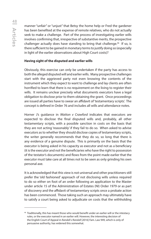manner "unfair" or "unjust" that Betsy the home help or Fred the gardener has been benefited at the expense of remote relatives, who do not actually seek to make a challenge. Part of the process of investigating earlier wills involves confirming that, irrespective of substantive merits, the prospective challenger actually does have standing to bring that challenge.<sup>46</sup> If so, is there sufficient to be gained in monetary terms to justify doing so (especially in light of the earlier observations about High Court costs)?

### **Having sight of the disputed and earlier wills**

Obviously, this exercise can only be undertaken if the party has access to both the alleged disputed will and earlier wills. Many prospective challenges start with the aggrieved party not even knowing the contents of the instrument which they expect to want to challenge and lay clients are often horrified to learn that there is no requirement on the living to register their wills. It remains unclear precisely what documents executors have a legal obligation to disclose prior to them obtaining the grant. Once proceedings are issued all parties have to swear an affidavit of 'testamentary scripts'. The concept is defined in Order 76 and includes all wills and attendance notes.

Horner J's guidance in *Watton v Crawford* indicates that executors are expected to disclose the final disputed wills and, probably, all other testamentary scripts, with a possible sanction in costs on the basis that they are not acting 'reasonably' if they fail to do so. When asked to advise executors as to whether they should disclose copies of testamentary scripts, the writer generally recommends that they do so, so long that there is any evidence of a genuine dispute. This is primarily on the basis that the executor is being asked in his capacity as executor and not as a beneficiary (it is the executor and not the beneficiaries who have the right to possession of the testator's documents) and flows from the point made earlier that the executor must take care at all times not to be seen as only grinding his own personal axe.

It is acknowledged that this view is not universal and other practitioners still prefer the 'old fashioned' approach of not disclosing wills unless required to do so either on foot of an order following an application to the Master under article 15 of the Administration of Estates (NI) Order 1979 or as part of discovery and the affidavit of testamentary scripts once a probate action has been commenced. Those taking such an approach may ultimately have to satisfy a court being asked to adjudicate on costs that the withholding

<sup>&</sup>lt;sup>46</sup> Traditionally, this has meant those who would benefit under an earlier will or the intestacy rules, or the executor named in an earlier will. However, the interesting decision of the English Court of Appeal in *Randall v Randall* [2016] Fam. Law 949, which is only of persuasive authority, has widened this somewhat.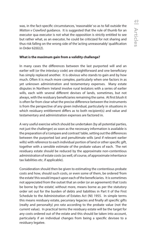was, in the fact-specific circumstances, 'reasonable' so as to fall outside the *Watton v Crawford* guidance. It is suggested that the rule of thumb for an executor qua executor is not what the opposition is strictly entitled to see but rather what, as an executor, he could be criticized for not sharing and thus risk falling on the wrong side of the 'acting unreasonably' qualification in Order 62(6)(2).

### **What is the maximum gain from a validity challenge?**

In many cases the differences between the last purported will and an earlier will (or the intestacy code) are straightforward and one beneficiary has simply replaced another. It is obvious who stands to gain and by how much. Often it is much more complex, particularly when one factors in as yet unknown administration and testamentary expenses. Many estate disputes in Northern Ireland involve rural testators with a series of earlier wills, each with several different devises of lands, sometimes, but not always, with the residuary beneficiaries remaining the same. At first blush it is often far from clear what the precise difference between the instruments is from the perspective of any given individual, particularly in situations in which residuary entitlement differs as to both recipient(s) and value and testamentary and administration expenses are factored in.

A very useful exercise which should be undertaken (by all potential parties, not just the challenger) as soon as the necessary information is available is the preparation of a 'compare and contrast' table, setting out the differences between the purported last and penultimate wills (and if relevant earlier wills) with reference to each individual portion of land or other specific gift, together with a sensible estimate of the probate values of each. The net residuary estate should be reduced by the approximate non-contentious administration of estate costs (as well, of course, of approximate inheritance tax liabilities etc. if applicable).

Consideration should then be given to estimating the contentious probate costs and how, should such costs, or even some of them, be ordered 'from the estate' this would impact upon each of the beneficiaries. It is sometimes not appreciated from the outset that an order (or an agreement) that 'costs be borne by the estate', without more, means borne as per the statutory order set out for the burden of debts and liabilities in Part II of the First Schedule to the Administration of Estates Act (NI) 1955. In simple terms this means residuary estate, pecuniary legacies and finally all specific gifts (realty and personalty) *pro rata* according to the probate value (not the current value). In practical terms the residuary estate will be the target for any costs ordered out of the estate and this should be taken into account, particularly if an individual changes from being a specific devisee to a residuary legatee.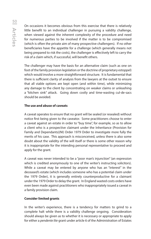On occasions it becomes obvious from this exercise that there is relatively little benefit to an individual challenger in pursuing a validity challenge, when viewed against the inherent complexity of the procedure and need for numerous parties to be involved if the matter is to be compromised (which is often the private aim of many prospective challengers). If no other beneficiaries have the appetite for a challenge (which generally means not being prepared to risk the costs), the challenger is effectively left to carry the risk of a claim which, if successful, will benefit others.

The challenger may have the basis for an alternative claim (such as one on foot of the family provision legislation or the doctrine of proprietary estoppel) which would involve a more straightforward structure. It is fundamental that there is sufficient clarity of analysis from the lawyers at the outset to ensure that all viable options are kept open (and within time), while minimizing any damage to the client by concentrating on weaker claims or unleashing a "kitchen sink" attack. Going down costly and time-wasting cul-de-sacs should be avoided.

### **The use and abuse of caveats**

A caveat operates to ensure that no grant will be sealed (or resealed) without notice first being given to the caveator. Some practitioners choose to enter a caveat against an estate in order to "buy time", for example, so as to allow a client who is a prospective claimant under the Inheritance (Provision for Family and Dependants)(NI) Order 1979 Order to investigate more fully the merits of his case. This approach is misconceived, unless there is also some doubt about the validity of the will itself or there is some other reason why it is inappropriate for the intending personal representative to proceed and apply for the grant.

A caveat was never intended to be a "poor man's injunction" (an expression which is credited anonymously to one of the writer's instructing solicitors). While a caveat may be entered by anyone who has an "interest" in the deceased's estate (which includes someone who has a potential claim under the 1979 Order), it is generally entirely counterproductive for a claimant under the 1979 Order to delay the grant. In England wasted costs orders have even been made against practitioners who inappropriately issued a caveat in a family provision claim.

# **Consider limited grants**

In the writer's experience, there is a tendency for matters to grind to a complete halt while there is a validity challenge ongoing. Consideration should always be given as to whether it is necessary or appropriate to apply for either a *pendente lite* grant under article 6 of the Administration of Estates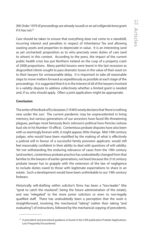(NI) Order 1979 (if proceedings are already issued) or an *ad colligenda bona* grant if it has not.<sup>47</sup>

Care should be taken to ensure that everything does not come to a standstill, incurring interest and penalties in respect of Inheritance Tax and allowing wasting assets and properties to depreciate in value. It is an interesting (and as yet uncharted) proposition as to who precisely owes duties of care (and to whom) in this context. According to the press, the impact of the current public health crisis has put Northern Ireland on the cusp of a property crash of 2008 proportions. Many painful lessons were learnt in the last recession as disgruntled clients sought to pass dramatic losses in the value of their asset on to their lawyers for unreasonable delay. It is important to take all reasonable steps to move matters forward as expeditiously as possible at each stage of the proceedings. It is suggested that it is in the interest of all of the lawyers involved in a validity dispute to address collectively whether a limited grant is needed and, if so, who should apply. Often a joint application might be appropriate.

# **Conclusion**

The writer of the Book of Ecclesiastes (1:9 *NIV*) wisely declares that 'there is nothing new under the sun'. The current pandemic may be unprecedented in living memory, but various generations of our ancestors have faced life-threatening plagues, perhaps most famously Boris Johnson's political hero Pericles (whose bust sits in his Number 10 office). Contentious probate disputes have also been with us seemingly forever with, it might appear, little change. Mid-19th century judges, who would have been mystified by the making of what is effectively a judicial will in favour of a successful family provision applicant, would still feel reasonably confident in their ability to deal with questions of will validity. Yet not withstanding the enduring relevance of cases from the 19th century (and earlier), contentious probate practice has undoubtedly changed from that familiar to the lawyers of earlier generations, not least because the 21st century probate lawyer has to grapple with the extension of the law of negligence to include duties owed to those with legitimate expectations to share in an estate. Such a development would have been unthinkable to our 19th century forbears.

Historically will-drafting within solicitor's firms has been a "loss-leader" (the "sprat to catch the mackerel", being the future administration of the estate), and was "relegated" to the more junior solicitors or even to non-legally qualified staff. There has undoubtedly been a perception that the work is straightforward, involving the mechanical "taking" (rather than taking "and evaluating") of instructions, followed by the mechanical copying of precedents.

<sup>&</sup>lt;sup>47</sup> A precedent and procedural guidance is found in the LSNI publication Probate Applications Less Frequently Encountered.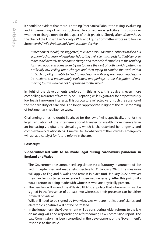It should be evident that there is nothing "mechanical" about the taking, evaluating and implementing of will instructions. In consequence, solicitors must consider whether to charge more for this aspect of their practice. Shortly after *White v Jones* the chair of the English Law Society's Wills and Equity Committee wrote as follows in *Butterworths' Wills Probate and Administration Service:*

*"Practitioners should, it is suggested, take a conscious decision: either to make a full economic charge for will-making, 'educating their clients to see its justifiability; or to make a deliberately uneconomic charge and reconcile themselves to the resulting loss.* No good can come from trying to have the best of both worlds, putting an *artificially low ceiling upon charges and then trying to confine the work within it. Such a policy is liable to lead to inadequate wills prepared upon inadequate instructions and inadequately explained, and perhaps to the delegation of willmaking to staff who are not fully trained for the work."*

In light of the developments explored in this article, this advice is even more compelling a quarter of a century on. Preparing wills *ex gratia* or for preposterously low fees is in no-one's interests. This cost culture reflected very much the absence of the modern duty of care and is no longer appropriate in light of the mushrooming of testamentary negligence cases.

Challenging times no doubt lie ahead for the law of wills specifically, and for the legal regulation of the intergenerational transfer of wealth more generally in an increasingly digital and virtual age, which is characterized by longevity and complex family relationships. Time will tell to what extent the Covid-19 emergency will act as a catalyst for future reform in the area.

# **Postscript**

# **Video-witnessed wills to be made legal during coronavirus pandemic in England and Wales**

- The Government has announced Legislation via a Statutory Instrument will be laid in September and made retrospective to 31 January 2020. The measures will apply to England & Wales and remain in place until January 2022 however they can be shortened or extended if deemed necessary. After this point wills would return to being made with witnesses who are physically present.
- The new law will amend the Wills Act 1837 to stipulate that where wills must be signed in the 'presence' of at least two witnesses, their presence can be either physical or virtual.
- Wills still need to be signed by two witnesses who are not its beneficiaries and electronic signatures will not be permitted.
- In the longer term the Government will be considering wider reforms to the law on making wills and responding to a forthcoming Law Commission report. The Law Commission has been consulted in the development of the Government's response to this issue.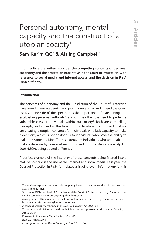# Personal autonomy, mental capacity and the construct of a utopian society<sup>1</sup>

Sam Karim QC<sup>2</sup> & Aisling Campbell<sup>3</sup>

**In this article the writers consider the competing concepts of personal autonomy and the protection imperative in the Court of Protection, with reference to social media and internet access, and the decision in** *B v A Local Authority.*

### **Introduction**

The concepts of autonomy and the jurisdiction of the Court of Protection have vexed many academics and practitioners alike, and indeed the Court itself. On one side of the spectrum is the importance of maintaining and establishing personal authority<sup>4</sup>, and on the other, the need to protect a vulnerable class of individuals within our society<sup>5</sup>. Both are compelling concepts, and indeed at the heart of this debate is the prospect that we are creating a utopian construct for individuals who lack capacity to make a decision<sup>6</sup>, which is not analogous to individuals who have the ability to make the same decision. To this extent, are individuals who are unable to make a decision by reason of sections 2 and 3 of the Mental Capacity Act 2005 (MCA), being treated differently?

A perfect example of the interplay of these concepts being filtered into a real-life scenario is the use of the internet and social media. Last year, the Court of Protection in Re B<sup>7</sup> formulated a list of relevant information<sup>8</sup> for this

<sup>&</sup>lt;sup>1</sup> These views expressed in this article are purely those of its authors and not to be construed as anything further.

<sup>2</sup> Sam Karim QC is the Head of Public Law and the Court of Protection at Kings Chambers. He can be contacted via mronson@kingschambers.com.

<sup>3</sup> Aisling Campbell is a member of the Court of Protection team at Kings Chambers. She can be contacted via mronson@kingschambers.com.

<sup>&</sup>lt;sup>4</sup> A concept arguably enshrined in the Mental Capacity Act 2005, s 4<br><sup>5</sup> To ensure that decisions are made in their best interests pursuant t

<sup>&</sup>lt;sup>5</sup> To ensure that decisions are made in their best interests pursuant to the Mental Capacity Act 2005, s 4<br><sup>6</sup> Pursuant to t

<sup>&</sup>lt;sup>6</sup> Pursuant to the Mental Capacity Act, ss 2 and 3<br>7 *Re B* [2019] EWCOP 3

<sup>&</sup>lt;sup>7</sup> Re B [2019] EWCOP 3

*For the purposes of the Mental Capacity Act, ss 3(1) and 3(4)*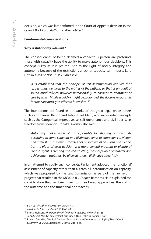decision, which was later affirmed in the Court of Appeal's decision in the case of *B v A Local Authority*, albeit *obiter*<sup>9</sup> .

# **Fundamental considerations**

# **Why is Autonomy relevant?**

The consequences of being deemed a capacitous person are profound: those with capacity have the ability to make autonomous decisions. This concept is key as it is pre-requisite to the right of bodily integrity and autonomy because of the restrictions a lack of capacity can impose. Lord Goff in *Airedale NHS Trust v Bland* said:

 *'It is established that the principle of self-determination requires that respect must be given to the wishes of the patient, so that, if an adult of sound mind refuses, however unreasonably, to consent to treatment or care by which his life would or might be prolonged, the doctors responsible for this care must give effect to his wishes'.* <sup>10</sup>

The foundations are found in the works of the great legal philosophers such as Immanuel Kant<sup>11</sup> and John Stuart Mill<sup>12</sup>, who expounded concepts such as the Categorical Imperative, i.e. self-governance and civil liberty, i.e. freedom from coercion. Ronald Dworkin also said:

 *'Autonomy makes each of us responsible for shaping our own life according to some coherent and distinctive sense of character, conviction and interest… This view… focuses not on individual decisions one by one, but the place of each decision in a more general program or picture of life the agent is creating and constructing, a conception of character and achievement that must be allowed its own distinctive integrity'.*<sup>13</sup>

In an attempt to codify such concepts, Parliament adopted the 'functional' assessment of capacity rather than a 'catch all' determination on capacity, which was proposed by the Law Commission as part of the law reform project that resulted in the MCA. In *R v Cooper*, Baroness Hale explained the consideration that had been given to three broad approaches: the 'status', the 'outcome' and the 'functional' approaches:

<sup>9</sup> *B v A Local Authority* [2019] EWCA Civ 913

<sup>&</sup>lt;sup>10</sup> Airedale NHS Trust v Bland [1993] AC 789<br><sup>11</sup> Immanuel Kant, *The Groundwork for the Metaphysics of Morals* (1785)

<sup>12</sup> John Stuart Mill, *On Liberty* (first published 1860, John W. Parker & Son)

<sup>13</sup> Ronald Dworkin, 'Medical Decision Making for the Demented and Dying' *The Milbank Quarterly*, Vol. 64, Supplement 2 (1986), pp. 4-16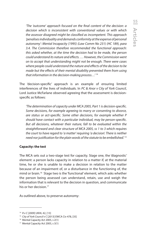*'The 'outcome' approach focused on the final content of the decision: a decision which is inconsistent with conventional values or with which the assessor disagreed might be classified as incompetent. This approach 'penalises individuality and demands conformity at the expense of personal autonomy': Mental Incapacity (1995) (Law Comm No 231) (HC 189), para 3.4. The Commission therefore recommended the functional approach: this asked whether, at the time the decision had to be made, the person could understand its nature and effects. … However, the Commission went on to accept that understanding might not be enough. There were cases where people could understand the nature and effects of the decision to be made but the effects of their mental disability prevented them from using that information in the decision-making process…'* <sup>14</sup>

The 'decision-specific' approach is an example of ensuring limited interferences of the lives of individuals. In *PC & Anor v City of York Council*, Lord Justice McFarlane observed agreeing that the assessment is decisionspecific as follows:

 *'The determination of capacity under MCA 2005, Part 1 is decision-specific. Some decisions, for example agreeing to marry or consenting to divorce, are status or act-specific. Some other decisions, for example whether P should have contact with a particular individual, may be person-specific. But all decisions, whatever their nature, fall to be evaluated within the straightforward and clear structure of MCA 2005, ss 1 to 3 which requires the court to have regard to 'a matter' requiring 'a decision'. There is neither need nor justification for the plain words of the statute to be embellished.' 15*

### **Capacity: the test**

The MCA sets out a two-stage test for capacity. Stage one, the 'diagnostic' element: a person lacks capacity in relation to a matter if, at the material time, he or she is unable to make a decision in relation to the matter because of an impairment of, or a disturbance in the functioning of, the mind or brain.16 Stage two is the 'functional' element, which asks whether the person being assessed can understand, retain, use and weigh the information that is relevant to the decision in question, and communicate his or her decision.<sup>17</sup>

As outlined above, to preserve autonomy:

<sup>&</sup>lt;sup>14</sup> *R v C* [2009] UKHL 42, [13]<br><sup>15</sup> *City of York Council v C* [2013] EWCA Civ 478, [35]<br><sup>16</sup> Mental Capacity Act 2005, s 2(1)

<sup>17</sup> Mental Capacity Act 2005, s 3(1)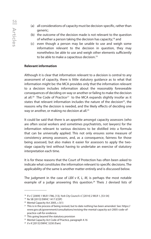- (a) all considerations of capacity must be decision-specific, rather than generic;
- (b) the outcome of the decision made is not relevant to the question of whether a person taking the decision has capacity;18 and
- (c) even though a person may be unable to use and weigh some information relevant to the decision in question, they may nonetheless be able to use and weigh other elements sufficiently to be able to make a capacitous decision.<sup>19</sup>

### **Relevant information**

Although it is clear that information relevant to a decision is central to any assessment of capacity, there is little statutory guidance as to what that information might be: the MCA provides only that the information relevant to a decision includes information about the reasonably foreseeable consequences of deciding on way or another or failing to make the decision at all.<sup>20</sup> The Code of Practice<sup>21</sup> to the MCA expands slightly insofar as it states that relevant information includes the nature of the decision<sup>22</sup>, the reasons why the decision is needed, and the likely effects of deciding one way or another, or making no decision at all.<sup>23</sup>

It could be said that there is an appetite amongst capacity assessors (who are often social workers and sometimes psychiatrists, not lawyers) for the information relevant to various decisions to be distilled into a formula that can be universally applied. This not only ensures some measure of consistency among assessors, and, as a consequence, fairness for those being assessed, but also makes it easier for assessors to apply the twostage capacity test without having to undertake an exercise of statutory interpretation each time.

It is for these reasons that the Court of Protection has often been asked to indicate what constitutes the information relevant to specific decisions. The applicability of the same is another matter entirely and is discussed below.

The judgment in the case of *LBX v K, L, M,* is perhaps the most notable example of a judge answering this question.<sup>24</sup> Theis J devised lists of

<sup>18</sup> *R v C* [2009] 1 WLR 1786, [13]; *York City Council v C* [2014] 2 WLR 1, [53-54]

<sup>&</sup>lt;sup>19</sup> Re SB [2013] EWHC 1417 (COP)<br><sup>20</sup> Mental Capacity Act 2005, s 3(1)

<sup>&</sup>lt;sup>21</sup> This is in the process of being revised, but to date nothing has been amended. See: https:// www.gov.uk/government/consultations/revising-the-mental-capacity-act-2005-code-of-

practice-call-for-evidence.<br>
<sup>22</sup> This going beyond the statutory provision<br>
<sup>23</sup> Mental Capacity Act Code of Practice, paragraph 4.16

<sup>24</sup> *X v K* [2013] EWHC 3230 (Fam)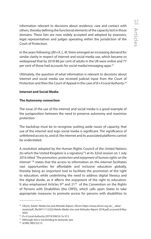information relevant to decisions about residence, care and contact with others, thereby defining the functional elements of the capacity test in those domains. These lists are now widely accepted and adopted by assessors, legal representatives and judges operating within the jurisdiction of the Court of Protection.

In the years following *LBX v K, L, M*, there emerged an increasing demand for similar clarity in respect of internet and social media use, which became so widespread that by 2018 88 per cent of adults in the UK were online and 77 per cent of those had accounts for social media/messaging apps.25

Ultimately, the question of what information is relevant to decisions about internet and social media use received judicial input from the Court of Protection and then the Court of Appeal in the case of *B v A Local Authority*. 26

### **Internet and Social Media**

### **The Autonomy connection**

The issue of the use of the internet and social media is a good example of the juxtaposition between the need to preserve autonomy and maximise protection.

The backdrop must be to recognise, putting aside issues of capacity, that use of the internet and ergo social media is significant. The significance of unfettered access to, and of, the internet and its associated platforms cannot be understated.

A resolution adopted by the Human Rights Council of the United Nations (to which the United Kingdom is a signatory<sup>27</sup>) at its 32nd session on 1 July 2016 titled *'The promotion, protection and enjoyment of human rights on the Internet'* 28 states that the access to information on the internet facilitates vast opportunities for affordable and inclusive education globally, thereby being an important tool to facilitate the promotion of the right to education, while underlining the need to address digital literacy and the digital divide, as it affects the enjoyment of the right to education. It also emphasised Articles 9<sup>29</sup> and 21<sup>30</sup> of the Convention on the Rights of Persons with Disabilities (the CRPD), which calls upon States to take appropriate measures to promote access for persons with disabilities to

<sup>25</sup> *Ofcom, Adults' Media Use and Attitudes Report, Ofcom https://www.ofcom.org.uk/\_\_data/ assets/pdf\_file/0011/113222/Adults-Media-Use-and-Attitudes-Report-2018.pdf, accessed 8 May 2020* 

<sup>26</sup> *B v A Local Authority* [2019] EWCA Civ 913

 $27$  Although this is not binding to domestic law.

<sup>28</sup> A/HRC/RES/32/13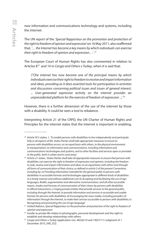new information and communications technology and systems, including the internet.

The UN report of the *'Special Rapporteur on the promotion and protection of the right to freedom of opinion and expressio*n' on 16 May 2011, also reaffirmed that, *'… the Internet has become a key means by which individuals can exercise their right to freedom of opinion and expression…'* . 31

The European Court of Human Rights has also commented in relation to Articles 832 and 10 in *Cengiz and Others v Turkey*, when it is said that:

*'[T]he internet has now become one of the principal means by which individuals exercise their right to freedom to receive and impart information and ideas, providing as it does essential tools for participation in activities and discussions concerning political issues and issues of general interest. ... User-generated expressive activity on the internet provides an unprecedented platform for the exercise of freedom of expression ...'.* <sup>33</sup>

However, there is a further dimension of the use of the internet by those with a disability. It could be seen a tool to rebalance.

Interpreting Article 21 of the CRPD, the UN Charter of Human Rights and Principles for the internet states that the Internet is important in enabling,

<sup>29</sup> Article 9(1) states, *1, 'To enable persons with disabilities to live independently and participate fully in all aspects of life, States Parties shall take appropriate measures to ensure to persons with disabilities access, on an equal basis with others, to the physical environment, to transportation, to information and communications, including information and communications technologies and systems, and to other facilities and services open or provided to the public, both in urban and in rural areas.'*

<sup>30</sup> Article 21 states, *'States Parties shall take all appropriate measures to ensure that persons with disabilities can exercise the right to freedom of expression and opinion, including the freedom to seek, receive and impart information and ideas on an equal basis with others and through all forms of communication of their choice, as defined in article 2 of the present Convention, including by: a) Providing information intended for the general public to persons with disabilities in accessible formats and technologies appropriate to different kinds of disabilities in a timely manner and without additional cost; b) Accepting and facilitating the use of sign languages, Braille, augmentative and alternative communication, and all other accessible means, modes and formats of communication of their choice by persons with disabilities in official interactions; c) Urging private entities that provide services to the general public, including through the Internet, to provide information and services in accessible and usable formats for persons with disabilities; d) Encouraging the mass media, including providers of information through the Internet, to make their services accessible to persons with disabilities; e) Recognizing and promoting the use of sign language'*

<sup>&</sup>lt;sup>31</sup> United Nations, *Special Rapporteur on the promotion and protection of the right to freedom of opinion and expression*

<sup>&</sup>lt;sup>32</sup> Insofar as private life relates to photographs, personal development and the right to establish and develop relationships with others

<sup>33</sup> *Cengiz and Others v Turkey* (application nos. 48226/10 and 14027/11) Judgment of 1 December 2015, [49], [52]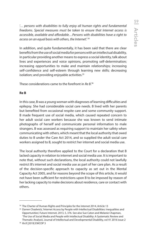*'… persons with disabilities to fully enjoy all human rights and fundamental freedoms. Special measures must be taken to ensure that Internet access is accessible, available and affordable…Persons with disabilities have a right to access on an equal basis with others, the Internet'.* <sup>34</sup>

In addition, and quite fundamentally, it has been said that there are clear benefits from the use of social media for persons with an intellectual disability, in particular providing another means to express a social identity, talk about lives and experiences and voice opinions, promoting self-determination; increasing opportunities to make and maintain relationships; increasing self-confidence and self-esteem through learning new skills; decreasing isolation; and providing enjoyable activities.<sup>35</sup>

These considerations came to the forefront in *Re B*. 36

### **Re B**

In this case, B was a young woman with diagnoses of learning difficulties and epilepsy. She had considerable social care needs. B lived with her parents but benefited from occasional respite care and some community support. B made frequent use of social media, which caused repeated concern to her adult social care workers because she was known to send intimate photographs of herself and communicate personal information to male strangers. B was assessed as requiring support to maintain her safety when communicating with others, which meant that the local authority that owed duties to B under the Care Act 2014, and so supplied the adult social care workers assigned to B, sought to restrict her internet and social media use.

The local authority therefore applied to the Court for a declaration that B lacked capacity in relation to internet and social media use. It is important to note that, without such declarations, the local authority could not lawfully restrict B's internet and social media use as part of her care plan. As a result of the decision-specific approach to capacity as set out in the Mental Capacity Act 2005, and for reasons beyond the scope of this article, it would not have been sufficient for restrictions upon B to be imposed by reason of her lacking capacity to make decisions about residence, care or contact with others.

<sup>&</sup>lt;sup>34</sup> The Charter of Human Rights and Principles for the Internet 2014, Article 13<br><sup>35</sup> Darren Chadwick, 'Internet Access by People with Intellectual Disabilities: Inequalities and Opportunities', Future Internet, 2013, 5, 376. See also Sue Caton and Melanie Chapman, 'The Use of Social Media and People with Intellectual Disability: A Systematic Review and Thematic Analysis', Journal of Intellectual and Developmental Disability, vol 41 2016 issue 2 36 *Re B* [2019] EWCOP 3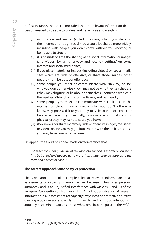At first instance, the Court concluded that the relevant information that a person needed to be able to understand, retain, use and weigh is:

- (i) information and images (including videos) which you share on the internet or through social media could be shared more widely, including with people you don't know, without you knowing or being able to stop it;
- (ii) it is possible to limit the sharing of personal information or images (and videos) by using 'privacy and location settings' on some internet and social media sites;
- (iii) if you place material or images (including videos) on social media sites which are rude or offensive, or share those images, other people might be upset or offended;
- (iv) some people you meet or communicate with ('talk to') online, who you don't otherwise know, may not be who they say they are ('they may disguise, or lie about, themselves'); someone who calls themselves a 'friend' on social media may not be friendly;
- (v) some people you meet or communicate with ('talk to') on the internet or through social media, who you don't otherwise know, may pose a risk to you; they may lie to you, or exploit or take advantage of you sexually, financially, emotionally and/or physically; they may want to cause you harm;
- (vi) if you look at or share extremely rude or offensive images, messages or videos online you may get into trouble with the police, because you may have committed a crime.<sup>37</sup>

On appeal, the Court of Appeal made *obiter* reference that:

 *'whether the list or guideline of relevant information is shorter or longer, it is to be treated and applied as no more than guidance to be adapted to the facts of a particular case'.* <sup>38</sup>

# **The correct approach: autonomy vs protection**

The strict application of a complete list of relevant information in all assessments of capacity is wrong in law because it frustrates personal autonomy and is an unjustified interference with Articles 8 and 10 of the European Convention on Human Rights. An ad hoc application of relevant information in all assessments of capacity strays into the protective narrative creating a utopian society. Whilst this may derive from good intentions, it arguably discriminates against those who come into the guise of the MCA.

<sup>&</sup>lt;sup>37</sup> ibid<br><sup>38</sup> *B v A Local Authority* [2019] EWCA Civ 913, [44]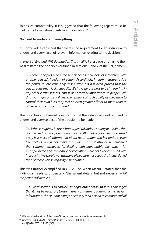To ensure compatibility, it is suggested that the following regard must be had to the formulation of relevant information.<sup>39</sup>

### **No need to understand everything**

It is now well established that there is no requirement for an individual to understand every facet of relevant information relating to the decision.

In *Heart of England NHS Foundation Trust v JB<sup>40</sup>*, Peter Jackson J (as he then was) restated the principles outlined in sections 1 and 2 of the Act, namely:

*'5. These principles reflect the self-evident seriousness of interfering with another person's freedom of action. Accordingly, interim measures aside, the power to intervene only arises after it is has been proved that the person concerned lacks capacity. We have no business to be interfering in any other circumstances. This is of particular importance to people with disadvantages or disabilities. The removal of such ability as they have to control their own lives may feel an even greater affront to them than to others who are more fortunate.'*

The Court has emphasised consistently that the individual is not required to understand every aspect of the decision to be made:

 *'25. What is required here is a broad, general understanding of the kind that is expected from the population at large. JB is not required to understand every last piece of information about her situation and her options: even her doctors would not make that claim. It must also be remembered that common strategies for dealing with unpalatable dilemmas – for example indecision, avoidance or vacillation – are not to be confused with incapacity. We should not ask more of people whose capacity is questioned than of those whose capacity is undoubted.'*

This was further exemplified in *LBL v RYJ*41 when Macur J stated that the individual needs to understand 'the salient details' but not necessarily *'all the peripheral details'*:

*'24. I read section 3 to convey, amongst other detail, that it is envisaged that it may be necessary to use a variety of means to communicate relevant*  information, that it is not always necessary for a person to comprehend all

<sup>&</sup>lt;sup>39</sup> We use the decision of the use of internet and social media as an example.

<sup>40</sup> *Heart of England NHS Foundation Trust v JB* [2014] EWHC 342

<sup>41</sup> *L v J* [2010] EWHC 2665 (COP)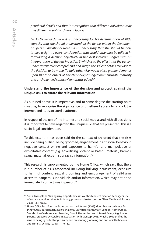*peripheral details and that it is recognised that different individuals may give different weight to different factors…*

*58. In Dr Rickard's view it is unnecessary for his determination of RYJ's capacity that she should understand all the details within the Statement of Special Educational Needs. It is unnecessary that she should be able to give weight to every consideration that would otherwise be utilised in formulating a decision objectively in her 'best interests'. I agree with his interpretation of the test in section 3 which is to the effect that the person under review must comprehend and weigh the salient details relevant to the decision to be made. To hold otherwise would place greater demands upon RYJ than others of her chronological age/commensurate maturity and unchallenged capacity' (emphasis added).'* 

### **Understand the importance of the decision and protect against the unique risks to titrate the relevant information**

As outlined above, it is imperative, and to some degree the starting point must be, to recognise the significance of unfettered access to, and of, the internet and its associated platforms.

In respect of the use of the internet and social media, and with all decisions, it is important to have regard to the unique risks that are presented. This is a socio-legal consideration.

To this extent, it has been said (in the context of children) that the risks include being bullied; being groomed; engagement in antisocial behaviour; negative contact online and exposure to harmful and manipulative or exploitative content (e.g. advertising, violent or hateful material, harmful sexual material, extremist or racist information.42

This research is supplemented by the Home Office, which says that there is a number of risks associated including bullying, harassment, exposure to harmful content, sexual grooming and encouragement of self-harm, access to dangerous individuals and/or information, which may not be so immediate if contact was in person.<sup>43</sup>

<sup>42</sup> Sonia Livingstone, 'Taking risky opportunities in youthful content creation: teenagers' use of social networking sites for intimacy, privacy and self-expression' New Media and Society 2008 10(3) pp.393

<sup>43</sup> Home Office Task Form on Protection on the Internet (2008). *Good Practice guidance for the providers of social networking and other use interactive services.* London: Home Office. See also the Guide entailed 'Learning Disabilities, Autism and Internet Safety: A guide for parents' prepared by Cerebra in association with Mencap, 2015, which also identifies the risks as being cyberbullying, privacy and preventing grooming and antisocial behaviour and criminal activity (pages 11 to 15).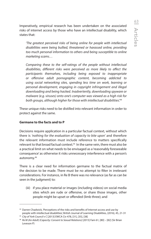Imperatively, empirical research has been undertaken on the associated risks of internet access by those who have an intellectual disability, which states that:

 *'The greatest perceived risks of being online for people with intellectual disabilities were being bullied, threatened or harassed online, providing too much personal information to others and being susceptible to online marketing scams…* 

 *Comparing these to the self-ratings of the people without intellectual disabilities, different risks were perceived as more likely to affect the participants themselves, including being exposed to inappropriate or offensive adult pornographic content, becoming addicted to using social networking sites, spending less time on work, learning or personal development, engaging in copyright infringement and illegal downloading and being hacked. Inadvertently, downloading spyware or malware (e.g. viruses) onto one's computer was viewed as a high risk for both groups, although higher for those with intellectual disabilities'.*<sup>44</sup>

These unique risks need to be distilled into relevant information in order to protect against the same.

# **Germane to the facts and to P**

Decisions require application in a particular factual context, without which there is *'nothing for the evaluation of capacity to bite upon'* and therefore the relevant information must include reference to matters specifically relevant to that broad factual context.<sup>45</sup> In the same vein, there must also be a practical limit on what needs to be envisaged as a 'reasonably foreseeable consequence' as otherwise it risks unnecessary interference with a person's autonomy.46

There is a clear need for information germane to the factual matrix of the decision to be made. There must be no attempt to filter in irrelevant considerations. For instance, in Re B there was no relevance (as far as can be seen in the judgment) to:

(iii) if you place material or images (including videos) on social media sites which are rude or offensive, or share those images, other people might be upset or offended (limb three); and

<sup>44</sup> Darren Chadwick, 'Perceptions of the risks and benefits of Internet access and use by people with intellectual disabilities', British Journal of Learning Disabilities, (2016), 45, 21-31

<sup>45</sup> *City of York Council v C* [2013] EWCA Civ 478, [31], [35], [38]

<sup>46</sup> *Re M (An Adult) (Capacity: Consent to Sexual Relations)* [2015] Fam 61, [80] – [82] (Sir Brian Leveson P)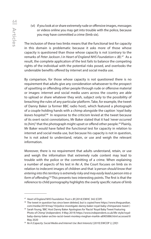(vi) if you look at or share extremely rude or offensive images, messages or videos online you may get into trouble with the police, because you may have committed a crime (limb six).

The inclusion of these two limbs means that the functional test for capacity in this domain is problematic because it asks more of those whose capacity is questioned than those whose capacity is not (contrary to the remarks of *Peter Jackson J in Heart of England NHS Foundation v JB)*. 47 As a result, the complete application of the test fails to balance the competing rights of the individual with the potential risks posed, and overlooks the undeniable benefits offered by internet and social media use.

By comparison, for those whose capacity is not questioned there is no requirement that adults give any consideration whatsoever to the prospect of upsetting or offending other people through rude or offensive material or images: internet and social media users across the country are able to upload or share whatever they wish, subject only to the possibility of breaching the rules of any particular platform. Take, for example, the tweet of Danny Baker (a former BBC radio host), which featured a photograph of a couple holding hands with a chimp alongside the caption *'royal baby leaves hospital'.*48 In response to the criticism levied at the tweet because of its overt racist connotations, Mr Baker stated that it had *'never occurred*  to [him]' that the photograph might upset or offend other people.<sup>49</sup> Plainly, Mr Baker would have failed the functional test for capacity in relation to internet and social media use, but because his capacity is not in question, he is not asked to understand, retain, or use and weigh the relevant information.

Moreover, there is no requirement that adults understand, retain, or use and weigh the information that extremely rude content may lead to trouble with the police or the committing of a crime. When explaining a number of aspects of his test in *Re: A*, the Court focuses on limb six in relation to indecent images of children and that *'a person should know that entering into this territory is extremely risky and may easily lead a person into a form of offending'.*50 This presents two interesting points. The first is that the reference to child pornography highlights the overly specific nature of limb

<sup>&</sup>lt;sup>47</sup> Heart of England NHS Foundation Trust v JB [2014] EWHC 342 (COP)<br><sup>48</sup> The tweet in question has since been deleted, but is copied here https://www.thequardian. com/media/2019/may/10/police-investigate-danny-baker-royal-baby-chimpanzee-tweet )

<sup>49</sup> Sarah Young, 'BBC Host Danny Baker Apologises for 'Racist' Royal Baby Tweet Featuring Photo of Chimp' (*Independent*, 9 May 2019) https://www.independent.co.uk/life-style/royalbaby-danny-baker-archie-racist-tweet-monkey-meghan-markle-a8905886.html accessed 8 May 2020 50 *Re A (Capacity: Social Media and Internet Use: Best Interests)* [2019] EWCOP 2, [29]1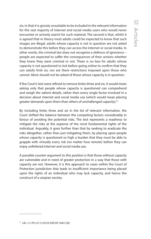six, in that it is grossly unsuitable to be included in the relevant information for the vast majority of internet and social media users who would never encounter or actively search for such material. The second is that, whilst it is agreed that in theory most adults could be expected to know that such images are illegal, adults whose capacity is not in question are not asked to demonstrate this before they can access the internet or social media. In other words, the criminal law does not recognise a defence of ignorance – people are expected to suffer the consequences of their actions whether they knew they were criminal or not. There is no box for adults whose capacity is not questioned to tick before going online to confirm that they can satisfy limb six, nor are there restrictions imposed upon those who cannot. More should not be asked of those whose capacity is in question.

If the Court's test were refined to remove limbs three and six, it would mean asking only that people whose capacity is questioned can comprehend and weigh the salient details, rather than every single factor involved in a decision about internet and social media use (which would mean placing greater demands upon them than others of unchallenged capacity).<sup>51</sup>

By including limbs three and six in the list of relevant information, the Court shifted the balance between the competing factors considerably in favour of avoiding the potential risks. The test represents a readiness to mitigate the risks at the expense of the most fundamental rights of the individual. Arguably, it goes further than that by seeking to eradicate the risks altogether, rather than just mitigating them, by placing upon people whose capacity is questioned so high a burden that they must be able to grapple with virtually every risk (no matter how remote) before they can enjoy unfettered internet and social media use.

A possible counter-argument to this position is that those without capacity are vulnerable and in need of greater protection in a way that those with capacity are not. However, it is this approach to cases within the Court of Protection jurisdiction that leads to insufficient importance being placed upon the rights of an individual who may lack capacity, and hence the construct of a utopian society.

<sup>51</sup> *LBL v (1) RYJ (2) YJ* [2010] EWCOP 2665 [58]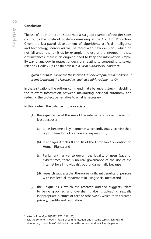### **Conclusion**

The use of the internet and social media is a good example of new decisions coming to the forefront of decision-making in the Court of Protection. Given the fast-paced development of algorithms, artificial intelligence and technology, individuals will be faced with new decisions, which do not fall under the remit of, for example, the use of the internet. In these circumstances, there is an ongoing need to keep the information simple. By way of analogy, in respect of decisions relating to consenting to sexual relations, Hedley J (as he then was) in *A Local Authority v H* said that:

 '*given that that is linked to the knowledge of developments in medicine, it seems to me that the knowledge required is fairly rudimentary'.52*

In these situations, the authors commend that a balance is struck in deciding the relevant information between maximising personal autonomy and reducing the protective narrative to what is necessary.

In this context, the balance is to appreciate:

- (1) the significance of the use of the internet and social media, not least because:
	- (a) it has become a key manner in which individuals exercise their right to freedom of opinion and expression $53$ ;
	- (b) it engages Articles 8 and 10 of the European Convention on Human Rights; and
	- (c) Parliament has yet to govern the legality of users (save for cybercrimes, there is no real governance of the use of the internet for all individuals); but fundamentally because
	- (d) research suggests that there are significant benefits for persons with intellectual impairment in using social media; and
- (2) the unique risks, which the research outlined suggests relate to being groomed and oversharing (be it uploading sexually inappropriate pictures or text or otherwise), which then threaten privacy, identity and reputation.

<sup>&</sup>lt;sup>52</sup> A Local Authority v H [2012] EWHC 49, [23]<br><sup>53</sup> It is the common modern means of communication, and in some cases creating and developing connections/relationships is via the internet and social media platforms.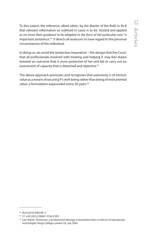To this extent, the reference, albeit *obiter*, by the Master of the Rolls in *Re B*  that relevant information as outlined in cases is to be *'treated and applied as no more than guidance to be adapted to the facts of the particular case'* is important assistance.<sup>54</sup> It directs all assessors to have regard to the personal circumstances of the individual.

In doing so, we avoid the 'protection imperative' – the danger that the Court, that all professionals involved with treating and helping P, may feel drawn towards an outcome that is more protective of her and fail to carry out an assessment of capacity that is detached and objective.<sup>55</sup>

The above approach promotes and recognises that autonomy is of *intrinsic*  value as a means of securing P's well-being rather than being of instrumental value: a formulation expounded some 20 years.<sup>56</sup>

<sup>54</sup> *Re B* [2019] EWCOP 3

<sup>&</sup>lt;sup>55</sup> *CC v KK* [2012] EWHC 2136 (COP)<br><sup>56</sup> Sam Karim, *'Autonomy: a fundamental ideology in biomedical ethics in the era of reproductive technologies',* Kings College London LR, July 2002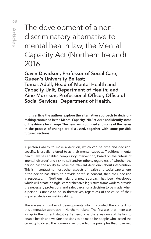The development of a nondiscriminatory alternative to mental health law, the Mental Capacity Act (Northern Ireland) 2016.

Gavin Davidson, Professor of Social Care, Queen's University Belfast; Tomas Adell, Head of Mental Health and Capacity Unit, Department of Health; and Aine Morrison, Professional Officer, Office of Social Services, Department of Health.

**In this article the authors explore the alternative approach to decisionmaking contained in the Mental Capacity (NI) Act 2016 and identify some of the drivers for change. The new law is outlined and some of the issues in the process of change are discussed, together with some possible future directions.**

A person's ability to make a decision, which can be time and decisionspecific, is usually referred to as their mental capacity. Traditional mental health law has enabled compulsory intervention, based on the criteria of 'mental disorder' and risk to self and/or others, regardless of whether the person has the ability to make the relevant decision/s about intervention. This is in contrast to most other aspects of health and social care where, if the person has ability to provide or refuse consent, then their decision is respected. In Northern Ireland a new approach has been developed which will create a single, comprehensive legislative framework to provide the necessary protections and safeguards for a decision to be made when a person is unable to do so themselves, regardless of the cause of their impaired decision- making ability.

There were a number of developments which provided the context for this alternative approach in Northern Ireland. The first was that there was a gap in the current statutory framework as there was no statute law to enable health and welfare decisions to be made for people who lacked the capacity to do so. The common law provided the principles that governed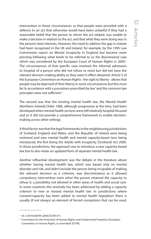intervention in those circumstances so that people were provided with a defence to an act that otherwise would have been unlawful if they had a reasonable belief that the person to whom the act related, was unable to make a decision in relation to the act, and that what they were doing was in the person's best interests. However, the need to address the gap in statute had been recognised in the UK and Ireland, for example, by the 1995 Law Commission report on Mental Incapacity in England but became more pressing following what tends to be referred to as the *Bournewood* case which was considered by the European Court of Human Rights in 2004.<sup>1</sup> The circumstances of that specific case involved the informal admission to hospital of a person who did not refuse or resist but did not have the relevant decision-making ability so they were in effect detained. Article 5 of the European Convention on Human Rights - the right to liberty - allows that people may be deprived of their liberty in some circumstances but this must be 'in accordance with a procedure prescribed by law' and the common law principles were not sufficient.<sup>2</sup>

The second was that the existing mental health law, the Mental Health (Northern Ireland) Order 1986, although progressive at the time, had been developed when mental health services were still relatively hospital-focused and so it did not provide a comprehensive framework to enable decisionmaking across other settings.

A third factor was that the legal frameworks in the neighbouring jurisdictions of Scotland, England and Wales, and the Republic of Ireland were being reviewed and new mental health and mental capacity-based laws being introduced, the first being the Adults with Incapacity (Scotland) Act 2000. In those jurisdictions, the approach was to introduce a new capacity-based law but to also retain an updated form of separate mental health law.

Another influential development was the debate in the literature about whether having mental health law, which was based only on mental disorder and risk, and didn't include the person being incapable of making the relevant decision as a criterion, was discriminatory as it allowed compulsory intervention even when the person retained the capacity to refuse it, a possibility not allowed in other areas of health and social care. In some countries this anomaly has been addressed by adding a capacity criterion to new or revised mental health law. In jurisdictions where consent/capacity has been added to mental health legislation there is usually (if not always) an element of forced compulsion that can be used,

<sup>1</sup> *HL v UK* 45508/99 [2004] ECHR 471.

<sup>2</sup> Convention for the Protection of Human Rights and Fundamental Freedoms (European Convention on Human Rights, as amended) (ECHR).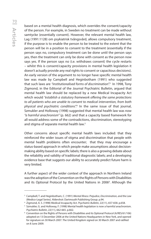based on a mental health diagnosis, which overrides the consent/capacity of the person. For example, in Sweden no treatment can be made without samtycke (essentially consent). However, the relevant mental health law, Lag (1991:1128) om psykiatrisk tvångsvård, allows compulsory treatment, if the purpose is to enable the person to be treated to the extent that the person will be in a position to consent to the treatment (essentially if the person says no, compulsory treatment can be done until the person says yes, then the treatment can only be done with consent as the person now says yes. If the person says no (i.e. withdraws consent) the cycle restarts – whilst this is consent/capacity provisions in mental health legislation it doesn't actually provide any real rights to consent or capacitous decisions). An early version of the argument to no longer have specific mental health law was made by Campbell and Heginbotham (1991) who suggested that such laws are *"institutionalised forms of discrimination".*<sup>3</sup> In 1998, Tony Zigmond, in the Editorial of the Journal Psychiatric Bulletin, argued that mental health law should be replaced by a new Medical Incapacity Act which would *"establish a statutory framework offering the same protections to all patients who are unable to consent to medical intervention, from both physical and psychiatric conditions".*<sup>4</sup> In the same issue of that journal, Szmukler and Holloway (1998) suggested that mental health law was now *"a harmful anachronism"* (p. 662) and that a capacity based framework for all would address some of the contradictions, discrimination, stereotyping and stigma of separate mental health law.<sup>5</sup>

Other concerns about specific mental health laws included: that they reinforced the wider issues of stigma and discrimination that people with mental health problems often encounter; that they may encourage a status-based approach in which people make assumptions about decisionmaking ability based on specific labels; there is also a growing debate about the reliability and validity of traditional diagnostic labels; and a developing evidence base that suggests our ability to accurately predict future harm is very limited.

A further aspect of the wider context of the approach in Northern Ireland was the adoption of the Convention on the Rights of Persons with Disabilities and its Optional Protocol by the United Nations in 2006<sup>6</sup>. Although the

<sup>3</sup> Campbell, T. and Heginbotham, C. (1991) *Mental Illness: Prejudice, Discrimination, and the Law* (Medico-Legal Series). Aldershot: Dartmouth Publishing Group. p.94.

<sup>4</sup> Zigmond, A. S. (1998) Medical Incapacity Act. *Psychiatric Bulletin*, 22(11), 657-658. p.658.

<sup>5</sup> Szmukler, G. and Holloway, F. (1998) Mental health legislation is now a harmful anachronism. *Psychiatric Bulletin*, 22(11), 662-665. p.662.

<sup>6</sup> Convention on the Rights of Persons with Disabilities and its Optional Protocol (A/RES/61/106) adopted on 13 December 2006 at the United Nations Headquarters in New York, and opened for signature on 30 March 2007. The United Kingdom signed on 30 March 2007 and ratified on 8 June 2009.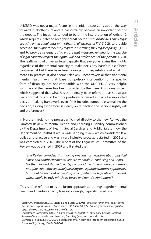UNCRPD was not a major factor in the initial discussions about the way forward in Northern Ireland, it has certainly become an important part of the debate. The focus has tended to be on the interpretation of Article 12 which requires States to recognise *"that persons with disabilities enjoy legal capacity on an equal basis with others in all aspects of life"* (12.2), to provide access to *"the support they may require in exercising their legal capacity"* (12.3) and to provide safeguards *"to ensure that measures relating to the exercise of legal capacity respect the rights, will and preferences of the person"* (12.4). The reaffirming of universal legal capacity, that everyone retains their rights regardless of their mental capacity to make decisions, hasn't in itself been controversial but there have been a range of interpretations of what this means in practice. It also seems relatively uncontroversial that traditional mental health laws, that base compulsory intervention on a specific form of disability, are not compatible with the UNCRPD. A very helpful summary of the issues has been provided by the Essex Autonomy Project which suggested that what has traditionally been referred to as substitute decision-making could be more positively reframed as part of a supported decision-making framework, even if this includes someone else making the decision, as long as the focus is clearly on respecting the person's rights, will and preferences.<sup>7</sup>

In Northern Ireland the process which led directly to the new Act was the Bamford Review of Mental Health and Learning Disability commissioned by the Department of Health, Social Services and Public Safety (now the Department of Health). It was a wide-ranging review which considered law, policy and practice and was a very inclusive process. It started in 2002 and was completed in 2007. The report of the Legal Issues Committee of the Review was published in 2007 and it stated that:

 *"The Review considers that having one law for decisions about physical illness and another for mental illness is anomalous, confusing and unjust… Northern Ireland should take steps to avoid the discrimination, confusion and gaps created by separately devising two separate statutory approaches, but should rather look to creating a comprehensive legislative framework which would be truly principles-based and non-discriminatory." <sup>8</sup>*

 This is often referred to as the fusion approach as it brings together mental health and mental capacity laws into a single, capacity based law.

<sup>7</sup> Martin, W., Michalowski, S., Jutten, T. and Burch, W. (2015) *The Essex Autonomy Project Three Jurisdictions Report: Towards Compliance with CRPD Art. 12 in Capacity/Incapacity Legislation*  across the UK. Colchester: University of Essex.

Legal Issues Committee (2007) *A Comprehensive Legislative Framework.* Belfast: Bamford Review of Mental Health and Learning Disability (Northern Ireland). p.36

<sup>9</sup> Dawson, J., & Szmukler, G. (2006) Fusion of mental health and incapacity legislation. *British Journal of Psychiatry*, 188(6), 504-509.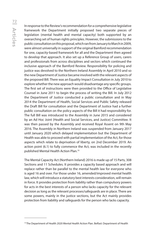Articles 72

In response to the Review's recommendation for a comprehensive legislative framework the Department initially proposed two separate pieces of legislation (mental health and mental capacity) both supported by an overarching set of human rights principles. However, the submissions to the public consultation on this proposal, which ran from January to March in 2009, were almost universally in support of the original Bamford recommendation for one, capacity-based framework for all and the Department then agreed to develop that approach. It also set up a Reference Group of users, carers and professionals from across disciplines and sectors which continued the inclusive approach of the Bamford Review. Responsibility for policing and justice was devolved to the Northern Ireland Assembly in April 2010 and so the new Department of Justice became involved with the relevant aspects of the proposed Bill. There was an Equality Impact Consultation in July 2010 to explore whether the new approach would disadvantage any specific groups. The first set of instructions were then provided to the Office of Legislative Counsel in June 2011 to begin the process of writing the Bill. In July 2012 the Department of Justice conducted a public consultation and in May 2014 the Department of Health, Social Services and Public Safety released the Draft Bill for consultation and the Department of Justice had a further public consultation on the policy aspects of the Bill it had responsibility for. The full Bill was introduced to the Assembly in June 2015 and considered by an Ad Hoc Joint (Health and Social Services, and Justice) Committee. It was then passed by the Assembly and received Royal Assent on 9th May 2016. The Assembly in Northern Ireland was suspended from January 2017 until January 2020 which delayed implementation but the Department of Health was able to proceed with partial implementation of the Act, for those aspects which relate to deprivation of liberty, on 2nd December 2019. An action point (6.1) to fully commence the Act, was included in the recently published Mental Health Action Plan.10

The Mental Capacity Act (Northern Ireland) 2016 is made up of 15 Parts, 308 Sections and 11 Schedules. It provides a capacity based approach and will replace rather than be parallel to the mental health law for everyone who is aged 16 and over. For those under 16, amended/improved mental health law, which will introduce a statutory best interests consideration, will remain in force. It provides protection from liability rather than compulsory powers for acts in the best interests of a person who lacks capacity for the relevant decision as long as the relevant processes/safeguards are in place. There are some powers, mainly in the justice sections, but the Act mainly provides protection from liability and safeguards for the person who lacks capacity.

<sup>&</sup>lt;sup>10</sup> The Department of Health 2020 Mental Health Action Plan. Belfast: Department of Health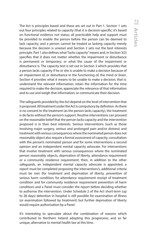The Act is principles based and these are set out in Part 1. Section 1 sets out four principles related to capacity (that it is decision-specific; it's based on functional evidence not status; all practicable help and support must be provided to enable the person before the person can be deemed to lack capacity; and a person cannot be treated as lacking capacity merely because the decision is unwise) and Section 2 sets out the best interests principle. Part 1 also defines what "lacks capacity" means and, in Section 3(2) specifies that it does not matter whether the impairment or disturbance is permanent or temporary; or what the cause of the impairment or disturbance is. The capacity test is set out in Section 3 which provides that a person lacks capacity if he or she is unable to make a decision because of an impairment of, or disturbance in the functioning of, the mind or brain. Section 4 provides what it means to be unable to make a decision, that is: understand the relevant information; retain the information for the time required to make the decision; appreciate the relevance of that information and to use and weigh that information; or communicate their decision.

The safeguards provided by the Act depend on the level of intervention that is proposed. All treatment under the Act is compulsory by definition. As there is no consent to the treatment (as the person lacks capacity), the treatment is de facto without the person's support. Routine interventions can proceed on the reasonable belief that the person lacks capacity and the intervention proposed is in their best interests. Serious interventions (such as those involving major surgery, serious and prolonged pain and/or distress) and treatment with serious consequences where the nominated person does not reasonably object also require a formal assessment of capacity, consultation with the person's nominated person and for some interventions a second opinion and an independent mental capacity advocate. For interventions that involve treatment with serious consequences where the nominated person reasonably objects, deprivation of liberty, attendance requirement or a community residence requirement, then, in addition to the other safeguards, an independent mental capacity advocate is appointed, a report must be completed proposing the intervention/s, additional criteria must be met (for treatment and deprivation of liberty, prevention of serious harm condition; for attendance requirement receipt of treatment condition and for community residence requirement prevention of harm condition) and a Panel must consider the report before deciding whether to authorise the intervention. Under Schedule 2 of the Act short-term (up to 28 days) detention in hospital is still possible for examination of illness (or examination followed by treatment) but further deprivation of liberty would require authorisation by a Panel.

It's interesting to speculate about the combination of reasons which contributed to Northern Ireland adopting this progressive, and so far unique, alternative to mental health law at this time.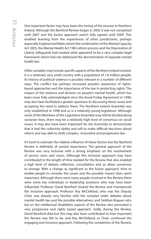One important factor may have been the timing of the process in Northern Ireland. Although the Bamford Review began in 2002 it was not completed until 2007 and the fusion approach wasn't fully agreed until 2009. This enabled learning from the experiences of other jurisdictions, perhaps especially England and Wales where the combination of the Mental Capacity Act 2005, the Mental Health Act 1983 reform process and the Deprivation of Liberty Safeguards had created what appeared to be a very complex legal framework which had not addressed the discrimination of separate mental health law.

Other variables may include specific aspects of the Northern Ireland context. It is a relatively very small country with a population of 1.8 million people. Its history of political violence is possibly relevant in a number of different ways. The conflict has perhaps increased people's awareness of rightsbased approaches and the importance of the law in protecting rights. The impact of the violence and division on people's mental health, which has been more fully acknowledged since the Good Friday Agreement in 1998, may also have facilitated a greater openness to discussing these issues and accepting the need to address them. The Northern Ireland Assembly was only established in 1998 and so is a relatively young legislature. Although some of the Members of the Legislative Assembly may still be divided along sectarian lines, there may be a relatively high level of consensus on social issues. It may also have been important for the Assembly to demonstrate that it had the collective ability and will to make difficult decisions about reform and was able to draft complex, innovative and progressive law.

It's hard to estimate the relative influence of these factors but the Bamford Review is definitely of central importance. The general approach of the Review was very inclusive with a strong emphasis on the involvement of service users and carers. Although this inclusive approach may have contributed to the length of time needed for the Review that also enabled a high level of debate, reflection, consultation and so allow consensus to emerge. With a change as significant as the fusion approach, time to enable people to consider the issues and the possible impact does seem important. Although there were many people involved in the Review there were some key individuals in leadership positions who may have been influential: Professor David Bamford chaired the Review and championed the inclusive approach; Professor Roy McClelland, who was the Deputy Chair, was already very familiar with the complex wider debates about mental health law and the possible alternatives; and Siobhan Bogues who led on the intellectual disabilities aspects of the Review also promoted a very progressive and rights based approach. Sadly, during the Review, David Bamford died but this may also have contributed to how important the Review was felt to be, and Roy McClelland, as Chair, continued the engaging and inclusive approach. Following the completion of the Review,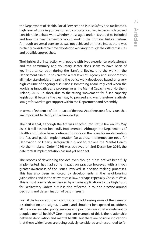the Department of Health, Social Services and Public Safety also facilitated a high level of ongoing discussion and consultation. Two issues which caused considerable debate were whether those aged under 16 should be included and how the new framework would work in the Criminal Justice System. Although universal consensus was not achieved on these issues there was certainly considerable time devoted to working through the different issues and possible approaches.

The high level of interaction with people with lived experience, professionals and the community and voluntary sector does seem to have been of key importance, both during the Bamford Review and the work in the Department since. It has created a real level of urgency and support from all major stakeholders meaning the policy work developed based on a very high volume of ongoing discussions; something absolutely vital when the work is as innovative and progressive as the Mental Capacity Act (Northern Ireland) 2016. In short, due to the strong 'movement' for fused capacity legislation it became the clear way to proceed and was therefore relatively straightforward to get support within the Department and Assembly.

In terms of evidence of the impact of the new Act, there are a few issues that are important to clarify and acknowledge.

The first is that, although the Act was enacted into statue law on 9th May 2016, it still has not been fully implemented. Although the Departments of Health and Justice have continued to work on the plans for implementing the Act, and partial implementation (to address the immediate need for Deprivation of Liberty safeguards but not to replace the Mental Health (Northern Ireland) Order 1986) was achieved on 2nd December 2019, the date for full implementation has not yet been set.

The process of developing the Act, even though it has not yet been fully implemented, has had some impact on practice however, with a much greater awareness of the issues involved in decision-making processes. This has also been reinforced by developments in the neighbouring jurisdictions and in the relevant case law, perhaps especially Cheshire West. This is most concretely evidenced by a rise in applications to the High Court for Declaratory Orders but it is also reflected in routine practice around decisions and determination of best interests.

Even if the fusion approach contributes to addressing some of the issues of discrimination and stigma, it won't, and shouldn't be expected to, address all the wider societal, policy, services and practice issues that are relevant to people's mental health.11 One important example of this is the relationship between deprivation and mental health but there are positive indications that these wider issues are being actively considered and responded to for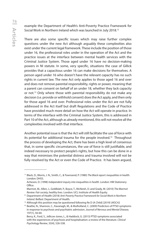example the Department of Health's Anti-Poverty Practice Framework for Social Work in Northern Ireland which was launched in July 2018.12

There are also some specific issues which may raise further complex questions under the new Act although arguably these complexities also exist under the current legal framework. These include the position of those under 16, the professional roles under in the operation of the Act and the practice issues at the interface between mental health services with the Criminal Justice System. Those aged under 16 have no decision-making powers in NI statute. In some, very specific, situations the case of Gillick provides that a capacitous under 16 can make decisions for themselves. A person aged under 16 who doesn't have the relevant capacity has no such rights in current law. The new Act only applies to those aged 16 and over and does not remove parental responsibility, rights or power, meaning that a parent can consent on behalf of an under 18, whether they lack capacity or not.13 Only where those with parental responsibility do not make any decision (i.e. provide or withhold consent) does the Act apply, and then only for those aged 16 and over. Professional roles under the Act are not fully addressed in the Act itself but draft Regulations and the Code of Practice have provided much more detail on how the Act will operate in practice. In terms of the interface with the Criminal Justice System, this is addressed in Part 10 of the Act, although as already mentioned, this will not resolve all the complexities involved with that interface.

Another potential issue is that the Act will still facilitate the use of force with its potential for additional trauma for the people involved.<sup>14</sup> Throughout the process of developing the Act, there has been a high level of consensus that, in some specific circumstances, the use of force is still justifiable, and indeed necessary to protect people's rights, but how this can be done in a way that minimises the potential distress and trauma involved will not be fully resolved by the Act or even the Code of Practice. It has been argued,

<sup>11</sup> Black, D., Morris, J. N., Smith, C., & Townsend, P. (1980) *The Black report: inequalities in health*. London: DHSS.

Acheson, D. (1998) *Independent inquiry into inequalities in health.* London: HM Stationery Office.

Marmot, M., Allen, J., Goldblatt, P., Boyce, T., McNeish, D. and Grady, M. (2010) *The Marmot Review: Fair society, healthy lives.* London: UCL Institute of Health Equity. 12 Department of Health (2018) *Anti-Poverty Practice Framework for Social Work in Northern* 

*Ireland.* Belfast: Department of Health.

<sup>&</sup>lt;sup>13</sup> Although this position may be questioned following Re D (A Child) [2019] UKSC42

<sup>&</sup>lt;sup>14</sup> Beattie, N., Shannon, C., Kavanagh, M., & Mulholland, C. (2009) Predictors of PTSD symptoms in response to psychosis and psychiatric admission. *Journal of Nervous and Mental Disease*, 197(1), 56-60.

Berry, K., Ford, S., Jellicoe-Jones, L., & Haddock, G. (2013) PTSD symptoms associated with the experiences of psychosis and hospitalisation: a review of the literature. *Clinical Psychology Review*, 33(4), 526-538.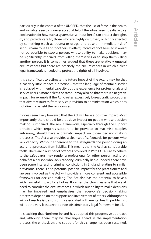particularly in the context of the UNCRPD, that the use of force in the health and social care sector is never acceptable but there has been no satisfactory explanation for how such a system (i.e. without force) can protect the rights of, and provide care to, those who are highly disturbed, or highly affected by something (such as trauma or drugs) and pose an immediate risk of serious harm to self and/or others. In effect, if force cannot be used it would not be possible to stop a person, whose ability to make decisions may be significantly impaired, from killing themselves or to stop them killing another person. It is sometimes argued that these are relatively unusual circumstances but there are precisely the circumstances in which a clear legal framework is needed to protect the rights of all involved.

It is also difficult to estimate the future impact of the Act. It may be that it has very little impact in practice – that the language of mental disorder is replaced with mental capacity but the experience for professionals and service users is more or less the same. It may also be that there is a negative impact, for example if the Act creates excessively bureaucratic procedures that divert resources from service provision to administration which does not directly benefit the service user.

It does seem likely however, that the Act will have a positive impact. Most importantly there should be a positive impact on people whose decision making is impaired. The new framework, especially through the support principle which requires support to be provided to maximise people's autonomy, should have a dramatic impact on those decision-making processes. The Act also provides a clear set of safeguards for persons who lack capacity. Without adherence to the safeguards the person doing an act is not protected from liability. This means that the Act has considerable teeth. There are a number of offences provided in Part 13. Failure to adhere to the safeguards may render a professional (or other person acting on behalf of a person who lacks capacity) criminally liable. Indeed, there have been some interesting criminal convictions in England relating to similar provisions. There is also potential positive impact for the practitioners and lawyers involved as the Act will provide a more coherent and accessible framework for decision-making. The Act also has the potential to have a wider societal impact for all of us. It carries the clear message that we all need to consider the circumstances in which our ability to make decisions may be impaired and emphasizes that everyone's decision-making processes depend on the support and involvement of others. Although this will not resolve issues of stigma associated with mental health problems it will, at the very least, create a non-discriminatory legal framework for all.

It is exciting that Northern Ireland has adopted this progressive approach and, although there may be challenges ahead in the implementation process, the enthusiasm and support for this change has been sustained.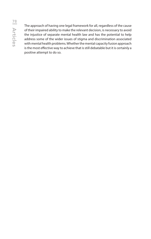The approach of having one legal framework for all, regardless of the cause of their impaired ability to make the relevant decision, is necessary to avoid the injustice of separate mental health law and has the potential to help address some of the wider issues of stigma and discrimination associated with mental health problems. Whether the mental capacity fusion approach is the most effective way to achieve that is still debatable but it is certainly a positive attempt to do so.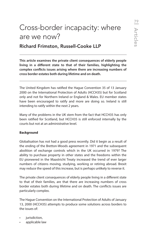## Cross-border incapacity: where are we now?

## Richard Frimston, Russell-Cooke LLP

**This article examines the private client consequences of elderly people living in a different state to that of their families, highlighting the complex conflicts issues arising where there are increasing numbers of cross border estates both during lifetime and on death.** 

The United Kingdom has ratified the Hague Convention 35 of 13 January 2000 on the International Protection of Adults (HCCH35) but for Scotland only and not for Northern Ireland or England & Wales. EU member states have been encouraged to ratify and more are doing so. Ireland is still intending to ratify within the next 2 years.

Many of the problems in the UK stem from the fact that HCCH35 has only been ratified for Scotland, but HCCH35 is still enforced internally by the courts but not at an administrative level.

#### **Background**

Globalisation has not had a good press recently. Did it begin as a result of the ending of the Bretton-Woods agreement in 1971 and the subsequent abolition of exchange controls which in the UK occurred in 1979? The ability to purchase property in other states and the freedoms within the EU pioneered in the Maastricht Treaty increased the trend of ever larger numbers of citizens moving, studying, working or retiring abroad. Brexit may reduce the speed of this increase, but is perhaps unlikely to reverse it.

The private client consequences of elderly people living in a different state to that of their families, are that there are increasing numbers of cross border estates both during lifetime and on death. The conflicts issues are particularly complex.

The Hague Convention on the International Protection of Adults of January 13, 2000 (HCCH35) attempts to produce some solutions across borders to the issues of:

- jurisdiction,
- applicable law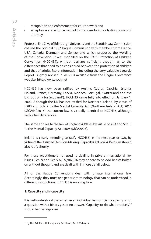- recognition and enforcement for court powers and
- acceptance and enforcement of forms of enduring or lasting powers of attorney.

Professor Eric Clive of Edinburgh University and the Scottish Law Commission chaired the original 1997 Hague Commission with members from France, USA, Canada, Denmark and Switzerland which proposed the wording of the Convention. It was modelled on the 1996 Protection of Children Convention (HCCH34), without perhaps sufficient thought as to the differences that need to be considered between the protection of children and that of adults. More information, including the very valuable Lagarde Report (slightly revised in 2017) is available from the Hague Conference website: http://www.hcch.net

HCCH35 has now been ratified by Austria, Cyprus, Czechia, Estonia, Finland, France, Germany, Latvia, Monaco, Portugal, Switzerland and the UK (but only for Scotland<sup>1</sup>). HCCH35 came fully into effect on January 1, 2009. Although the UK has not ratified for Northern Ireland, by virtue of s.283 and Sch. 9 to the Mental Capacity Act (Northern Ireland Act) 2016 (MCA(NI)2016) the current law is virtually identical to HCCH35, although with a few differences.

The same applies to the law of England & Wales by virtue of s.63 and Sch. 3 to the Mental Capacity Act 2005 (MCA2005).

Ireland is clearly intending to ratify HCCH35, in the next year or two, by virtue of the Assisted Decision-Making (Capacity) Act no.64. Belgium should also ratify shortly.

For those practitioners not used to dealing in private international law issues, Sch. 9 and Sch.5 MCA(NI)2016 may appear to be odd beasts bolted on without thought and are dealt with in more detail below.

All of the Hague Conventions deal with private international law. Accordingly, they must use generic terminology that can be understood in different jurisdictions. HCCH35 is no exception.

#### **1. Capacity and incapacity**

It is well understood that whether an individual has sufficient capacity is not a question with a binary yes or no answer. "Capacity, to do what precisely?" should be the response.

<sup>&</sup>lt;sup>1</sup> by the Adults with Incapacity (Scotland) Act 2000 asp 4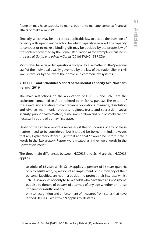A person may have capacity to marry, but not to manage complex financial affairs or make a valid Will.

Similarly, which may be the correct applicable law to decide the question of capacity will depend on the action for which capacity is needed. The capacity to contract or to make a binding gift may be decided by the proper law of the contract governed by the Rome I Regulation as for example discussed in the case of *Gorjat and others v Gorjat* [2010] EWHC 1537 (Ch).

Most states have regarded questions of capacity as a matter for the "personal law" of the individual usually governed by the law of the nationality in civil law systems or by the law of the domicile in common law systems.

#### **2. HCCH35 and Schedules 5 and 9 of the Mental Capacity Act (Northern Ireland) 2016**

The main restrictions on the application of HCCH35 and Sch.9 are the exclusions contained in Art.4 referred to in Sch.9, para.32. The extent of these exclusions relating to maintenance obligations, marriage, dissolution and divorce, matrimonial property regimes, trusts and succession, social security, public health matters, crime, immigration and public safety are not necessarily as broad as may first appear.

Study of the Lagarde report is necessary if the boundaries of any of these matters need to be considered, but it should be borne in mind, however, that any Explanatory Report is just that and that "it would be unfortunate if words in the Explanatory Report were treated as if they were words in the Convention itself."2

The three main differences between HCCH35 and Sch.9 are that HCCH35 applies:

- to adults of 18 years whilst Sch.9 applies to persons of 16 years (para.4),
- only to adults who, by reason of an impairment or insufficiency of their personal faculties, are not in a position to protect their interests whilst Sch.9 also applies not only to 16 year olds who have such an impairment, but also to donors of powers of attorney of any age whether or not so impaired or insufficient and
- only to recognition and enforcement of measures from states that have ratified HCCH35, whilst Sch.9 applies to all states.

<sup>2</sup> *In the matter of J (a child)* [2015] UKSC 70, per Lady Hale at [38] with reference to HCCH34.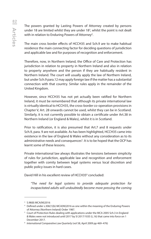The powers granted by Lasting Powers of Attorney created by persons under 18 are limited whilst they are under 18<sup>3</sup>, whilst the point is not dealt with in relation to Enduring Powers of Attorney<sup>4</sup>.

The main cross border effects of HCCH35 and Sch.9 are to make habitual residence the main connecting factor for deciding questions of jurisdiction and applicable law and for purposes of recognition and enforcement.

Therefore, now, in Northern Ireland, the Office of Care and Protection has jurisdiction in relation to property in Northern Ireland and also in relation to property anywhere and the person if they are habitually resident in Northern Ireland. The court will usually apply the law of Northern Ireland, but under Sch.9 para.12 may apply foreign law if the matter has a substantial connection with that country. Similar rules apply in the remainder of the United Kingdom.

However, since HCCH35 has not yet actually been ratified for Northern Ireland, it must be remembered that although its private international law is virtually identical to HCCH35, the cross-border co-operation provisions in Chapter V, Art. 28 onwards cannot be used, whilst they can be in Scotland. Similarly, it is not currently possible to obtain a certificate under Art.38 in Northern Ireland (or England & Wales), whilst it is in Scotland.

Prior to ratification, it is also presumed that Art.7 and 8 requests under Sch.9, para. 9 are not available. As has been highlighted, HCCH35 came into existence in the law of England & Wales without any consideration as to its administrative needs and consequences<sup>5</sup>. It is to be hoped that the OCP has learnt some of these lessons.

Private international law always illustrates the tensions between simplicity of rules for jurisdiction, applicable law and recognition and enforcement together with comity between legal systems versus local discretion and public policy issues in hard cases.

David Hill in his excellent review of HCCH35<sup>6</sup> concluded:

*"The need for legal systems to provide adequate protection for incapacitated adults will undoubtedly become more pressing the coming* 

<sup>3</sup> S.98(8) MCA(NI)2016

<sup>4</sup> Defined under s.306(1)(b) MCA(NI)2016 as one within the meaning of the Enduring Powers of Attorney (Northern Ireland) Order 1987.

<sup>&</sup>lt;sup>5</sup> Court of Protection Rules dealing with applications under the MCA 2005 Sch.3 in England & Wales were not introduced until 2017 by SI 2017/1035 (L.16) that came into force on 1 December 2017.

<sup>6</sup> *International Comparative Law Quarterly* (vol 58, April 2009 pp 469–476)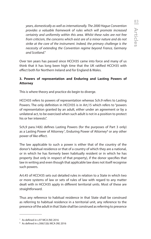*years, domestically as well as internationally. The 2000 Hague Convention provides a valuable framework of rules which will promote increased certainty and uniformity within this area. Whilst these rules are not free from criticism, the concerns which exist are of a minor nature and do not strike at the core of the instrument. Indeed, the primary challenge is the necessity of extending the Convention regime beyond France, Germany and Scotland."*

Over ten years has passed since HCCH35 came into force and many of us think that it has long been high time that the UK ratified HCCH35 with effect both for Northern Ireland and for England & Wales.

#### **3. Powers of representation and Enduring and Lasting Powers of Attorney**

This is where theory and practice do begin to diverge.

HCCH35 refers to powers of representation whereas Sch.9 refers to Lasting Powers. The only definition in HCCH35 is in Art,15 which refers to "powers of representation granted by an adult, either under an agreement or by a unilateral act, to be exercised when such adult is not in a position to protect his or her interests".

Sch,9 para.14(6) defines Lasting Powers (for the purposes of Part 3 only) as a Lasting Power of Attorney<sup>7</sup>, Enduring Power of Attorney<sup>8</sup> or any other power of like effect.

The law applicable to such a power is either that of the country of the donor's habitual residence or that of a country of which they are a national, or in which he has formerly been habitually resident or in which he has property (but only in respect of that property), if the donor specifies that law in writing and even though that applicable law does not itself recognise such powers.

Art.45 of HCCH35 sets out detailed rules in relation to a State in which two or more systems of law or sets of rules of law with regard to any matter dealt with in HCCH35 apply in different territorial units. Most of these are straightforward.

Thus any reference to habitual residence in that State shall be construed as referring to habitual residence in a territorial unit, any reference to the presence of the adult in that State shall be construed as referring to presence

<sup>7</sup> As defined in s.97 MCA (NI) 2016

<sup>8</sup> As defined in s.306(1)(b) MCA (NI) 2016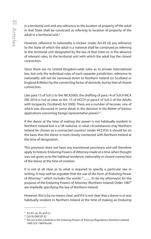in a territorial unit and any reference to the location of property of the adult in that State shall be construed as referring to location of property of the adult in a territorial unit.<sup>9</sup>

However, reference to nationality is trickier. Under Art.45 (d) any reference to the State of which the adult is a national shall be construed as referring to the territorial unit designated by the law of that State or, in the absence of relevant rules, to the territorial unit with which the adult has the closest connection.

Since there are no United Kingdom-wide rules as to private international law, but only the individual rules of each separate jurisdiction, reference to nationality will not be narrowed down to Northern Ireland (or Scotland or England & Wales) by the connecting factor of domicile, but by that of closest connection.

Like para.13 of Sch.3 to the MCA2005, the drafting of para.14 of Sch.9 MCA (NI) 2016 is not as clear as Art. 15 of HCCH or para.4 of Sch.3 of the Adults with Incapacity (Scotland) Act 2000. There are a number of lacunae, one of which was discussed in some detail in the decision *In the Matter of Various applications concerning foreign representative powers*10.

If the donor at the time of making the power is not habitually resident in Northern Ireland but is a UK national, in what circumstances may Northern Ireland be chosen as a connected country? Under HCCH35 it should be on the basis that the donor is most closely connected with Northern Ireland at the time of designation.

This provision does not have any transitional provisions and will therefore apply to historic Enduring Powers of Attorney made at a time when thought was not given as to the habitual residence, nationality or closest connection of the donor at the time of creation.

It is not at all clear as to what is required to specify a particular law in writing. It may well be arguable that the use of the form of Enduring Power of Attorney<sup>11</sup> which includes the words: " ......... to be my attorney[s] for the purpose of the Enduring Powers of Attorney (Northern Ireland) Order 1987" are impliedly specifying the law of Northern Ireland.

However, this is by no means clear, and if it is not clear that a donor is or was habitually resident in Northern Ireland at the time of making an Enduring

<sup>&</sup>lt;sup>9</sup> Art.45. (a), (b) and (c).

<sup>10</sup> [2019] EWCOP 52

<sup>&</sup>lt;sup>11</sup> Set out in the schedule to the Enduring Powers of Attorney Regulations (Northern Ireland) 1989 (S.R. 1989 No.64)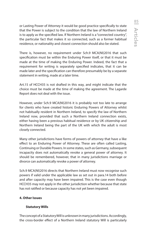or Lasting Power of Attorney it would be good practice specifically to state that the Power is subject to the condition that the law of Northern Ireland is to apply as the specified law. If Northern Ireland is a "connected country", the particular fact that makes it so connected, such as a former habitual residence, or nationality and closest connection should also be stated.

There is, however, no requirement under Sch.9 MCA(NI)2016 that such specification must be within the Enduring Power itself, or that it must be made at the time of making the Enduring Power. Indeed, the fact that a requirement for writing is separately specified indicates, that it can be made later and the specification can therefore presumably be by a separate statement in writing, made at a later time.

Art.15 of HCCH35 is not drafted in this way, and might indicate that the choice must be made at the time of making the agreement. The Lagarde Report does not deal with the issue.

However, under Sch.9 MCA(NI)2016 it is probably not too late to arrange for clients who have created historic Enduring Powers of Attorney whilst not habitually resident in Northern Ireland, to specify the law of Northern Ireland now, provided that such a Northern Ireland connection exists, either having been a previous habitual residence or by UK citizenship and Northern Ireland being the part of the UK with which the adult is most closely connected.

Many other jurisdictions have forms of powers of attorney that have a like effect to an Enduring Power of Attorney. These are often called Lasting, Continuing or Durable Powers. In some states, such as Germany, subsequent incapacity does not automatically revoke a general power of attorney. It should be remembered, however, that in many jurisdictions marriage or divorce can automatically revoke a power of attorney.

Sch.9 MCA(NI)2016 directs that Northern Ireland must now recognise such powers if valid under the applicable law as set out in para.14 both before and after capacity may have been impaired. This is the case even though HCCH35 may not apply in the other jurisdiction whether because that state has not ratified or because capacity has not yet been impaired.

#### **4. Other Issues**

#### **Statutory Wills**

The concept of a Statutory Will is unknown in many jurisdictions. Accordingly, the cross-border effect of a Northern Ireland statutory Will is particularly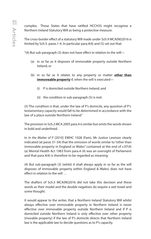complex. Those States that have ratified HCCH35 might recognise a Northern Ireland Statutory Will as being a protective measure.

The cross-border effect of a statutory Will made under Sch.9 MCA(NI)2016 is limited by Sch.5. paras.1-4. In particular para.4(4) and (5) set out that:

"(4) But sub-paragraph (3) does not have effect in relation to the will—

- (a) in so far as it disposes of immovable property outside Northern Ireland; or
- (b) in so far as it relates to any property or matter **other than immoveable property** if, when the will is executed—
	- (i) P is domiciled outside Northern Ireland; and
	- (ii) the condition in sub-paragraph (5) is met.

(5) The condition is that, under the law of P's domicile, any question of P's testamentary capacity would fall to be determined in accordance with the law of a place outside Northern Ireland."

The provision in Sch.2 MCA 2005 para.4 is similar but omits the words shown in bold and underlined.

In *In the Matter of P* [2010] EWHC 1928 (Fam), Mr Justice Lewison clearly indicated (at paras 31-34) that the omission of words similar to "other than immovable property in England or Wales" contained at the end of s.97(4) (a) Mental Health Act 1983 from para.4 (4) was an oversight of Parliament and that para.4(4) is therefore to be regarded as meaning:

(4) But sub-paragraph (3) (whilst it shall always apply in so far as the will disposes of immovable property within England & Wales) does not have effect in relation to the will …

The drafters of Sch.5 MCA(NI)2016 did not take this decision and these words as their model and the double negatives do require a wet towel and some thought.

It would appear to the writer, that a Northern Ireland Statutory Will whilst always effective over immovable property in Northern Ireland is never effective over immovable property outside Northern Ireland and if P is domiciled outside Northern Ireland is only effective over other property (movable property) if the law of P's domicile directs that Northern Ireland law is the applicable law to decide questions as to P's capacity.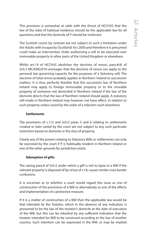This provision is somewhat at odds with the thrust of HCCH35 that the law of the state of habitual residence should be the applicable law for all questions and that the domicile of P should be irrelevant.

The Scottish courts by contrast are not subject to such a limitation under the Adults with Incapacity (Scotland) Act 2000 and therefore it is presumed could make an Intervention Order authorising a will to be executed over immovable property in other parts of the United Kingdom or elsewhere.

Whilst art.19 of HCCH35 abolishes the doctrine of *renvoi*, para.4(4) of Sch.5 MCA(NI)2016 envisages that the doctrine of *renvoi* can apply to the personal law governing capacity for the purposes of a Statutory will. The doctrine of total *renvoi* probably applies in Northern Ireland to succession matters. It is thus perfectly feasible that the succession law of Northern Ireland may apply to foreign immovable property or to the movable property of someone not domiciled in Northern Ireland if the law of the domicile directs that the law of Northern Ireland should apply. A statutory will made in Northern Ireland may however not have effect, in relation to such property unless saved by the order of a relevant court elsewhere.

#### **Settlements**

The provisions of s.115 and Sch.5 paras 5 and 6 relating to settlements created or later varied by the court are not subject to any such particular restriction based on domicile or the situs of property.

Clearly any of the powers relating to Statutory Wills or settlements can only be exercised by the court if P is habitually resident in Northern Ireland or one of the other grounds for jurisdiction exists.

#### **Ademption of gifts**

The saving para.8 of Sch.5 under which a gift is not to lapse in a Will if the relevant property is disposed of by virtue of s.18, causes similar cross border confusions.

It is uncertain as to whether a court would regard this issue as one of construction of the provisions of a Will or alternatively as one of the effects and implementation of a protective measure.

If it is a matter of construction of a Will then the applicable law would be that intended by the Testator, which in the absence of any indication is presumed to be the law of the testator's domicile at the date of execution of the Will, but this can be rebutted by any sufficient indication that the testator intended his Will to be construed according to the law of another country. Such intention can be expressed in the Will, or may be implied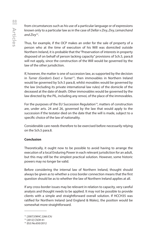from circumstances such as his use of a particular language or of expressions known only to a particular law as in the case of *Dellar v Zivy, Zivy, Lemarchand and Zivy*12.

Thus, for example, if the OCP makes an order for the sale of property of a person who at the time of execution of his Will was domiciled outside Northern Ireland, it is probable that the "Preservation of interests in property disposed of on behalf of person lacking capacity" provisions of Sch.5, para.8 will not apply, since the construction of the Will would be governed by the law of the other jurisdiction.

If, however, the matter is one of succession law, as supported by the decision in *Turner (Gordon's Exor) v Turner*13, then immovables in Northern Ireland would be governed by Sch.5 para.8, whilst movables would be governed by the law (including its private international law rules) of the domicile of the deceased at the date of death. Other immovables would be governed by the law directed by the PIL, including any *renvoi,* of the place of the immovables.

For the purposes of the EU Succession Regulation<sup>14</sup>, matters of construction are, under arts. 24 and 26, governed by the law that would apply to the succession if the testator died on the date that the will is made, subject to a specific choice of the law of nationality.

Considerable care needs therefore to be exercised before necessarily relying on the Sch.5 para.8.

#### **Conclusion**

Theoretically, it ought now to be possible to avoid having to arrange the execution of a local Enduring Power in each relevant jurisdiction for an adult, but this may still be the simplest practical solution. However, some historic powers may no longer be valid.

Before considering the internal law of Northern Ireland, thought should always be given as to whether a cross border connection means that the first question should be as to whether the law of Northern Ireland applies at all.

If any cross-border issues may be relevant in relation to capacity, very careful analysis and thought needs to be applied. It may not be possible to provide clients with a simple and straightforward overall solution. If HCCH35 was ratified for Northern Ireland (and England & Wales), the position would be somewhat more straightforward.

<sup>13</sup> [2012] CSOH 41

<sup>12</sup> *[2007] EWHC 2266 (Ch)* 

<sup>14</sup> (EU) No.650/2012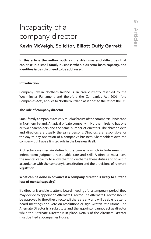# Incapacity of a company director

Kevin McVeigh, Solicitor, Elliott Duffy Garrett

**In this article the author outlines the dilemmas and difficulties that can arise in a small family business when a director loses capacity, and identifies issues that need to be addressed.**

#### **Introduction**

Company law in Northern Ireland is an area currently reserved by the Westminster Parliament and therefore the Companies Act 2006 ("the Companies Act") applies to Northern Ireland as it does to the rest of the UK.

#### **The role of company director**

Small family companies are very much a feature of the commercial landscape in Northern Ireland. A typical private company in Northern Ireland has one or two shareholders and the same number of directors. The shareholders and directors are usually the same persons. Directors are responsible for the day to day operation of a company's business. Shareholders own the company but have a limited role in the business itself.

A director owes certain duties to the company which include exercising independent judgment, reasonable care and skill. A director must have the mental capacity to allow them to discharge these duties and to act in accordance with the company's constitution and the provisions of relevant legislation.

#### **What can be done in advance if a company director is likely to suffer a loss of mental capacity?**

If a director is unable to attend board meetings for a temporary period, they may decide to appoint an Alternate Director. The Alternate Director should be approved by the other directors, if there are any, and will be able to attend board meetings and vote on resolutions or sign written resolutions. The Alternate Director is a substitute and the appointor cannot act as director while the Alternate Director is in place. Details of the Alternate Director must be filed at Companies House.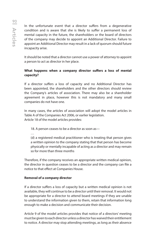In the unfortunate event that a director suffers from a degenerative condition and is aware that she is likely to suffer a permanent loss of mental capacity in the future, the shareholders or the board of directors of the company may decide to appoint an Additional Director. Failure to appoint an Additional Director may result in a lack of quorum should future incapacity arise.

It should be noted that a director cannot use a power of attorney to appoint a person to act as director in her place.

#### **What happens when a company director suffers a loss of mental capacity?**

If a director suffers a loss of capacity and no Additional Director has been appointed, the shareholders and the other directors should review the Company's articles of association. There may also be a shareholder agreement in place, however this is not mandatory and many small companies do not have one.

In many cases, the articles of association will adopt the model articles in Table A of the Companies Act 2006, or earlier legislation. Article 18 of the model articles provides:

18. A person ceases to be a director as soon as—

…

 (d) a registered medical practitioner who is treating that person gives a written opinion to the company stating that that person has become physically or mentally incapable of acting as a director and may remain so for more than three months

Therefore, if the company receives an appropriate written medical opinion, the director in question ceases to be a director and the company can file a notice to that effect at Companies House.

#### **Removal of a company director**

If a director suffers a loss of capacity but a written medical opinion is not available, they will continue to be a director until their removal. It would not be appropriate for a director to attend board meetings if they are unable to understand the information given to them, retain that information long enough to make a decision and communicate their decision.

Article 9 of the model articles provides that notice of a directors' meeting must be given to each director unless a director has waived their entitlement to notice. A director may stop attending meetings, as long as their absence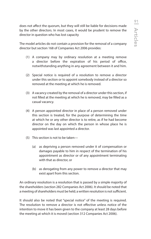does not affect the quorum, but they will still be liable for decisions made by the other directors. In most cases, it would be prudent to remove the director in question who has lost capacity

The model articles do not contain a provision for the removal of a company director but section 168 of Companies Act 2006 provides:

- (1) A company may by ordinary resolution at a meeting remove a director before the expiration of his period of office, notwithstanding anything in any agreement between it and him.
- (2) Special notice is required of a resolution to remove a director under this section or to appoint somebody instead of a director so removed at the meeting at which he is removed.
- (3) A vacancy created by the removal of a director under this section, if not filled at the meeting at which he is removed, may be filled as a casual vacancy.
- (4) A person appointed director in place of a person removed under this section is treated, for the purpose of determining the time at which he or any other director is to retire, as if he had become director on the day on which the person in whose place he is appointed was last appointed a director.
- (5) This section is not to be taken—
	- (a) as depriving a person removed under it of compensation or damages payable to him in respect of the termination of his appointment as director or of any appointment terminating with that as director, or
	- (b) as derogating from any power to remove a director that may exist apart from this section.

An ordinary resolution is a resolution that is passed by a simple majority of the shareholders (section 282 Companies Act 2006). It should be noted that a meeting of shareholders must be held; a written resolution is not sufficient.

It should also be noted that "special notice" of the meeting is required. The resolution to remove a director is not effective unless notice of the intention to move it has been given to the company at least 28 days before the meeting at which it is moved (section 312 Companies Act 2006).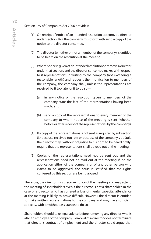Section 169 of Companies Act 2006 provides:

- (1) On receipt of notice of an intended resolution to remove a director under section 168, the company must forthwith send a copy of the notice to the director concerned.
- (2) The director (whether or not a member of the company) is entitled to be heard on the resolution at the meeting.
- (3) Where notice is given of an intended resolution to remove a director under that section, and the director concerned makes with respect to it representations in writing to the company (not exceeding a reasonable length) and requests their notification to members of the company, the company shall, unless the representations are received by it too late for it to do so—
	- (a) in any notice of the resolution given to members of the company state the fact of the representations having been made; and
	- (b) send a copy of the representations to every member of the company to whom notice of the meeting is sent (whether before or after receipt of the representations by the company).
- (4) If a copy of the representations is not sent as required by subsection (3) because received too late or because of the company's default, the director may (without prejudice to his right to be heard orally) require that the representations shall be read out at the meeting.
- (5) Copies of the representations need not be sent out and the representations need not be read out at the meeting if, on the application either of the company or of any other person who claims to be aggrieved, the court is satisfied that the rights conferred by this section are being abused.

Therefore, the director must receive notice of the meeting and may attend the meeting of shareholders even if the director is not a shareholder. In the case of a director who has suffered a loss of mental capacity, attendance at the meeting is likely to prove difficult. However, the director is entitled to make written representations to the company and may have sufficient capacity, with or without assistance, to do so.

Shareholders should take legal advice before removing any director who is also an employee of the company. Removal of a director does not terminate that director's contract of employment and the director could argue that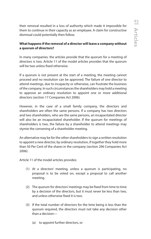their removal resulted in a loss of authority which made it impossible for them to continue in their capacity as an employee. A claim for constructive dismissal could potentially then follow.

#### **What happens if the removal of a director will leave a company without a quorum of directors?**

In many companies. the articles provide that the quorum for a meeting of directors is two. Article 11 of the model articles provides that the quorum will be two unless fixed otherwise.

If a quorum is not present at the start of a meeting, the meeting cannot proceed and no resolution can be approved. The failure of one director to attend meetings, due to incapacity or otherwise, can frustrate the business of the company. In such circumstances the shareholders may hold a meeting to approve an ordinary resolution to appoint one or more additional directors (section 17 Companies Act 2006).

However, in the case of a small family company, the directors and shareholders are often the same persons. If a company has two directors and two shareholders, who are the same persons, an incapacitated director will also be an incapacitated shareholder. If the quorum for meetings of shareholders is two, the failure by a shareholder to attend meetings may stymie the convening of a shareholder meeting.

An alternative may be for the other shareholders to sign a written resolution to appoint a new director, by ordinary resolution, if together they hold more than 50 Per Cent of the shares in the company (section 296 Companies Act 2006).

Article 11 of the model articles provides:

- (1) At a directors' meeting, unless a quorum is participating, no proposal is to be voted on, except a proposal to call another meeting.
- (2) The quorum for directors' meetings may be fixed from time to time by a decision of the directors, but it must never be less than two, and unless otherwise fixed it is two.
- (3) If the total number of directors for the time being is less than the quorum required, the directors must not take any decision other than a decision—
	- (a) to appoint further directors, or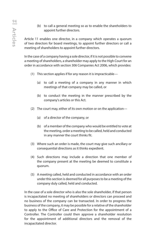(b) to call a general meeting so as to enable the shareholders to appoint further directors.

Article 11 enables one director, in a company which operates a quorum of two directors for board meetings, to appoint further directors or call a meeting of shareholders to appoint further directors.

In the case of a company having a sole director, if it is not possible to convene a meeting of shareholders, a shareholder may apply to the High Court for an order in accordance with section 306 Companies Act 2006, which provides:

- (1) This section applies if for any reason it is impracticable—
	- (a) to call a meeting of a company in any manner in which meetings of that company may be called, or
	- (b) to conduct the meeting in the manner prescribed by the company's articles or this Act.
- (2) The court may, either of its own motion or on the application—
	- (a) of a director of the company, or
	- (b) of a member of the company who would be entitled to vote at the meeting, order a meeting to be called, held and conducted in any manner the court thinks fit.
- (3) Where such an order is made, the court may give such ancillary or consequential directions as it thinks expedient.
- (4) Such directions may include a direction that one member of the company present at the meeting be deemed to constitute a quorum.
- (5) A meeting called, held and conducted in accordance with an order under this section is deemed for all purposes to be a meeting of the company duly called, held and conducted.

In the case of a sole director who is also the sole shareholder, if that person is incapacitated no meeting of shareholders or directors can proceed and no business of the company can be transacted. In order to progress the business of the company, it may be possible for a relative of the shareholder to apply to the Office of Care and Protection for the appointment of a Controller. The Controller could then approve a shareholder resolution for the appointment of additional directors and the removal of the incapacitated director.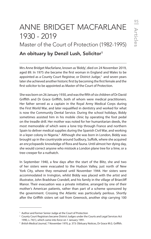# ANNE BRIDGET MACFARLANE 1930 - 2019 Master of the Court of Protection (1982-1995)

## An obituary by Denzil Lush, Solicitor1

Mrs Anne Bridget Macfarlane, known as 'Biddy', died on 24 November 2019, aged 89. In 1975 she became the first woman in England and Wales to be appointed as a County Court Registrar, or District Judge,<sup>2</sup> and seven years later she achieved another historic first by becoming the first female and the first solicitor to be appointed as Master of the Court of Protection.

She was born on 26 January 1930, and was the fifth of six children of Dr David Griffith and Dr Grace Griffith, both of whom were medical practitioners. Her father served as a captain in the Royal Army Medical Corps during the First World War, and later requalified in dentistry and worked for what is now the Community Dental Service. During the school holidays, Biddy sometimes assisted him in his mobile clinic by operating the foot pedal on the treadle drill. Her mother was noted for her humanitarian deeds, the most memorable of which were a lone trip through France and northern Spain to deliver medical supplies during the Spanish Civil War, and working in a leper colony in Nigeria.<sup>3</sup> Although she was born in London, Biddy was brought up in the countryside around Sudbury, Suffolk, where she acquired an encyclopaedic knowledge of flora and fauna. Until almost her dying day, she would correct anyone who mistook a London plane tree for a lime, or a tree-creeper for a nuthatch.

In September 1940, a few days after the start of the Blitz, she and two of her sisters were evacuated to the Hudson Valley, just north of New York City, where they remained until November 1944. Her sisters were accommodated in Irvington, whilst Biddy was placed with the artist and illustrator, John Bradshaw Crandell, and his family in the village of Briarcliff Manor. Their evacuation was a private initiative, arranged by one of their mother's American patients, rather than part of a scheme sponsored by the government. Crossing the Atlantic was particularly perilous. Shortly after the Griffith sisters set sail from Greenock, another ship carrying 100

<sup>&</sup>lt;sup>1</sup> Author and former Senior Judge at the Court of Protection

<sup>2</sup> County Court Registrars became District Judges under the Courts and Legal Services Act 1990, s. 74(1), which came into force on 1 January 1991.

<sup>&</sup>lt;sup>3</sup> British Medical Journal, 7 November 1970, p. 373: Obituary Notices, Dr Grace M.G. Griffith.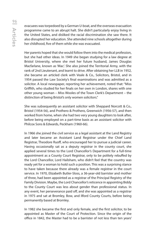evacuees was torpedoed by a German U-boat, and the overseas evacuation programme came to an abrupt halt. She didn't particularly enjoy living in the United States, and disliked the racial discrimination she saw there. It also disrupted her education. She attended nine schools altogether during her childhood, five of them while she was evacuated.

Her parents hoped that she would follow them into the medical profession, but she had other ideas. In 1949 she began studying for a law degree at Bristol University, where she met her future husband, James Douglas Macfarlane, known as 'Mac'. She also joined the Territorial Army, with the rank of 2nd Lieutenant, and learnt to drive. After obtaining her LLB in 1952, she became an articled clerk with Veale & Co., Solicitors, Bristol, and in 1954 passed the Law Society's final examinations and was admitted as a solicitor. A local newspaper, reporting her achievement, noted that: "Miss Griffith, who studied for her finals on her own in London, shares with one other young woman – Miss Wooles of the Town Clerk's Department – the distinction of being Bristol's only women solicitors."

She was subsequently an assistant solicitor with Sheppard Norcott & Co., Bristol (1954-56), and Prothero & Prothero, Greenwich (1956-57), and then worked from home, when she had two very young daughters to look after, before being employed on a part-time basis as an assistant solicitor with Philcox Sons & Edwards, Peckham (1960-66).

In 1966 she joined the civil service as a legal assistant at the Land Registry and later became an Assistant Land Registrar under the Chief Land Registrar, Theodore Ruoff, who encouraged her to pursue a judicial career. Having occasionally sat as a deputy registrar in the county court, she applied several times to the Lord Chancellor's Department for a full-time appointment as a County Court Registrar, only to be politely rebuffed by the Lord Chancellor, Lord Hailsham, who didn't feel that the country was ready yet for a woman to hold such a position. This was a surprising stance to have taken because there already was a female registrar in the court service. In 1970, Elizabeth Butler-Sloss, a 36-year-old barrister and mother of three, had been appointed as a registrar of the Principal Registry of the Family Division. Maybe, the Lord Chancellor's reticence in appointing Biddy to the County Court was less about gender than professional status. In any event, her perseverance paid off, and she was appointed as a registrar in 1975 and sat at Bromley, Bow, and Ilford County Courts, before being permanently based at Bromley.

In 1982 she became the first and only female, and the first solicitor, to be appointed as Master of the Court of Protection. Since the origin of the office in 1842, the Master had to be a barrister of not less than ten years'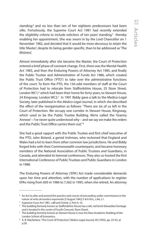standing;<sup>4</sup> and no less than ten of her eighteen predecessors had been silks. Fortuitously, the Supreme Court Act 1981 had recently extended the eligibility criteria to include solicitors of ten years' standing, $^{\mathrm{s}}$  thereby enabling her appointment. She was sworn in by the Lord Chancellor on 1 November 1982, and decided that it would be more decorous to retain the title 'Master', despite its being gender-specific, than to be addressed as 'The Mistress'.

Almost immediately after she became the Master, the Court of Protection entered a brief phase of constant change. First, there was the Mental Health Act 1983, and then the Enduring Powers of Attorney Act 1985, and finally the Public Trustee and Administration of Funds Act 1986, which created the Public Trust Office ('PTO') to take over the administrative functions of the court. To form the PTO, the 150-odd members of staff at the Court of Protection had to relocate from Staffordshire House, 25 Store Street, London WC1,<sup>6</sup> which had been their home for forty years, to Stewart House, 24 Kingsway, London WC2.7 In 1991 Biddy gave a talk to the Medico-Legal Society, later published in the *Medico-Legal Journal*, in which she described the effect of the reorganisation as follows: "There are six of us left in the Court of Protection. We occupy one corridor in Stewart House, Kingsway, which used to be the Public Trustee Building. We're called the 'Granny Annexe' – I've never quite understood why – and we say we make the orders and the Public Trust Office carries them out." 8

She had a good rapport with the Public Trustee and first chief executive of the PTO, John Boland, a genial Irishman, who reckoned that England and Wales had a lot to learn from other common law jurisdictions. He and Biddy forged links with their Commonwealth counterparts, and became honorary members of the National Association of Public Trustees and Guardians, in Canada, and attended its biennial conferences. They also co-hosted the first International Conference of Public Trustees and Public Guardians in London in 1988.

The Enduring Powers of Attorney ('EPA') Act made considerable demands upon her time and attention, with the number of applications to register EPAs rising from 605 in 1986 to 7,562 in 1995, when she retired. An attorney

<sup>4</sup> An Act to alter and amend the practice and course of proceeding under commissions in the nature of writs *de lunatico inquirendo* (5 August 1842) 5 & 6 Vict., c.84, s.1. 5

<sup>&</sup>lt;sup>5</sup> Supreme Court Act 1981, s.88 and Sched. 2, Part II, 10.

<sup>6</sup> The building formerly known as Staffordshire House has a tall, red-brick Edwardian frontage and is located in the centre of South Crescent, Store Street.

<sup>7</sup> The building formerly known as Stewart House is now the New Academic Building of the London School of Economics.

<sup>8</sup> A. B. Macfarlane, "The Court of Protection", *Medico-Legal Journal,* 60 (1992), pp. 25-43, at p.26.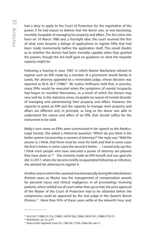had a duty to apply to the Court of Protection for the registration of the power, if he had reason to believe that the donor was, or was becoming, mentally incapable of managing his property and affairs. The Act came into force on 10 March 1986 and, a fortnight later, the court received the first of what soon became a deluge of applications to register EPAs that had been made momentarily before the application itself. This raised doubts as to whether the donors had been mentally capable when they granted the powers, though the Act itself gave no guidance on what the requisite capacity might be.

Following a hearing in June 1987, in which Master Macfarlane refused to register such an EPA made by a member of a prominent Jewish family in Leeds, the attorney appealed to a nominated judge, whose decision was reported as *Re K, Re F* (1988).<sup>9</sup> Mr Justice Hoffmann held that, in practice, many EPAs would be executed when the symptoms of mental incapacity had begun to manifest themselves, as a result of which the donors may very well be, in the statutory sense, incapable by reason of mental disorder of managing and administering their property and affairs. However, the capacity to grant an EPA and the capacity to manage one's property and affairs are different and, in principle, as long as the donor was able to understand the nature and effect of an EPA, that should suffice for the instrument to be valid.

Biddy's own views on EPAs were summarised in her speech to the Medico-Legal Society. She asked a rhetorical question: "Which do you think is the better system (receivership or powers of attorney)?" Her reply was: "Well the answer is, I think, that there must be room for both and that in some cases the first is better, in some cases the second is better. … I would only say this: I think most people who have executed a power of attorney are pleased they have done so."<sup>10</sup> She certainly made an EPA herself, and was glad she did. In 2017, when she became briefly incapacitated following an infection, she advised her attorneys to register it.

Another area in which the caseload rose dramatically during Mrs Macfarlane's thirteen years as Master was the management of compensation awards for personal injury and clinical negligence. In all proceedings involving patients, which settled out of court rather than go to trial, the prior approval of the Master of the Court of Protection had to be obtained before the compromise could be approved by the trial judge in the Queen's Bench Division.<sup>11</sup> More than 95% of these cases settle at the eleventh hour and,

<sup>9</sup> *Re K, Re F* [1988] Ch 310, [1988] 1 All ER 358, [1988] 2 WLR 781, [1988] 2 FLR 15.

<sup>10</sup> Macfarlane, *op. cit*., p.27.

<sup>&</sup>lt;sup>11</sup> Rules of the Supreme Court (S.l. 1965 No. 1776), Order 80, rule 11.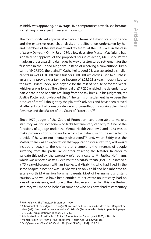as Biddy was approving, on average, five compromises a week, she became something of an expert in assessing quantum.

The most significant approval she gave - in terms of its historical importance and the extensive research, analysis, and deliberation undertaken by her and members of the investment and tax teams at the PTO - was in the case of *Kelly v Dawes*. 12 On 14 July 1989, a few days after Master Macfarlane had signified her approval of the proposed course of action, Mr Justice Potter made an order awarding damages by way of a structured settlement for the first time in the United Kingdom. Instead of receiving a conventional lump sum of £427,500, the plaintiff, Cathy Kelly, aged 25, was awarded a smaller capital sum of £110,000 plus a further £300,000, which was used to purchase an annuity providing a tax-free income of £25,562 a year, index-linked to the Retail Prices Index, and payable for the rest of her life or for ten years, whichever was longer. The differential of £17,250 enabled the defendants to participate in the benefits resulting from the tax break. In his judgment, Mr Justice Potter acknowledged that: "The terms of settlement have been the product of careful thought by the plaintiff's advisers and have been arrived at after substantial correspondence and consultation involving the Inland Revenue and the Master of the Court of Protection."13

Since 1970 judges of the Court of Protection have been able to make a statutory will for someone who lacks testamentary capacity.<sup>14</sup> One of the functions of a judge under the Mental Health Acts 1959 and 1983 was to make provision "for purposes for which the patient might be expected to provide if he were not mentally disordered,"15 and, when Biddy was the Master, there was an expectation that applications for a statutory will would include a legacy to the charity that champions the interests of people suffering from the particular disorder afflicting the testator. In order to validate this policy, she expressly referred a case to Mr Justice Hoffmann, which was reported as *Re C (Spinster and Mental Patient)* (1991).<sup>16</sup> It involved a 75 year-old-woman with an intellectual disability, who had lived in the same hospital since she was 10. She was an only child and had inherited an estate worth £1.6 million from her parents. Most of her numerous distant cousins, who would have been entitled to her estate on intestacy, had no idea of her existence, and none of them had ever visited her. This was the first statutory will made on behalf of someone who has never had testamentary

<sup>&</sup>lt;sup>12</sup> Kelly v Dawes, The Times, 27 September 1990.

<sup>13</sup> A transcript of the judgment in *Kelly v Dawes* can be found in Iain Goldrein and Margaret de Haas (ed.), *Structured Settlements, A Practical Guide*, (Butterworths 1993), Appendix 1, pages 245-251. This quotation is at pages 246-247.

<sup>&</sup>lt;sup>14</sup> Administration of Justice Act 1969, s. 17; now, Mental Capacity Act 2005, s. 18(1)(i).

<sup>15</sup> Mental Health Act 1959, s. 102(1)(c); Mental Health Act 1983, s. 95(1)(c).

<sup>16</sup> *Re C (Spinster and Mental Patient)* [1991] 3 All ER 866, [1992] 1 FLR 51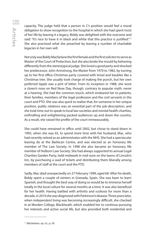# Articles 100

capacity. The judge held that a person in C's position would feel a moral obligation to show recognition to the hospital in which she had spent most of her life by leaving it a legacy. Biddy was delighted with the outcome and said: "It's nice to have it in black and white that this practice is justified."<sup>17</sup> She also practised what she preached by leaving a number of charitable legacies in her own will.

Not only was Biddy Macfarlane the first female and the first solicitor to serve as Master of the Court of Protection, but she also broke the mould by behaving differently from the stereotypical judge. She loved a good party and shocked her predecessor, John Armstrong, the Master from 1970 to 1982, by turning up to her first office Christmas party covered with tinsel and baubles like a Christmas tree. She usually took charge of making the punch, but her own preferred tipple was a pint of bitter. From its inception in 1988, she wore a clown's nose on Red Nose Day, though, contrary to popular myth, never at a hearing. She had the common touch, which endeared her to patients, their families, members of the legal profession and the civil servants in the court and PTO. She was also quick to realise that, for someone in her unique position, public relations was an essential part of the job-description, and she took time out to speak to local law societies and mental health charities, enthralling and enlightening packed audiences up and down the country. As a result, she raised the profile of the court immeasurably.

She could have remained in office until 2002, but chose to stand down in 1995, when she was 65, to spend more time with her husband, Mac, who had recently retired as an administrator with the NHS. She had a spectacular leaving do at the Barbican Centre, and was elected as an honorary life member of The Law Society. In 1998 she also became an honorary life member of Holborn Law Society. She had always supported its annual Legal Charities Garden Party, held midweek in mid-June on the lawns of Lincoln's Inn, by purchasing a wad of tickets and distributing them liberally among members of staff at the court and the PTO.

Sadly, Mac died unexpectedly on 27 February 1999, aged 68. After his death, Biddy spent a couple of winters in Granada, Spain. She was keen to learn Spanish, and thought the best way of doing so would be to immerse herself totally in the local culture for several months at a time. It was also beneficial for her health. Having battled with arthritis and scoliosis for more than a decade, in 2010 she was diagnosed with Parkinson's disease. Three years later, when independent living was becoming increasingly difficult, she checked in at Morden College, Blackheath, which enabled her to continue pursuing her interests and active social life, but also provided both residential and

<sup>17</sup> Macfarlane, *op. cit*., p. 39.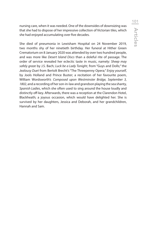nursing care, when it was needed. One of the downsides of downsizing was that she had to dispose of her impressive collection of Victorian tiles, which she had enjoyed accumulating over five decades.

She died of pneumonia in Lewisham Hospital on 24 November 2019, two months shy of her ninetieth birthday. Her funeral at Hither Green Crematorium on 8 January 2020 was attended by over two hundred people, and was more like *Desert Island Discs* than a doleful rite of passage. The order of service revealed her eclectic taste in music, namely: *Sheep may safely graze* by J.S. Bach; *Luck be a Lady Tonight*, from "Guys and Dolls;" the *Jealousy Duet* from Bertolt Brecht's "The Threepenny Opera;" *Enjoy yourself*, by Jools Holland and Prince Buster; a recitation of her favourite poem, William Wordsworth's *Composed upon Westminster Bridge, September 3, 1802*, and a recording of her son-in-law and grandson playing the sea shanty, *Spanish Ladies*, which she often used to sing around the house loudly and distinctly off-key. Afterwards, there was a reception at the Clarendon Hotel, Blackheath; a joyous occasion, which would have delighted her. She is survived by her daughters, Jessica and Deborah, and her grandchildren, Hannah and Sam.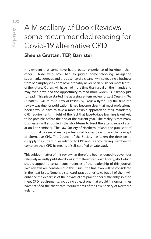## A Miscellany of Book Reviews – some recommended reading for Covid-19 alternative CPD

### Sheena Grattan, TEP, Barrister

It is evident that some have had a better experience of lockdown than others. Those who have had to juggle home-schooling, navigating supermarket queues and the absence of a cleaner whilst keeping a business from bankruptcy via Zoom have probably never been busier or more fearful of the future. Others will have had more time than usual on their hands and may even have had the opportunity to read more widely. Or simply just to read. This piece started life as a single-item review of *Last Orders – The Essential Guide to Your Letter of Wishe*s by Patricia Byron. By the time the review was due for publication, it had become clear that most professional bodies would have to take a more flexible approach to their mandatory CPD requirements in light of the fact that face-to-face learning is unlikely to be possible before the end of the current year. The reality is that many businesses will struggle in the short-term to fund the attendance of staff at on-line seminars. The Law Society of Northern Ireland, the publisher of this journal, is one of many professional bodies to embrace the concept of alternative CPD. The Council of the Society has taken the decision to disapply the current rules relating to CPD and is encouraging members to complete their CPD by means of self-certified private study

This subject-matter of this review has therefore been widened to cover four relatively recently published books from the writer's own library, all of which should appeal to certain constituencies of the readership of this journal. Two reviews are considered in this issue - the final two will be considered in the next issue. None is a standard 'practitioner' text, but all of them will enhance the expertise of the private client practitioner sufficiently so as to meet CPD requirements, including at least one that would in normal times have satisfied the client care requirements of the Law Society of Northern Ireland.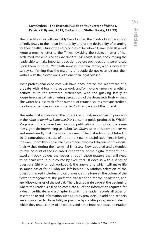#### **Last Orders – The Essential Guide to Your Letter of Wishes, Patricia C Byron, (2019, 2nd edition, Stellar Books, £19.99)**

The Covid-19 crisis will inevitably have focused the minds of a wider cohort of individuals to their own immortality and of the desirability of planning for their deaths. During the early phases of lockdown Dame Joan Bakewell wrote a moving letter to the Times, revisiting the subject-matter of her acclaimed Radio Four Series *We Need to Talk About Death*, encouraging the readership to make important decisions before such decisions were forced upon them in haste. Yet death remains the final taboo, with survey after survey confirming that the majority of people do not even discuss their wishes with their loved ones, let alone their legal adviser.

Most professional executors will have encountered the nightmare of a probate with virtually no paperwork and/or no-one knowing anything definite as to the testator's preferences, with the grieving family at loggerheads as to their differing perceptions of the deceased's likely wishes. The writer has lost track of the number of estate disputes that are credited by a family member as having started 'with a row about the funeral'.

The writer first encountered the phrase *Dying Tidily* more than 30 years ago in the *What to do when Someone Dies* consumer guide produced by Which? Magazine. There have been various publications promoting the same message in the intervening years, but *Last Orders* is the most comprehensive and user-friendly that the writer has seen. The first edition, published in 2010, came about because of the author's own stressful experience in being the executor of two single, childless friends who had chosen not to discuss their wishes during their terminal illnesses. Now updated and extended to take account of the increased importance of the digital footprint,<sup>1</sup> this excellent book guides the reader through those matters that will need to be dealt with in due course by executors. It does so with a series of questions (think school workbook), the answers to which will make life so much easier for all who are left behind. A random selection of the questions asked includes choice of music at the funeral, the colour of the flower arrangements, the preferred transcription for the headstone, and any idiosyncrasies of the pet cat. There is a separate page at the beginning where the reader is asked to complete all of the information required for a death certificate, and a chapter in which the reader records all types of assets and useful information such as utility providers. In addition, readers are encouraged to die as tidily as possible by collating a separate folder in which they retain copies of all policies and other important documentation

<sup>&</sup>lt;sup>1</sup> Kirkpatrick: Estate planning for digital assets on incapacity and death. 2020 1 JELC 1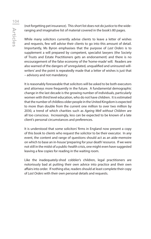(not forgetting pet insurance). This short list does not do justice to the wideranging and imaginative list of material covered in the book's 80 pages.

While many solicitors currently advise clients to leave a letter of wishes and requests, few will advise their clients to go into this amount of detail. Importantly, Ms Byron emphasises that the purpose of *Last Orders* is to supplement a will prepared by competent, specialist lawyers (the Society of Trusts and Estate Practitioners gets an endorsement) and there is no encouragement of the false economy of the 'home-made' will. Readers are also warned of the dangers of 'unregulated, unqualified and uninsured willwriters' and the point is repeatedly made that a letter of wishes is just that – advisory and not mandatory.

It is reasonably foreseeable that solicitors will be asked to be both executors and attorneys more frequently in the future. A fundamental demographic change in the last decade is the growing number of individuals, particularly women with third level education, who do not have children. It is estimated that the number of childless older people in the United Kingdom is expected to more than double from the current one million to over two million by 2030, a trend of which charities such as *Ageing Well without Children* are all too conscious. Increasingly, less can be expected to be known of a late client's personal circumstances and preferences.

It is understood that some solicitors' firms in England now present a copy of this book to clients who request the solicitor to be their executor. In any event, the content and range of questions should act as an aide-memoire on which to base an in-house 'preparing for your death' resource. If we were not still in the midst of a public-health crisis, one might even have suggested leaving a few copies for reading in the waiting room.

Like the inadequately-shod cobbler's children, legal practitioners are notoriously bad at putting their own advice into practice and their own affairs into order. If nothing else, readers should at least complete their copy of *Last Orders* with their own personal details and requests.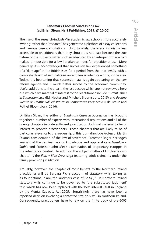# **Landmark Cases in Succession Law (ed Brian Sloan, Hart Publishing, 2019, £120.00)**

The rise of the 'research-industry' in academic law schools (more accurately 'writing' rather than 'research') has generated a plethora of essay collections and famous case compilations. Unfortunately, these are invariably less accessible to practitioners than they should be, not least because the true nature of the subject-matter is often obscured by an intriguing title which makes it impossible for a law librarian to index for practitioner use. More generally, it is acknowledged that succession law experienced something of a "dark age" in the British Isles for a period from the mid 1980s, with a complete dearth of seminal case law and few academics writing in the area. Today, it is heartening that succession law is again appearing on the law reform agenda and is much better served by the academic community. Useful additions to the area in the last decade which are not reviewed here but which have material of interest to the practitioner include *Current Issues in Succession Law* (Ed. Hacker and Mitchell, Bloomsbury, 2015) and *Passing Wealth on Death: Will Substitutes in Comparative Perspective* (Eds. Braun and Rothel, Bloomsbury, 2016).

Dr Brian Sloan, the editor of *Landmark Cases in Succession* has brought together a number of experts with international reputations and all of the twenty chapters include sufficient practical or doctrinal material to be of interest to probate practitioners. Those chapters that are likely to be of particular relevance to the readership of this journal include Professor Martin Dixon's consideration of the law of severance, Professor Roger Kerridge's analysis of the seminal lack of knowledge and approval case *Hastilow v Stobie* and Professor John Mee's examination of proprietary estoppel in the inheritance context. In addition the subject-matter of Dr Sloan's own chapter is the *Illott v Blue Cross* saga featuring adult claimants under the family provision jurisdiction.

Arguably, however, the chapter of most benefit to the Northern Ireland practitioner will be Barbara Rich's account of statutory wills, taking as its foundational plank the landmark case of *Re D(J)*. 2 In Northern Ireland statutory wills continue to be governed by 'the substituted judgment' test, which has now been replaced with the 'best interests' test in England by the Mental Capacity Act 2005. Surprisingly, there has never been a reported decision involving a contested statutory will in Northern Ireland. Consequently, practitioners have to rely on the finite body of pre-2005

<sup>2</sup> [1982] Ch 237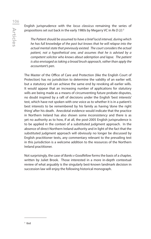English jurisprudence with the *locus classicus* remaining the series of propositions set out back in the early 1980s by Megarry VC in *Re D (J):* <sup>3</sup>

 *The Patient should be assumed to have a brief lucid interval, during which he has full knowledge of the past but knows that he will relapse into the actual mental state that previously existed. The court considers the actual patient, not a hypothetical one, and assumes that he is advised by a competent solicitor who knows about ademption and lapse. The patient is also envisaged as taking a broad brush approach, rather than apply the accountant's pen.*

The Master of the Office of Care and Protection (like the English Court of Protection) has no jurisdiction to determine the validity of an earlier will, but a statutory will can achieve the same end by revoking all earlier wills. It would appear that an increasing number of applications for statutory wills are being made as a means of circumventing future probate disputes, no doubt inspired by a raft of decisions under the English 'best interests' test, which have not spoken with one voice as to whether it is in a patient's best interests to be remembered by his family as having 'done the right thing' after his death. Anecdotal evidence would indicate that the practice in Northern Ireland has also shown some inconsistency and there is as yet no authority as to how, if at all, the post-2005 English jurisprudence is to be applied in the context of a substituted judgment approach. In the absence of direct Northern Ireland authority and in light of the fact that the substituted judgment approach will obviously no longer be discussed by English practitioner texts, any commentary relevant to the prevailing test in this jurisdiction is a welcome addition to the resources of the Northern Ireland practitioner.

Not surprisingly, the case of *Banks v Goodfellow* forms the basis of a chapter, written by Juliet Brook. Those interested in a more in-depth contextual review of what arguably is the singularly best-known landmark decision in succession law will enjoy the following historical monograph.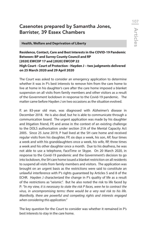# Casenotes prepared by Samantha Jones, Barrister, 39 Essex Chambers

 **Health, Welfare and Deprivation of Liberty**

### **Residence, Contact, Care and Best Interests in the COVID-19 Pandemic Between: BP and Surrey County Council and RP [2020] EWCOP 17 and [2020] EWCOP 22 High Court - Court of Protection - Hayden J – two judgments delivered on 25 March 2020 and 29 April 2020**

The Court was asked to consider an emergency application to determine whether it was in P's best interests to remove him from the care home to live at home in his daughter's care after the care home imposed a blanket suspension on all visits from family members and other visitors as a result of the Government lockdown in response to the Covid-19 pandemic. The matter came before Hayden J on two occasions as the situation evolved.

P, an 83-year old man, was diagnosed with Alzheimer's disease in December 2018. He is also deaf, but he is able to communicate through a communication board. The urgent application was made by his daughter and litigation friend, FP, and arose in the context of an existing challenge to the DOLS authorisation under section 21A of the Mental Capacity Act 2005. Since 25 June 2019, P had lived at the SH care home and received regular visits from his daughter, FP, six days a week, his son, AP, four times a week and with his granddaughters once a week, his wife, RP, three times a week and his other daughter once a month. Due to his deafness, he was not able to use a telephone, FaceTime or Skype. On 20 March 2020, in response to the Covid-19 pandemic and the Government's decision to go into lockdown, the SH care home issued a blanket restriction on all residents to suspend all visits from family members and visitors. The application was brought on an urgent basis as the restrictions were said to constitute an unlawful interference with P's rights guaranteed by Articles 5 and 8 of the ECHR. Hayden J characterized the change in P's quality of life as a result of the restrictions as "seismic". But he also noted the risk to life faced by P: *"In my view, it is necessary to state the risk P faces, were he to contract the virus, in uncompromising terms: there would be a very real risk to his life. Manifestly, there are powerful and competing rights and interests engaged when considering this application."*

The key question for the Court to consider was whether it remained in P's best interests to stay in the care home.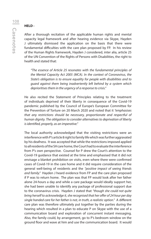#### **HELD -**

After a thorough recitation of the applicable human rights and mental capacity legal framework and after hearing evidence via Skype, Hayden J ultimately dismissed the application on the basis that there were fundamental difficulties with the care plan proposed by FP. In his review of the Human Rights framework, Hayden J considered, inter alia, article 25 of the UN Convention of the Rights of Persons with Disabilities, the right to health and stated that:

 *"The essence of Article 25 resonates with the fundamental principles of the Mental Capacity Act 2005 (MCA). In the context of Coronavirus, the State's obligation is to ensure equality for people with disabilities and to guard against them being inadvertently left behind by a system which deprioritises them in the urgency of a response to crisis."*

He also recited the Statement of Principles relating to the treatment of individuals deprived of their liberty in consequence of the Covid-19 pandemic published by the Council of Europe's European Committee for the Prevention of Torture on 20 March 2020 and noted that it *"emphasises that any restrictions should be necessary, proportionate and respectful of human dignity. The obligation to consider alternatives to deprivation of liberty is identified, properly, as an imperative."*

The local authority acknowledged that the visiting restrictions were an interference with P's article 8 right to family life which was further aggravated by his deafness. It was accepted that while the restrictions imposed applied to all residents of the SH care home, the Court had to evaluate the interference from P's own perspective. Counsel for P drew the Court's attention to the Covid-19 guidance that existed at the time and emphasised that it did not envisage a blanket prohibition on visits, even where there were confirmed cases of Covid-19 in the care home and it did require consideration of the general well-being of residents and the *"positive impact of seeing friends and family."* Hayden J heard evidence from FP and the care plan proposed if P was to return home. The plan was that FP would look after her father alone 24-hours a day and while a care package would ideally support her, she had been unable to identify any package of professional support due to the coronavirus crisis. Hayden J stated that *"though she could not quite bring herself to acknowledge it, she recognised that her offer of 24 hour per day single handed care for her father is not, in truth, a realistic option."* A different care plan was therefore ultimately put together by the parties during the hearing which resulted in a plan to educate P on Skype with the use of a communication board and exploration of concurrent instant messaging. Also, the family could, by arrangement, go to P's bedroom window on the ground floor and wave at him and use the communication board. It would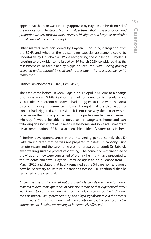appear that this plan was judicially approved by Hayden J in his dismissal of the application. He stated: *"I am entirely satisfied that this is a balanced and proportionate way forward which respects P's dignity and keeps his particular raft of needs at the centre of the plan."*

Other matters were considered by Hayden J, including derogation from the ECHR and whether the outstanding capacity assessment could be undertaken by Dr Babalola. While recognising the challenges, Hayden J, referring to the guidance he issued on 19 March 2020, considered that the assessment could take place by Skype or FaceTime *"with P being properly prepared and supported by staff and, to the extent that it is possible, by his family too."*

Further Developments ([2020] EWCOP 22)

The case came before Hayden J again on 17 April 2020 due to a change of circumstances. While P's daughter had continued to visit regularly and sit outside P's bedroom window, P had struggled to cope with the social distancing policy implemented. It was thought that the deprivation of contact had triggered a depression. It is not clear why the matter was relisted as on the morning of the hearing the parties reached an agreement whereby P would be able to move to his daughter's home and care following an assessment of P's needs in the home and some adjustments to his accommodation. FP had also been able to identify carers to assist her.

A further development arose in the intervening period namely that Dr Babalola indicated that he was not prepared to assess P's capacity using remote means and the care home was not prepared to admit Dr Babalola even wearing suitable protective clothing. The home had remained free of the virus and they were concerned of the risk he might have presented to the residents and staff. Hayden J referred again to his guidance from 19 March 2020 and stated that had P remained at the SH care home, it would now be necessary to instruct a different assessor. He confirmed that he remained of the view that:

*"…creative use of the limited options available can deliver the information required to determine questions of capacity. It may be that experienced carers well known to P and with whom P is comfortable can play a part in facilitating the assessment. Family members may also play a significant role in the process. I am aware that in many areas of the country innovative and productive approaches of this kind are proving to be extremely effective."*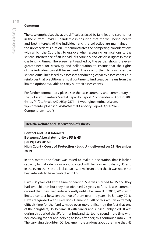#### **Comment**

The case emphasises the acute difficulties faced by families and care homes in the current Covid-19 pandemic in ensuring that the well-being, health and best interests of the individual and the collective are maintained in the unprecedent situation. It demonstrates the competing considerations with which the Court has to grapple when assessing justifications to the serious interference of an individual's Article 5 and Article 8 rights in these challenging times. The agreement reached by the parties shows the evergreater need for creativity and collaboration to ensure that the rights of the individual can still be secured. The case further demonstrates the serious difficulties faced by assessors conducting capacity assessments but reinforces that practitioners must continue to find creative means from the limited options available to carry out their assessments.

For further commentary please see the case summary and commentary in the 39 Essex Chambers Mental Capacity Report: Compendium (April 2020) (https://1f2ca7mxjow42e65q49871m1-wpengine.netdna-ssl.com/ wp-content/uploads/2020/04/Mental-Capacity-Report-April-2020- Compendium-1.pdf)

#### **Health, Welfare and Deprivation of Liberty**

**Contact and Best Interests Between: A Local Authority v PS & HS [2019] EWCOP 60 High Court - Court of Protection - Judd J – delivered on 29 November 2019**

In this matter, the Court was asked to make a declaration that P lacked capacity to make decisions about contact with her former husband, HS, and in the event that she did lack capacity, to make an order that it was not in her best interests to have contact with HS.

P was 80 years old at the time of hearing. She was married to HS and they had two children but they had divorced 25 years before. It was common ground that they lived independently until P became ill in 2016/2017, with limited contact between the two of them over the years. In January 2018, P was diagnosed with Lewy Body Dementia. All of this was an extremely difficult time for the family, made even more difficult by the fact that one of the daughters, DS, became ill with cancer and subsequently died. It was during this period that P's former husband started to spend more time with her, cooking for her and helping to look after her; this continued into 2019. The surviving daughter, DB, became more anxious about the time that HS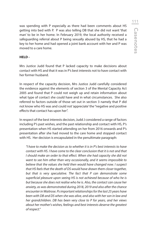was spending with P especially as there had been comments about HS getting into bed with P. P was also telling DB that she did not want 'that man' to be in her home. In February 2019, the local authority received a safeguarding referral about P being sexually abused by HS, that he had a key to her home and had opened a joint bank account with her and P was moved to a care home.

#### **HELD -**

Mrs Justice Judd found that P lacked capacity to make decisions about contact with HS and that it was in P's best interests not to have contact with her former husband.

In respect of the capacity decision, Mrs Justice Judd carefully considered the evidence against the elements of section 3 of the Mental Capacity Act 2005 and found that P could not weigh up and retain information about what type of contact she could have and in what circumstances. She also referred to factors outside of those set out in section 3 namely that P did not know who HS was and could not 'appreciate' the "negative and positive effects that contact has upon her".

In respect of the best interests decision, Judd J considered a range of factors including P's past wishes, and the past relationship and contact with HS, P's presentation when HS started attending on her from 2016 onwards and P's presentation after she had moved to the care home and stopped contact with HS. Her decision is encapsulated in the penultimate paragraph:

 *"I have to make the decision as to whether it is in P's best interests to have contact with HS. I have come to the clear conclusion that it is not and that I should make an order to that effect. When she had capacity she did not want to see him other than very occasionally, and it seems impossible to believe that the values she held then would have changed now. I suspect that HS feels that the death of DS would have drawn them closer together, but that is very speculative. The fact that P can demonstrate some superficial pleasure upon seeing HS is not achieved because of who he is but because she does not realise who he is. Also, the contact can cause her anxiety, as was demonstrated during 2018, 2019 and also after the chance encounter in Waitrose. Ps important relationships for the last 25 years have been with DB and DS when she was alive, and also with her son in law and her grandchildren. DB has been very close to P for years, and her views about her mother's wishes, feelings and best interests deserve the greatest of respect."*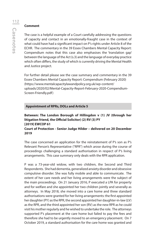#### **Comment**

The case is a helpful example of a Court carefully addressing the questions of capacity and contact in an emotionally-fraught case in the context of what could have had a significant impact on P's rights under Article 8 of the ECHR. The commentary in the 39 Essex Chambers Mental Capacity Report: Compendium notes that this case also emphasises the 'translation gap' between the language of the Act (s.3) and the language of everyday practice which often differs, the study of which is currently driving the Mental Health and Justice project.

For further detail please see the case summary and commentary in the 39 Essex Chambers Mental Capacity Report: Compendium (February 2020) (https://www.mentalcapacitylawandpolicy.org.uk/wp-content/ uploads/2020/02/Mental-Capacity-Report-February-2020-Compendium-Screen-Friendly.pdf)

#### **Appointment of RPRs, DOLs and Article 5**

#### **Between: The London Borough of Hillingdon v (1) JV (through her litigation friend, the Official Solicitor) (2) RV (3) PY [2019] EWCOP 61 Court of Protection - Senior Judge Hilder – delivered on 20 December 2019**

The case concerned an application for the reinstatement of P's son as P's Relevant Person's Representative ("RPR") which arose during the course of proceedings challenging a standard authorisation in respect of P's living arrangements. This case summary only deals with the RPR application.

P was a 73-year-old widow, with two children, the Second and Third Respondents. She had dementia, generalized anxiety disorder and obsessive compulsive disorder. She was fully mobile and able to communicate. The extent of her care needs and her living arrangements were the subject of the main proceedings. On 21 January 2016, P executed a LPA for property and for welfare and she appointed her two children jointly and severally as attorneys. In May 2018, she moved into a care home and three standard authorisations were granted for her living arrangements: the first appointed her daughter (PY) as the RPR, the second appointed her daughter-in-law (LV) as the RPR, and the third appointed her son (RV) as the new RPR as he could visit his mother regularly and he wished to undertake the role. The attorneys supported P's placement at the care home but failed to pay the fees and therefore she had to be urgently moved to an emergency placement. On 7 October 2019, a standard authorisation for the care home was granted and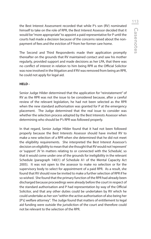the Best Interest Assessment recorded that while P's son (RV) nominated himself to take on the role of RPR, the Best Interest Assessor decided that it would be "more appropriate" to appoint a paid representative for P until the courts had made a decision because of the concerns raised about the nonpayment of fees and the eviction of P from her former care home.

The Second and Third Respondents made their application promptly thereafter on the grounds that RV maintained contact and saw his mother regularly, provided support and made decisions as her LPA, that there was no conflict of interest in relation to him being RPR as the Official Solicitor was now involved in the litigation and if RV was removed from being an RPR, he could not apply for legal aid.

#### **HELD -**

Senior Judge Hilder determined that the application for "reinstatement" of RV as the RPR was not the issue to be considered because, after a careful review of the relevant legislation, he had not been selected as the RPR when the new standard authorisation was granted for P at the emergency placement. The Judge determined that the real issue to consider was whether the selection process adopted by the Best Interests Assessor when determining who should be P's RPR was followed properly.

In that regard, Senior Judge Hilder found that it had not been followed properly because the Best Interests Assessor should have invited RV to make a new selection of a RPR when she determined that he did not meet the eligibility requirements. She interpreted the Best Interest Assessor's decision on eligibility to mean that she thought that RV would not 'represent' or 'support' JV 'in matters relating to or connected with the Schedule', so that it would come under one of the grounds for ineligibility in the relevant Schedule (paragraph 140(1) of Schedule A1 of the Mental Capacity Act 2005). It was not open to the assessor to make no selection or for the supervisory body to select for appointment of a paid RPR. As a result, she found that RV should now be invited to make a further selection of RPR if he so wished. She found that the primary function of the RPR had already been discharged because proceedings were already before the court in respect of the standard authorisation and P had representation by way of the Official Solicitor, and that any other duties could be undertaken by RV which he could undertake as her son "within the active authorisation of also being her [P's] welfare attorney". The Judge found that matters of entitlement to legal aid funding were outside the jurisdiction of the court and therefore could not be relevant to the selection of the RPR.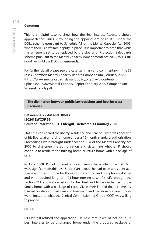#### **Comment**

This is a helpful case to show how the Best Interest Assessors should approach the issues surrounding the appointment of an RPR under the DOLs scheme (pursuant to Schedule A1 of the Mental Capacity Act 2005) where there is a welfare deputy in place. It is important to note that while this scheme is set to be replaced by the Liberty of Protection Safeguards scheme pursuant to the Mental Capacity (Amendment) Act 2019, this is still good law until the DOLs scheme ends.

For further detail please see the case summary and commentary in the 39 Essex Chambers Mental Capacity Report: Compendium (February 2020) (https://www.mentalcapacitylawandpolicy.org.uk/wp-content/ uploads/2020/02/Mental-Capacity-Report-February-2020-Compendium-Screen-Friendly.pdf)

**The distinction between public law decisions and best interest decisions**

# **Between: AG v AM and Others [2020] EWCOP 59 Court of Protection – DJ Eldergill – delivered 13 January 2020**

This case considered the liberty, residence and care of P who was deprived of his liberty at a nursing home under a 12-month standard authorisation. Proceedings were brought under section 21A of the Mental Capacity Act 2005 to challenge the authorisation and determine whether P should continue to reside at the nursing home or return home with a package of care.

In June 2008, P had suffered a brain haemorrhage which had left him with significant disabilities. Since March 2009, he had been a resident at a specialist nursing home for those with profound and complex disabilities and who required long-term 24-hour nursing case. P's wife brought the section 21A application asking for her husband to be discharged to the family home with a package of care. Given their limited financial means, P relied on state-funded care and treatment and therefore his care options were limited to what the Clinical Commissioning Group (CCG) was willing to provide.

#### **HELD -**

DJ Eldergill refused the application. He held that it would not be in P's best interests to be discharged home under the proposed package of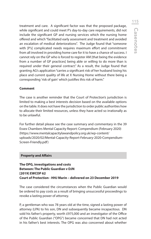treatment and care. A significant factor was that the proposed package, while significant and could meet P's day-to-day care requirements, did not include the significant GP and nursing services which the nursing home offered and which "facilitated early assessment and treatment and avoided an escalation of medical deteriorations". The Judge found that "someone with [P's] complicated needs requires maximum effort and commitment from all involved in providing home care for it to have a chance of success. I cannot rely on the GP who is forced to register AM [that being the evidence from a number of GP practices] being able or willing to do more than is required under their general contract." As a result, the Judge found that granting AG's application "carries a significant risk of her husband losing his place and current quality of life at X Nursing Home without there being a corresponding 'risk of gain' which justifies this risk of harm."

#### **Comment**

The case is another reminder that the Court of Protection's jurisdiction is limited to making a best interests decision based on the available options on the table. It does not have the jurisdiction to order public authorities how to allocate their limited resources, unless they have acted so irrationally as to be unlawful.

For further detail please see the case summary and commentary in the 39 Essex Chambers Mental Capacity Report: Compendium (February 2020) (https://www.mentalcapacitylawandpolicy.org.uk/wp-content/ uploads/2020/02/Mental-Capacity-Report-February-2020-Compendium-Screen-Friendly.pdf)

#### **Property and Affairs**

## **The OPG, investigations and costs Between: The Public Guardian v DJN [2019] EWCOP 62 Court of Protection - HHJ Marin – delivered on 23 December 2019**

The case considered the circumstances when the Public Guardian would be ordered to pay costs as a result of bringing unsuccessful proceedings to revoke a lasting power of attorney.

P, a gentleman who was 78 years old at the time, signed a lasting power of attorney (LPA) to his son, DN and subsequently became incapacitous. DN sold his father's property, worth £975,000 and an investigator of the Office of the Public Guardian ("OPG") became concerned that DN had not acted in his father's best interests. The OPG was also concerned about whether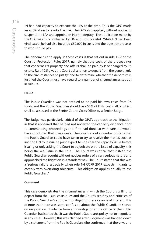JN had had capacity to execute the LPA at the time. Thus the OPG made an application to revoke the LPA. The OPG also applied, without notice, to suspend the LPA and appoint an interim deputy. The application made by the OPG was fully contested by DN and unsuccessful. While DN had been vindicated, he had also incurred £82,000 in costs and the question arose as to who should pay.

The general rule to apply in these cases is that set out in rule 19.2 of the Court of Protection Rules 2017, namely that the costs of the proceedings that concerns P's property and affairs shall be paid by P or charged to P's estate. Rule 19.5 gives the Court a discretion to depart from the general rule "if the circumstances so justify" and to determine whether the departure is justified the Court must have regard to a number of circumstances set out in rule 19.5.

## **HELD -**

The Public Guardian was not entitled to be paid his own costs from P's funds and the Public Guardian should pay 50% of DN's costs, all of which shall be assessed at the Senior Courts Costs Office by a Senior Judge.

The Judge was particularly critical of the OPG's approach to the litigation in that it appeared that he had not reviewed the capacity evidence prior to commencing proceedings and if he had done so with care, he would have concluded that it was weak. The Court set out a number of steps that the Public Guardian could have taken to try to resolve the matter, such as inviting DN to instruct a joint expert to consider the capacity issue before issuing or only asking the Court to adjudicate on the issue of capacity, this being the real issue in the case. The Court was critical that instead the Public Guardian sought without notices orders of a very serious nature and approached the litigation in a standard way. The Court stated that this was a "serious failure especially when rule 1.4 COPR 2017 expects litigants to comply with overriding objective. This obligation applies equally to the Public Guardian"

#### **Comment**

This case demonstrates the circumstances in which the Court is willing to depart from the usual costs rules and the Court's scrutiny and criticism of the Public Guardian's approach to litigating these cases is of interest. It is of note that there was some confusion about the Public Guardian's stance on negotiation. Evidence from an investigator at the Office of the Public Guardian had stated that it was the Public Guardian's policy not to negotiate in any case. However, this was clarified after judgment was handed down by a statement from the Public Guardian who confirmed that there was no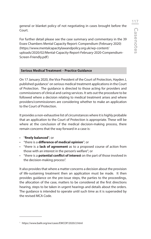general or blanket policy of not negotiating in cases brought before the Court.

For further detail please see the case summary and commentary in the 39 Essex Chambers Mental Capacity Report: Compendium (February 2020) (https://www.mentalcapacitylawandpolicy.org.uk/wp-content/ uploads/2020/02/Mental-Capacity-Report-February-2020-Compendium-Screen-Friendly.pdf)

#### **Serious Medical Treatment – Practice Guidance**

On 17 January 2020, the Vice President of the Court of Protection, Hayden J, published guidance<sup>1</sup> on serious medical treatment applications in the Court of Protection. The guidance is directed to those acting for providers and commissioners of clinical and caring services. It sets out the procedure to be followed where a decision relating to medical treatment arises and where providers/commissioners are considering whether to make an application to the Court of Protection.

It provides a non-exhaustive list of circumstances where it is highly probable that an application to the Court of Protection is appropriate. These will be where at the conclusion of the medical decision-making process, there remain concerns that the way forward in a case is:

- "**finely balanced**"; or
- "there is a **difference of medical opinion**"; or
- "there is a **lack of agreement** as to a proposed course of action from those with an interest in the person's welfare"; or
- "there is a **potential conflict of interest** on the part of those involved in the decision-making process".

It also provides that where a matter concerns a decision about the provision of life-sustaining treatment then an application must be made. It then provides guidance on the pre-issue steps, the parties to the proceedings, the allocation of the case, matters to be considered at the first directions hearing, steps to be taken in urgent hearings and details about the orders. The guidance is intended to operate until such time as it is superseded by the revised MCA Code.

<sup>1</sup> https://www.bailii.org/ew/cases/EWCOP/2020/2.html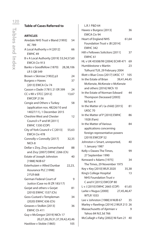# **Table of Cases Referred to**

#### **ARTICLES**

| Airedale NHS Trust v Bland [1993]<br>AC 789 | 54     |
|---------------------------------------------|--------|
| A Local Authority v H [2012]                | 66     |
| EWHC <sub>49</sub>                          |        |
| B v A Local Authority [2019] 53,54,57,60    |        |
| EWCA Civ 913                                |        |
| Banks v Goodfellow (1870) 28,38,106         |        |
| LR 5 QB 549                                 |        |
| Brown v Skirrow [1902] p3                   | 24     |
| <b>Burgess v Hawes</b>                      | 37     |
| [2013] EWCA Civ 74                          |        |
| Casson v Dade (1781) 21 ER 399              | 24     |
| CC v KK v STCC [2012]                       | 13,67  |
| <b>EWCOP 2136</b>                           |        |
| Cengiz and Others v Turkey                  | 58     |
| (application nos. 48226/10 and              |        |
| 14027/11), 1 December 2015                  |        |
| <b>Cheshire West and Chester</b>            | 12     |
| Council v P and M [2011]                    |        |
| <b>EWHC 1330 (COP)</b>                      |        |
| City of York Council v C [2013]             | 55,63  |
| EWCA Civ 478                                |        |
| Connolly v Connolly [2017]                  | 32,35  |
| NICh 8                                      |        |
| Dellar v Zivy, Zivy, Lemarchand             | 88     |
| and Zivy [2007] EWHC 2266 (Ch)              |        |
| Estate of Joseph Johnston                   | 40     |
| [1988] NIJB 67                              |        |
| Esterhuizen v Allied Dunbar                 | 22,23, |
| Assurance PLC [1998]                        |        |
| 2 FLR 668                                   |        |
| German Federal Court of                     | 9      |
| Justice (Case no III ZR 183/17)             |        |
| Gorjat and others v Gorjat                  | 81     |
| [2010] EWHC 1537 (Ch)                       |        |
| Goss-Custard v Templeman                    | 34     |
| (2020) EWHC 636 (Ch)                        |        |
| Greaves v Stolkin [2013]                    | 36     |
| EWHC Ch 411                                 |        |
| Guy v McGregor [2019] NICh 17               |        |
| 20,27,28,29,31,37,39,42,43,46               |        |
| Hastilow v Stobie (1865)                    | 105    |
|                                             |        |

| L.R.1 P&D 64                                            |       |
|---------------------------------------------------------|-------|
| Hawes v Burgess [2013]                                  | 36    |
| <b>EWCA Civ 94</b>                                      |       |
| <b>Heart of England NHS</b>                             | 61,64 |
| Foundation Trust v JB [2014]                            |       |
| <b>EWHC 342</b>                                         |       |
| Hill v Fellowes Solicitors [2011]                       | 37    |
| EWHC <sub>61</sub>                                      |       |
| HL v UK 45508/99 [2004] ECHR 471                        | 69    |
| Humblestone y Martin                                    | 23    |
| Tolhurst TLR, 29 February 2004                          |       |
| Illott v Blue Cross [2017] UKSC 17                      | 105   |
| In the Estate of Brian<br>39,41,44,45                   |       |
| McKenzie, McKenzie v McKenzie                           |       |
| and others [2016] NICh 10                               |       |
| In the Estate of Norman Edward                          | 44    |
| Thompson Deceased [2003]                                |       |
| NI Fam 4                                                |       |
| In the Matter of J (a child) [2015]                     | 81    |
| UKSC 70                                                 |       |
| In the Matter of P [2010] EWHC                          | 86    |
| 1928 (Fam)                                              |       |
| In the Matter of Various                                | 84    |
| applications concerning                                 |       |
| foreign representative powers                           |       |
| [2019] EWCOP 52                                         |       |
| Johnston v Smart, unreported,                           | 40    |
| 1 January 1987                                          |       |
| Kelly v Dawes The Times,                                | 99    |
| 27 September 1990                                       |       |
| Kenward v Adams [1975]                                  | 34    |
| The Times, 29 November 1975                             |       |
| Key v Key [2010] WLR 2020                               | 35,38 |
| King's College Hospital                                 | 13    |
|                                                         |       |
| NHS Foundation Trust v                                  |       |
| C and V [2015] EWCOP 80<br>L v J [2010] EWHC 2665 (COP) |       |
| 27.45.46.47                                             | 61,65 |
| Larke v Nugus [2000]<br><b>WTLR 1033</b>                |       |
|                                                         |       |
| Lee v Johnston [1988] 8 NIJB 67                         | 35    |
| Marley v Rawlings [2014] 2 WLR 213                      | 26    |
| Massachusetts of Ajemian v                              | 9     |
| Yahoo 84 N.E.3d 766                                     |       |
| McCullagh v Fahy [2002] NI Fam 21                       | 40    |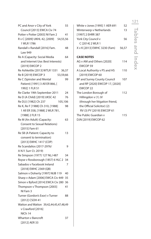| PC and Anor v City of York             | 55 |  |
|----------------------------------------|----|--|
| Council [2013] EWCA Civ 74             |    |  |
| Potter v Potter [2003] NI Fam 2        | 41 |  |
| R v C [2009] UKHL 42, [2009] 54,55,56  |    |  |
| 1 WLR 1786                             |    |  |
| Randall v Randall [2016] Fam.          | 48 |  |
| Law 949                                |    |  |
| Re A (Capacity: Social Media           | 64 |  |
| and Internet Use: Best Interests)      |    |  |
| [2019] EWCOP 2                         |    |  |
| Re Ashkettle [2013] WTLR 1331 36,37    |    |  |
| Re B [2019] EWCOP 3<br>53,59,66        |    |  |
| Re C (Spinster and Mental              | 99 |  |
| Patient) [1991] 3 All ER 866, [        |    |  |
| 1992] 1 FLR 51                         |    |  |
| Re Clarke 19th September 2011          | 24 |  |
| Re D (A Child) [2019] UKSC 42          | 76 |  |
| Re D(J) [1982] Ch 237<br>105,106       |    |  |
| Re K, Re F [1988] Ch 310, [1988]       | 98 |  |
| 1 All ER 358, [1988] 2 WLR 781,        |    |  |
| [1988] 2 FLR 15                        |    |  |
| Re M (An Adult) (Capacity:             | 63 |  |
| <b>Consent to Sexual Relations)</b>    |    |  |
| [2015] Fam 61                          |    |  |
| Re SB (A Patient: Capacity to          | 13 |  |
| consent to termination)                |    |  |
| [2013] EWHC 1417 (COP)                 |    |  |
| Re Scandalios (2017-2976/              | 9  |  |
| A N.Y. Surr Ct. 2019)                  |    |  |
| Re Simpson (1977) 127 NLJ 487          | 34 |  |
| Royse v Rossborough (1857) 6 HLC 2     | 34 |  |
| Sabados v Facebook Ireland             | 7  |  |
| [2018] EWHC 2369 (QB)                  |    |  |
| Salmon v Doherty [1997] NIJB 119       | 40 |  |
| Sharp v Adam [2006] EWCA Civ 449       | 35 |  |
| Simon v Byford [2014] EWCA Civ 280 36  |    |  |
| Thompson v Thompson [2003]             | 41 |  |
| NI Fam 3                               |    |  |
| Turner (Gordon's Exor) v Turner        | 88 |  |
| [2012] CSOH 41                         |    |  |
| Watton and Watton 39,42,44,45,47,48,49 |    |  |
| v Crawford [2016]                      |    |  |
| NICh 14                                |    |  |
| Wharton v Bancroft                     | 37 |  |
| [2012] AER 33                          |    |  |

| White v Jones [1995] 1 AER 691  | 52    |
|---------------------------------|-------|
| Winterwerp v Netherlands        | 13    |
| [1997] 2 EHRR 387               |       |
| York City Council v             | 56    |
| C [2014] 2 WLR 1                |       |
| X v K [2013] EWHC 3230 (Fam)    | 56.57 |
| <b>CASE NOTES</b>               |       |
| AG v AM and Others [2020]       | 114   |
| EWCOP 59                        |       |
| A Local Authority v PS and HS   | 110   |
| [2019] EWCOP 60                 |       |
| BP and Surrey County Council    | 107   |
| and RP [2020] EWCOP 17, [2020]  |       |
| <b>FWCOP 22</b>                 |       |
| The London Borough of           | 112   |
| Hillingdon v (1) JV             |       |
| (through her litigation friend, |       |
| the Official Solicitor) (2)     |       |
| RV (3) PY [2019] EWCOP 61       |       |
| The Public Guardian v           | 115   |
| DJN [2019] EWCOP 62             |       |

121Tables and Index Tables and Index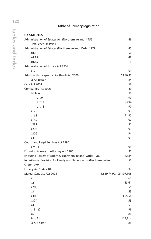# **Table of Primary legislation**

| <b>UK STATUTES</b>                                                   |                         |
|----------------------------------------------------------------------|-------------------------|
| Administration of Estates Act (Northern Ireland) 1955                | 49                      |
| First Schedule Part II                                               |                         |
| Administration of Estates (Northern Ireland) Order 1979              | 43                      |
| art.6                                                                | 50                      |
| art.15                                                               | 48                      |
| art.35                                                               | 3                       |
| Administration of Justice Act 1969                                   |                         |
| s.17                                                                 | 99                      |
| Adults with Incapacity (Scotland) Act 2000                           | 69,80,87                |
| Sch.3 para. 4                                                        | 84                      |
| Care Act 2014                                                        | 59                      |
| Companies Act 2006                                                   | 89                      |
| Table A                                                              | 90                      |
| art.9                                                                | 90                      |
| art.11                                                               | 93,94                   |
| art.18                                                               | 90                      |
| s.17                                                                 | 93                      |
| s.168                                                                | 91,92                   |
| s.169                                                                | 92                      |
| s.282                                                                | 91                      |
| s.296                                                                | 93                      |
| s.306                                                                | 94                      |
| s.312                                                                | 91                      |
| Courts and Legal Services Act 1990                                   |                         |
| s.74(1)                                                              | 95                      |
| Enduring Powers of Attorney Act 1985                                 | 97                      |
| Enduring Powers of Attorney (Northern Ireland) Order 1987            | 82,84                   |
| Inheritance (Provision for Family and Dependants) (Northern Ireland) | 50                      |
| Order 1979                                                           |                         |
| Lunacy Act 1842 c.84                                                 | 97                      |
| <b>Mental Capacity Act 2005</b>                                      | 12,59,74,99,105,107,108 |
| s.1                                                                  | 61                      |
| s.2                                                                  | 53,61                   |
| s.2(1)                                                               | 55                      |
| s.3                                                                  | 53                      |
| s.3(1)                                                               | 53,55,56                |
| s.3(4)                                                               | 53                      |
| S.4                                                                  | 53                      |
| s.18(1)(i)                                                           | 99                      |
| s.63                                                                 | 80                      |
| Sch. A1                                                              | 113,114                 |
| Sch. 2 para.4                                                        | 86                      |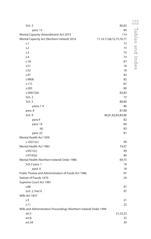|                                                                    |                                | 123              |
|--------------------------------------------------------------------|--------------------------------|------------------|
| Sch. 3                                                             | 80,82                          |                  |
| para. 13                                                           | 84                             | Tables and Index |
| Mental Capacity (Amendment) Act 2019                               | 114                            |                  |
| Mental Capacity Act (Northern Ireland) 2016                        | 11, 14, 17, 68, 72, 75, 76, 77 |                  |
| s.1                                                                | 73                             |                  |
| s.2                                                                | 73                             |                  |
| s.3                                                                | 73                             |                  |
| s.4                                                                | 73                             |                  |
| s.18                                                               | 87                             |                  |
| s.51                                                               | 18                             |                  |
| s.52                                                               | 18                             |                  |
| s.97                                                               | 83                             |                  |
| s.98(8)                                                            | 82                             |                  |
| s.115                                                              | 87                             |                  |
| s.283                                                              | 80                             |                  |
| s.306(1)(b)                                                        | 82,83                          |                  |
| Sch. 2                                                             | 73                             |                  |
| Sch. 5                                                             | 80,86                          |                  |
| paras.1-4                                                          | 86                             |                  |
| para. 8                                                            | 87,88                          |                  |
| Sch. 9                                                             | 80,81,82,83,85,86              |                  |
| para.9                                                             | 82                             |                  |
| para. 14                                                           | 84                             |                  |
| (6)                                                                | 83                             |                  |
| para. 32                                                           | 81                             |                  |
| Mental Health Act 1959                                             |                                |                  |
| s.102(1)(c)                                                        | 99                             |                  |
| Mental Health Act 1983                                             | 74,97                          |                  |
| s.95(1)(c)                                                         | 99                             |                  |
| s.97(4)(a)                                                         | 86                             |                  |
| Mental Health (Northern Ireland) Order 1986                        | 69,75                          |                  |
| Sch.3 para. 1                                                      | 18                             |                  |
| para. 4                                                            | 18                             |                  |
| Public Trustee and Administration of Funds Act 1986                | 97                             |                  |
| Statute of Frauds 1670                                             | 24                             |                  |
| Supreme Court Act 1981                                             |                                |                  |
| s.88                                                               | 97                             |                  |
| Sch. 2, Part II                                                    | 97                             |                  |
| Wills Act 1837                                                     |                                |                  |
| S.9                                                                | 21                             |                  |
| s.11                                                               | 22                             |                  |
| Wills and Administration Proceedings (Northern Ireland) Order 1994 |                                |                  |
| art.5                                                              | 21,22,23                       |                  |
| art.8                                                              | 22                             |                  |
| art.34                                                             | 39                             |                  |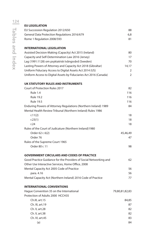| <b>EU LEGISLATION</b>                                             |                |
|-------------------------------------------------------------------|----------------|
| EU Succession Regulation 2012/650                                 | 88             |
| General Data Protection Regulations 2016/679                      | 6,8            |
| Rome 1 Regulation 2008/593                                        | 81             |
|                                                                   |                |
| <b>INTERNATIONAL LEGISLATION</b>                                  |                |
| Assisted Decision-Making (Capacity) Act 2015 (Ireland)            | 80             |
| Capacity and Self-Determination Law 2016 (Jersey)                 | 17             |
| Lag (1991:1128) om psykiatrisk tvångsvård (Sweden)                | 70             |
| Lasting Powers of Attorney and Capacity Act 2018 (Gibraltar)      | 14,17          |
| Uniform Fiduciary Access to Digital Assets Act 2014 (US)          | 2              |
| Uniform Access to Digital Assets by Fiduciaries Act 2016 (Canada) | 2              |
| UK STATUTORY RULES AND INSTRUMENTS                                |                |
| <b>Court of Protection Rules 2017</b>                             | 82             |
| Rule 1.4                                                          | 116            |
| <b>Rule 19.2</b>                                                  | 116            |
| <b>Rule 19.5</b>                                                  | 116            |
| Enduring Powers of Attorney Regulations (Northern Ireland) 1989   | 84             |
| Mental Health Review Tribunal (Northern Ireland) Rules 1986       |                |
| r.11(2)                                                           | 18             |
| r.23(1)                                                           | 18             |
| r.24                                                              | 18             |
| Rules of the Court of Judicature (Northern Ireland)1980           |                |
| Order 62 r. 6(2)                                                  | 45,46,49       |
| Order 76                                                          | 47             |
| Rules of the Supreme Court 1965                                   |                |
| Order 80 r. 11                                                    | 98             |
|                                                                   |                |
| <b>GOVERNMENT CIRCULARS AND CODES OF PRACTICE</b>                 |                |
| Good Practice Guidance for the Providers of Social Networking and | 62             |
| Other Use Interactive Services, Home Office, 2008                 |                |
| Mental Capacity Act 2005 Code of Practice                         | 56             |
| para. 4.16                                                        | 56             |
| Mental Capacity Act (Northern Ireland) 2016 Code of Practice      | 77             |
| <b>INTERNATIONAL CONVENTIONS</b>                                  |                |
| Hague Convention 35 on the International                          | 79,80,81,82,83 |
| Protection of Adults 2000 HCCH35                                  |                |
| Ch.III, art.15                                                    | 84,85          |
| Ch. III, art.19                                                   | 87             |
| Ch. V, art.28                                                     | 82             |
| Ch. V, art.38                                                     | 82             |
| Ch. VI, art.45                                                    | 83             |
| (a)                                                               | 84             |
|                                                                   |                |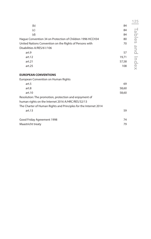|                                                           |       | 125           |
|-----------------------------------------------------------|-------|---------------|
| (b)                                                       | 84    |               |
| (c)                                                       | 84    |               |
| (d)                                                       | 84    |               |
| Hague Convention 34 on Protection of Children 1996 HCCH34 | 80    | <b>Tables</b> |
| United Nations Convention on the Rights of Persons with   | 70    |               |
| Disabilities A/RES/61/106                                 |       | and           |
| art.9                                                     | 57    |               |
| art.12                                                    | 19,71 |               |
| art.21                                                    | 57,58 |               |
| art.25                                                    | 108   | Index         |
| <b>EUROPEAN CONVENTIONS</b>                               |       |               |
| European Convention on Human Rights                       |       |               |
| art.5                                                     | 69    |               |
| art.8                                                     | 58,60 |               |
| art.10                                                    | 58,60 |               |
| Resolution: The promotion, protection and enjoyment of    |       |               |
| human rights on the Internet 2016 A/HRC/RES/32/13         |       |               |

The Charter of Human Rights and Principles for the Internet 2014  $art.13$  59 Good Friday Agreement 1998 **74** Maastricht treaty 79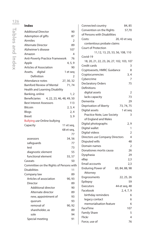### **Index**

| <b>Additional Director</b>                        | 90         |
|---------------------------------------------------|------------|
| Ademption of gifts                                | 87         |
| Airmiles                                          | 2          |
| <b>Alternate Director</b>                         | 89         |
| Alzheimer's disease                               | 107        |
| Amazon                                            | 4          |
| <b>Anti-Poverty Practice Framework</b>            | 76         |
| Apple                                             | 4, 5, 9    |
| Articles of Association                           | 90         |
| Assets, digital                                   | 1 et seg   |
| Definition                                        | 2          |
| Attendance notes                                  | 27, 30, 32 |
| <b>Bamford Review of Mental</b>                   | 71,74      |
| Health and Learning Disability                    |            |
| Banking, online                                   | 1, 2       |
| <b>Beneficiaries</b><br>4, 22, 23, 46, 48, 49, 50 |            |
| <b>Best Interest Assessors</b>                    | 113        |
| <b>Bitcoin</b>                                    | 2, 3, 4    |
| Blogs                                             | 2,4        |
| <b>Brexit</b>                                     | 3, 9       |
| <b>Bullying use Online bullying</b>               |            |
| Capacity                                          | 11 et seq, |
|                                                   | 68 et seq, |
|                                                   | 77         |
| assessors                                         | 34,56      |
| safeguards                                        | 77         |
| test                                              | 73         |
| diagnostic element                                | 55         |
| functional element                                | 55, 57     |
| Caveats                                           | 50         |
| Committee on the Rights of Persons with           |            |
| <b>Disabilities</b>                               | 11         |
| Company law                                       | 89         |
| Articles of association                           | 90, 93     |
| Director                                          | 89         |
| Additional director                               | 90         |
| Alternate director                                | 89         |
| new, appointment of                               | 93         |
| quorum                                            | 93         |
| removal of                                        | 90, 92     |
| shareholder, as                                   | 89         |
| sole                                              | 94         |
| Special meeting                                   | 91         |

| Connected country                         | 84, 85                           |
|-------------------------------------------|----------------------------------|
| Convention on the Rights                  | 57,70                            |
| of Persons with Disabilities              |                                  |
| Costs:                                    | 20, 43 et seq                    |
| contentious probate claims                |                                  |
| <b>Court of Protection</b>                |                                  |
|                                           | 11, 12, 13, 25, 53, 56, 108, 110 |
| Covid-19                                  |                                  |
| 18, 20, 21, 22, 23, 26, 27, 102, 103, 107 |                                  |
| Credit cards                              | 3                                |
| Cryptoassets, HMRC Guidance               | 8                                |
| Cryptocurrencies                          | 3, 4                             |
| Cybercrime                                | 7                                |
| <b>Declaratory Orders</b>                 | 75                               |
| Definitions                               |                                  |
| digital assets                            | 2                                |
| lacks capacity                            | 73                               |
| Dementia                                  | 29                               |
| Deprivation of liberty                    | 73, 74, 75                       |
| Digital assets                            | 1 et seq                         |
| Practice Note, Law Society                | 3                                |
| of England and Wales                      |                                  |
| Digital photographs                       | 2, 9                             |
| Digital wallet                            | 1                                |
| Digital videos                            | 2                                |
| Directors use Company Directors           | 4                                |
| Disputed wills                            | 48                               |
| Domain names                              | $\overline{2}$                   |
| Donationes mortis causa                   | 26                               |
| Dysphasia                                 | 29                               |
| eBay                                      | 2,3                              |
| Email accounts                            | 2,3                              |
| <b>Enduring Power of</b>                  | 83, 84, 88, 98                   |
| Attorney                                  |                                  |
| Engrossments                              | 22, 25, 26                       |
| Epilepsy                                  | 59                               |
| <b>Executors</b>                          | 44 et seq, 48                    |
| Facebook                                  | 2, 4, 7, 9                       |
| birthday reminders                        | 6                                |
| legacy contact                            | 6                                |
| memorialisation feature                   | 6                                |
| FaceTime                                  | 107                              |
| <b>Family Share</b>                       | 5                                |
| Flickr                                    | 4                                |
| Force, use of                             | 76                               |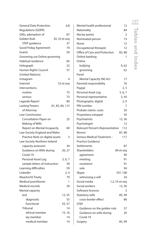| <b>General Data Protection</b>  | 6,8             | Mental health professional       | 12             |
|---------------------------------|-----------------|----------------------------------|----------------|
| <b>Regulations (GDPR)</b>       |                 | Nationality                      | 84             |
| Gifts, ademption of             | 87              | Nectar points                    | 2              |
| Golden Rule                     | 20, 33 et seq   | Nominated person                 | 73             |
| STEP guidance                   | 37              | <b>Nurse</b>                     | 12             |
| Good Friday Agreement           | 74              | Occupational therapist           | 12             |
| Grants                          | 50              | Office of Care and Protection    | 82,88          |
| Grooming use Online grooming    |                 | Online banking                   | 1              |
| Habitual residence              | 83              | Online                           |                |
| Holograph                       | 22              | bullying                         | 9,62           |
| Human Rights Council            | 57              | grooming                         | 62             |
| (United Nations)                |                 | Panel                            |                |
| Instagram                       | 4               | Mental Capacity (NI) Act         | 17             |
| Internet                        | 53 et seg       | Parental responsibility          | 76             |
| Interventions                   |                 | Paypal                           | 2, 3           |
| routine                         | 73              | Personal Asset Log               | 5, 6, 7        |
| serious                         | 73              | Personal representative          | 3,45           |
| Lagarde Report                  | 80              | Photographs, digital             | 2, 9           |
| <b>Lasting Powers</b>           | 81, 83, 84, 115 | PIN number                       | 7              |
| of Attorney                     |                 | Probate claims: costs            | 20             |
| Law Commission                  |                 | Proprietary estoppel             | 50             |
| Consultation Paper on           | 25              | Psychiatrists                    | 12,56          |
| Making of Wills                 |                 | Psychologist                     | 12             |
| Report on Mental Incapacity     | 69              | Relevant Person's Representative | 112            |
| Law Society England and Wales   |                 | Renvoi                           | 87,88          |
| Practice Note on digital assets | 3               | Serious Medical Treatment -      | 117            |
| Law Society Northern Ireland    |                 | <b>Practice Guidance</b>         |                |
| capacity assessors              | 34              | Settlements                      | 87             |
| Guidance on Wills during        | 20, 27          | Shareholders                     | 89 et seg      |
| Covid-19                        |                 | agreement                        | 90             |
| Personal Asset Log              | 5, 6, 7         | meeting                          | 91             |
| sample letters of instruction   | 39              | resolution                       | 91             |
| Learning difficulties           | 59              | sole                             | 94             |
| LinkedIn                        | 2, 4            | Skype                            | 107, 108       |
| <b>Maastricht Treaty</b>        | 79              | witnessing a will                | 24             |
| Medical practitioner            | 1               | Social media                     | 1,2, 53 et seq |
| Medical records                 | 29              | Social workers                   | 12,56          |
| Mental capacity                 |                 | Software licences                | 2              |
| test                            | 12, 55          | Statutory wills                  | 85, 99         |
| diagnostic                      | 55              | cross-border effect              | 86             |
| functional                      | 55, 57          | <b>STEP</b>                      |                |
| <b>Tribunal</b>                 | 14              | Guidance on the golden rule      | 37             |
| ethical member                  | 15, 16          | Guidance on wills during         | 20             |
| lay member                      | 14              | Covid-19                         |                |
| medical member                  | 14              | Surgery                          | 85, 99         |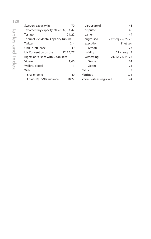| Sweden, capacity in                        | 70         |  |  |
|--------------------------------------------|------------|--|--|
| Testamentary capacity 20, 28, 32, 33, 47   |            |  |  |
| Testator                                   | 21, 22     |  |  |
| Tribunal use Mental Capacity Tribunal      |            |  |  |
| Twitter                                    | 2.4        |  |  |
| Undue influence                            | 39         |  |  |
| UN Convention on the                       | 57, 70, 77 |  |  |
| <b>Rights of Persons with Disabilities</b> |            |  |  |
| Videos                                     | 2,60       |  |  |
| Wallets, digital                           |            |  |  |
| Wills                                      |            |  |  |
| challenge to                               | 49         |  |  |
| Covid-19, LSNI Guidance                    | 20,27      |  |  |

| disclosure of           | 48                   |
|-------------------------|----------------------|
| disputed                | 48                   |
| earlier                 | 49                   |
| engrossed               | 2 et seg, 22, 25, 26 |
| execution               | 21 et seg            |
| remote                  | 23                   |
| validity                | 21 et seg, 47        |
| witnessing              | 21, 22, 23, 24, 26   |
| Skype                   | 24                   |
| Zoom                    | 24                   |
| Yahoo                   | 9                    |
| YouTube                 | 2, 4                 |
| Zoom: witnessing a will | 24                   |